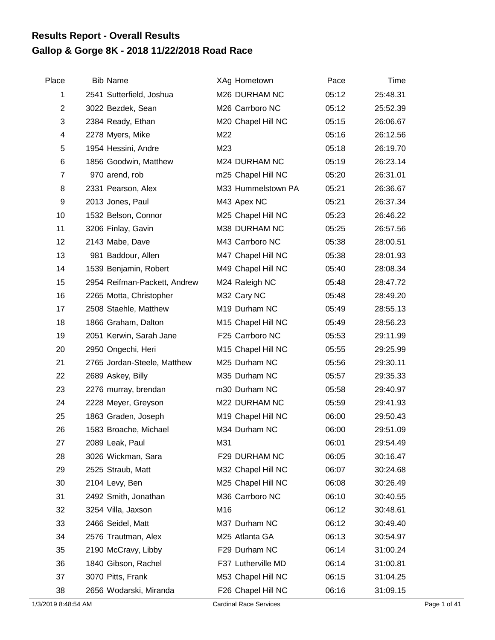## **Gallop & Gorge 8K - 2018 11/22/2018 Road Race Results Report - Overall Results**

| Place                   | <b>Bib Name</b>              | XAg Hometown       | Pace  | Time     |  |
|-------------------------|------------------------------|--------------------|-------|----------|--|
| 1                       | 2541 Sutterfield, Joshua     | M26 DURHAM NC      | 05:12 | 25:48.31 |  |
| $\overline{2}$          | 3022 Bezdek, Sean            | M26 Carrboro NC    | 05:12 | 25:52.39 |  |
| 3                       | 2384 Ready, Ethan            | M20 Chapel Hill NC | 05:15 | 26:06.67 |  |
| $\overline{\mathbf{4}}$ | 2278 Myers, Mike             | M22                | 05:16 | 26:12.56 |  |
| 5                       | 1954 Hessini, Andre          | M23                | 05:18 | 26:19.70 |  |
| 6                       | 1856 Goodwin, Matthew        | M24 DURHAM NC      | 05:19 | 26:23.14 |  |
| $\overline{7}$          | 970 arend, rob               | m25 Chapel Hill NC | 05:20 | 26:31.01 |  |
| 8                       | 2331 Pearson, Alex           | M33 Hummelstown PA | 05:21 | 26:36.67 |  |
| 9                       | 2013 Jones, Paul             | M43 Apex NC        | 05:21 | 26:37.34 |  |
| 10                      | 1532 Belson, Connor          | M25 Chapel Hill NC | 05:23 | 26:46.22 |  |
| 11                      | 3206 Finlay, Gavin           | M38 DURHAM NC      | 05:25 | 26:57.56 |  |
| 12                      | 2143 Mabe, Dave              | M43 Carrboro NC    | 05:38 | 28:00.51 |  |
| 13                      | 981 Baddour, Allen           | M47 Chapel Hill NC | 05:38 | 28:01.93 |  |
| 14                      | 1539 Benjamin, Robert        | M49 Chapel Hill NC | 05:40 | 28:08.34 |  |
| 15                      | 2954 Reifman-Packett, Andrew | M24 Raleigh NC     | 05:48 | 28:47.72 |  |
| 16                      | 2265 Motta, Christopher      | M32 Cary NC        | 05:48 | 28:49.20 |  |
| 17                      | 2508 Staehle, Matthew        | M19 Durham NC      | 05:49 | 28:55.13 |  |
| 18                      | 1866 Graham, Dalton          | M15 Chapel Hill NC | 05:49 | 28:56.23 |  |
| 19                      | 2051 Kerwin, Sarah Jane      | F25 Carrboro NC    | 05:53 | 29:11.99 |  |
| 20                      | 2950 Ongechi, Heri           | M15 Chapel Hill NC | 05:55 | 29:25.99 |  |
| 21                      | 2765 Jordan-Steele, Matthew  | M25 Durham NC      | 05:56 | 29:30.11 |  |
| 22                      | 2689 Askey, Billy            | M35 Durham NC      | 05:57 | 29:35.33 |  |
| 23                      | 2276 murray, brendan         | m30 Durham NC      | 05:58 | 29:40.97 |  |
| 24                      | 2228 Meyer, Greyson          | M22 DURHAM NC      | 05:59 | 29:41.93 |  |
| 25                      | 1863 Graden, Joseph          | M19 Chapel Hill NC | 06:00 | 29:50.43 |  |
| 26                      | 1583 Broache, Michael        | M34 Durham NC      | 06:00 | 29:51.09 |  |
| 27                      | 2089 Leak, Paul              | M31                | 06:01 | 29:54.49 |  |
| 28                      | 3026 Wickman, Sara           | F29 DURHAM NC      | 06:05 | 30:16.47 |  |
| 29                      | 2525 Straub, Matt            | M32 Chapel Hill NC | 06:07 | 30:24.68 |  |
| 30                      | 2104 Levy, Ben               | M25 Chapel Hill NC | 06:08 | 30:26.49 |  |
| 31                      | 2492 Smith, Jonathan         | M36 Carrboro NC    | 06:10 | 30:40.55 |  |
| 32                      | 3254 Villa, Jaxson           | M16                | 06:12 | 30:48.61 |  |
| 33                      | 2466 Seidel, Matt            | M37 Durham NC      | 06:12 | 30:49.40 |  |
| 34                      | 2576 Trautman, Alex          | M25 Atlanta GA     | 06:13 | 30:54.97 |  |
| 35                      | 2190 McCravy, Libby          | F29 Durham NC      | 06:14 | 31:00.24 |  |
| 36                      | 1840 Gibson, Rachel          | F37 Lutherville MD | 06:14 | 31:00.81 |  |
| 37                      | 3070 Pitts, Frank            | M53 Chapel Hill NC | 06:15 | 31:04.25 |  |
| 38                      | 2656 Wodarski, Miranda       | F26 Chapel Hill NC | 06:16 | 31:09.15 |  |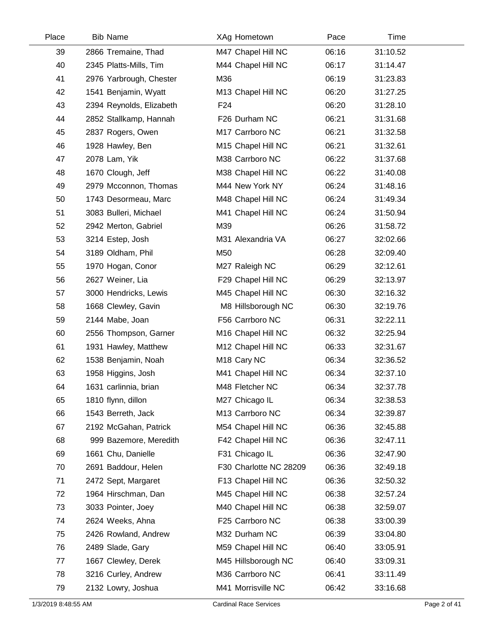| Place | <b>Bib Name</b>          | XAg Hometown            | Pace  | Time     |  |
|-------|--------------------------|-------------------------|-------|----------|--|
| 39    | 2866 Tremaine, Thad      | M47 Chapel Hill NC      | 06:16 | 31:10.52 |  |
| 40    | 2345 Platts-Mills, Tim   | M44 Chapel Hill NC      | 06:17 | 31:14.47 |  |
| 41    | 2976 Yarbrough, Chester  | M36                     | 06:19 | 31:23.83 |  |
| 42    | 1541 Benjamin, Wyatt     | M13 Chapel Hill NC      | 06:20 | 31:27.25 |  |
| 43    | 2394 Reynolds, Elizabeth | F <sub>24</sub>         | 06:20 | 31:28.10 |  |
| 44    | 2852 Stallkamp, Hannah   | F26 Durham NC           | 06:21 | 31:31.68 |  |
| 45    | 2837 Rogers, Owen        | M17 Carrboro NC         | 06:21 | 31:32.58 |  |
| 46    | 1928 Hawley, Ben         | M15 Chapel Hill NC      | 06:21 | 31:32.61 |  |
| 47    | 2078 Lam, Yik            | M38 Carrboro NC         | 06:22 | 31:37.68 |  |
| 48    | 1670 Clough, Jeff        | M38 Chapel Hill NC      | 06:22 | 31:40.08 |  |
| 49    | 2979 Mcconnon, Thomas    | M44 New York NY         | 06:24 | 31:48.16 |  |
| 50    | 1743 Desormeau, Marc     | M48 Chapel Hill NC      | 06:24 | 31:49.34 |  |
| 51    | 3083 Bulleri, Michael    | M41 Chapel Hill NC      | 06:24 | 31:50.94 |  |
| 52    | 2942 Merton, Gabriel     | M39                     | 06:26 | 31:58.72 |  |
| 53    | 3214 Estep, Josh         | M31 Alexandria VA       | 06:27 | 32:02.66 |  |
| 54    | 3189 Oldham, Phil        | M50                     | 06:28 | 32:09.40 |  |
| 55    | 1970 Hogan, Conor        | M27 Raleigh NC          | 06:29 | 32:12.61 |  |
| 56    | 2627 Weiner, Lia         | F29 Chapel Hill NC      | 06:29 | 32:13.97 |  |
| 57    | 3000 Hendricks, Lewis    | M45 Chapel Hill NC      | 06:30 | 32:16.32 |  |
| 58    | 1668 Clewley, Gavin      | M8 Hillsborough NC      | 06:30 | 32:19.76 |  |
| 59    | 2144 Mabe, Joan          | F56 Carrboro NC         | 06:31 | 32:22.11 |  |
| 60    | 2556 Thompson, Garner    | M16 Chapel Hill NC      | 06:32 | 32:25.94 |  |
| 61    | 1931 Hawley, Matthew     | M12 Chapel Hill NC      | 06:33 | 32:31.67 |  |
| 62    | 1538 Benjamin, Noah      | M <sub>18</sub> Cary NC | 06:34 | 32:36.52 |  |
| 63    | 1958 Higgins, Josh       | M41 Chapel Hill NC      | 06:34 | 32:37.10 |  |
| 64    | 1631 carlinnia, brian    | M48 Fletcher NC         | 06:34 | 32:37.78 |  |
| 65    | 1810 flynn, dillon       | M27 Chicago IL          | 06:34 | 32:38.53 |  |
| 66    | 1543 Berreth, Jack       | M13 Carrboro NC         | 06:34 | 32:39.87 |  |
| 67    | 2192 McGahan, Patrick    | M54 Chapel Hill NC      | 06:36 | 32:45.88 |  |
| 68    | 999 Bazemore, Meredith   | F42 Chapel Hill NC      | 06:36 | 32:47.11 |  |
| 69    | 1661 Chu, Danielle       | F31 Chicago IL          | 06:36 | 32:47.90 |  |
| 70    | 2691 Baddour, Helen      | F30 Charlotte NC 28209  | 06:36 | 32:49.18 |  |
| 71    | 2472 Sept, Margaret      | F13 Chapel Hill NC      | 06:36 | 32:50.32 |  |
| 72    | 1964 Hirschman, Dan      | M45 Chapel Hill NC      | 06:38 | 32:57.24 |  |
| 73    | 3033 Pointer, Joey       | M40 Chapel Hill NC      | 06:38 | 32:59.07 |  |
| 74    | 2624 Weeks, Ahna         | F25 Carrboro NC         | 06:38 | 33:00.39 |  |
| 75    | 2426 Rowland, Andrew     | M32 Durham NC           | 06:39 | 33:04.80 |  |
| 76    | 2489 Slade, Gary         | M59 Chapel Hill NC      | 06:40 | 33:05.91 |  |
| 77    | 1667 Clewley, Derek      | M45 Hillsborough NC     | 06:40 | 33:09.31 |  |
| 78    | 3216 Curley, Andrew      | M36 Carrboro NC         | 06:41 | 33:11.49 |  |
| 79    | 2132 Lowry, Joshua       | M41 Morrisville NC      | 06:42 | 33:16.68 |  |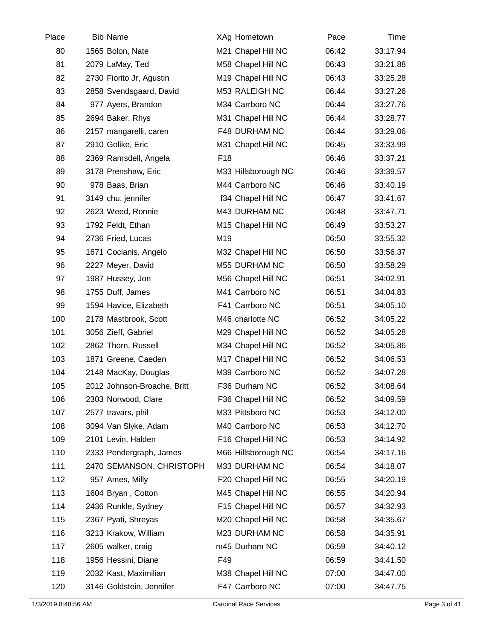| Place | <b>Bib Name</b>             | XAg Hometown        | Pace  | Time     |  |
|-------|-----------------------------|---------------------|-------|----------|--|
| 80    | 1565 Bolon, Nate            | M21 Chapel Hill NC  | 06:42 | 33:17.94 |  |
| 81    | 2079 LaMay, Ted             | M58 Chapel Hill NC  | 06:43 | 33:21.88 |  |
| 82    | 2730 Fiorito Jr, Agustin    | M19 Chapel Hill NC  | 06:43 | 33:25.28 |  |
| 83    | 2858 Svendsgaard, David     | M53 RALEIGH NC      | 06:44 | 33:27.26 |  |
| 84    | 977 Ayers, Brandon          | M34 Carrboro NC     | 06:44 | 33:27.76 |  |
| 85    | 2694 Baker, Rhys            | M31 Chapel Hill NC  | 06:44 | 33:28.77 |  |
| 86    | 2157 mangarelli, caren      | F48 DURHAM NC       | 06:44 | 33:29.06 |  |
| 87    | 2910 Golike, Eric           | M31 Chapel Hill NC  | 06:45 | 33:33.99 |  |
| 88    | 2369 Ramsdell, Angela       | F <sub>18</sub>     | 06:46 | 33:37.21 |  |
| 89    | 3178 Prenshaw, Eric         | M33 Hillsborough NC | 06:46 | 33:39.57 |  |
| 90    | 978 Baas, Brian             | M44 Carrboro NC     | 06:46 | 33:40.19 |  |
| 91    | 3149 chu, jennifer          | f34 Chapel Hill NC  | 06:47 | 33:41.67 |  |
| 92    | 2623 Weed, Ronnie           | M43 DURHAM NC       | 06:48 | 33:47.71 |  |
| 93    | 1792 Feldt, Ethan           | M15 Chapel Hill NC  | 06:49 | 33:53.27 |  |
| 94    | 2736 Fried, Lucas           | M19                 | 06:50 | 33:55.32 |  |
| 95    | 1671 Coclanis, Angelo       | M32 Chapel Hill NC  | 06:50 | 33:56.37 |  |
| 96    | 2227 Meyer, David           | M55 DURHAM NC       | 06:50 | 33:58.29 |  |
| 97    | 1987 Hussey, Jon            | M56 Chapel Hill NC  | 06:51 | 34:02.91 |  |
| 98    | 1755 Duff, James            | M41 Carrboro NC     | 06:51 | 34:04.83 |  |
| 99    | 1594 Havice, Elizabeth      | F41 Carrboro NC     | 06:51 | 34:05.10 |  |
| 100   | 2178 Mastbrook, Scott       | M46 charlotte NC    | 06:52 | 34:05.22 |  |
| 101   | 3056 Zieff, Gabriel         | M29 Chapel Hill NC  | 06:52 | 34:05.28 |  |
| 102   | 2862 Thorn, Russell         | M34 Chapel Hill NC  | 06:52 | 34:05.86 |  |
| 103   | 1871 Greene, Caeden         | M17 Chapel Hill NC  | 06:52 | 34:06.53 |  |
| 104   | 2148 MacKay, Douglas        | M39 Carrboro NC     | 06:52 | 34:07.28 |  |
| 105   | 2012 Johnson-Broache, Britt | F36 Durham NC       | 06:52 | 34:08.64 |  |
| 106   | 2303 Norwood, Clare         | F36 Chapel Hill NC  | 06:52 | 34:09.59 |  |
| 107   | 2577 travars, phil          | M33 Pittsboro NC    | 06:53 | 34:12.00 |  |
| 108   | 3094 Van Slyke, Adam        | M40 Carrboro NC     | 06:53 | 34:12.70 |  |
| 109   | 2101 Levin, Halden          | F16 Chapel Hill NC  | 06:53 | 34:14.92 |  |
| 110   | 2333 Pendergraph, James     | M66 Hillsborough NC | 06:54 | 34:17.16 |  |
| 111   | 2470 SEMANSON, CHRISTOPH    | M33 DURHAM NC       | 06:54 | 34:18.07 |  |
| 112   | 957 Ames, Milly             | F20 Chapel Hill NC  | 06:55 | 34:20.19 |  |
| 113   | 1604 Bryan, Cotton          | M45 Chapel Hill NC  | 06:55 | 34:20.94 |  |
| 114   | 2436 Runkle, Sydney         | F15 Chapel Hill NC  | 06:57 | 34:32.93 |  |
| 115   | 2367 Pyati, Shreyas         | M20 Chapel Hill NC  | 06:58 | 34:35.67 |  |
| 116   | 3213 Krakow, William        | M23 DURHAM NC       | 06:58 | 34:35.91 |  |
| 117   | 2605 walker, craig          | m45 Durham NC       | 06:59 | 34:40.12 |  |
| 118   | 1956 Hessini, Diane         | F49                 | 06:59 | 34:41.50 |  |
| 119   | 2032 Kast, Maximilian       | M38 Chapel Hill NC  | 07:00 | 34:47.00 |  |
| 120   | 3146 Goldstein, Jennifer    | F47 Carrboro NC     | 07:00 | 34:47.75 |  |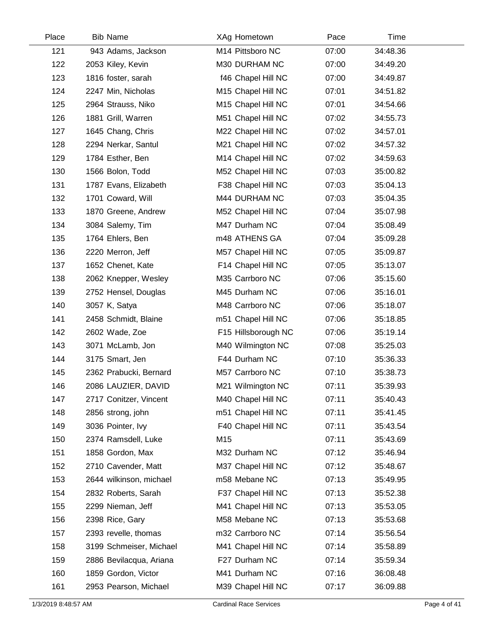| Place | <b>Bib Name</b>         | XAg Hometown        | Pace  | Time     |  |
|-------|-------------------------|---------------------|-------|----------|--|
| 121   | 943 Adams, Jackson      | M14 Pittsboro NC    | 07:00 | 34:48.36 |  |
| 122   | 2053 Kiley, Kevin       | M30 DURHAM NC       | 07:00 | 34:49.20 |  |
| 123   | 1816 foster, sarah      | f46 Chapel Hill NC  | 07:00 | 34:49.87 |  |
| 124   | 2247 Min, Nicholas      | M15 Chapel Hill NC  | 07:01 | 34:51.82 |  |
| 125   | 2964 Strauss, Niko      | M15 Chapel Hill NC  | 07:01 | 34:54.66 |  |
| 126   | 1881 Grill, Warren      | M51 Chapel Hill NC  | 07:02 | 34:55.73 |  |
| 127   | 1645 Chang, Chris       | M22 Chapel Hill NC  | 07:02 | 34:57.01 |  |
| 128   | 2294 Nerkar, Santul     | M21 Chapel Hill NC  | 07:02 | 34:57.32 |  |
| 129   | 1784 Esther, Ben        | M14 Chapel Hill NC  | 07:02 | 34:59.63 |  |
| 130   | 1566 Bolon, Todd        | M52 Chapel Hill NC  | 07:03 | 35:00.82 |  |
| 131   | 1787 Evans, Elizabeth   | F38 Chapel Hill NC  | 07:03 | 35:04.13 |  |
| 132   | 1701 Coward, Will       | M44 DURHAM NC       | 07:03 | 35:04.35 |  |
| 133   | 1870 Greene, Andrew     | M52 Chapel Hill NC  | 07:04 | 35:07.98 |  |
| 134   | 3084 Salemy, Tim        | M47 Durham NC       | 07:04 | 35:08.49 |  |
| 135   | 1764 Ehlers, Ben        | m48 ATHENS GA       | 07:04 | 35:09.28 |  |
| 136   | 2220 Merron, Jeff       | M57 Chapel Hill NC  | 07:05 | 35:09.87 |  |
| 137   | 1652 Chenet, Kate       | F14 Chapel Hill NC  | 07:05 | 35:13.07 |  |
| 138   | 2062 Knepper, Wesley    | M35 Carrboro NC     | 07:06 | 35:15.60 |  |
| 139   | 2752 Hensel, Douglas    | M45 Durham NC       | 07:06 | 35:16.01 |  |
| 140   | 3057 K, Satya           | M48 Carrboro NC     | 07:06 | 35:18.07 |  |
| 141   | 2458 Schmidt, Blaine    | m51 Chapel Hill NC  | 07:06 | 35:18.85 |  |
| 142   | 2602 Wade, Zoe          | F15 Hillsborough NC | 07:06 | 35:19.14 |  |
| 143   | 3071 McLamb, Jon        | M40 Wilmington NC   | 07:08 | 35:25.03 |  |
| 144   | 3175 Smart, Jen         | F44 Durham NC       | 07:10 | 35:36.33 |  |
| 145   | 2362 Prabucki, Bernard  | M57 Carrboro NC     | 07:10 | 35:38.73 |  |
| 146   | 2086 LAUZIER, DAVID     | M21 Wilmington NC   | 07:11 | 35:39.93 |  |
| 147   | 2717 Conitzer, Vincent  | M40 Chapel Hill NC  | 07:11 | 35:40.43 |  |
| 148   | 2856 strong, john       | m51 Chapel Hill NC  | 07:11 | 35:41.45 |  |
| 149   | 3036 Pointer, Ivy       | F40 Chapel Hill NC  | 07:11 | 35:43.54 |  |
| 150   | 2374 Ramsdell, Luke     | M15                 | 07:11 | 35:43.69 |  |
| 151   | 1858 Gordon, Max        | M32 Durham NC       | 07:12 | 35:46.94 |  |
| 152   | 2710 Cavender, Matt     | M37 Chapel Hill NC  | 07:12 | 35:48.67 |  |
| 153   | 2644 wilkinson, michael | m58 Mebane NC       | 07:13 | 35:49.95 |  |
| 154   | 2832 Roberts, Sarah     | F37 Chapel Hill NC  | 07:13 | 35:52.38 |  |
| 155   | 2299 Nieman, Jeff       | M41 Chapel Hill NC  | 07:13 | 35:53.05 |  |
| 156   | 2398 Rice, Gary         | M58 Mebane NC       | 07:13 | 35:53.68 |  |
| 157   | 2393 revelle, thomas    | m32 Carrboro NC     | 07:14 | 35:56.54 |  |
| 158   | 3199 Schmeiser, Michael | M41 Chapel Hill NC  | 07:14 | 35:58.89 |  |
| 159   | 2886 Bevilacqua, Ariana | F27 Durham NC       | 07:14 | 35:59.34 |  |
| 160   | 1859 Gordon, Victor     | M41 Durham NC       | 07:16 | 36:08.48 |  |
| 161   | 2953 Pearson, Michael   | M39 Chapel Hill NC  | 07:17 | 36:09.88 |  |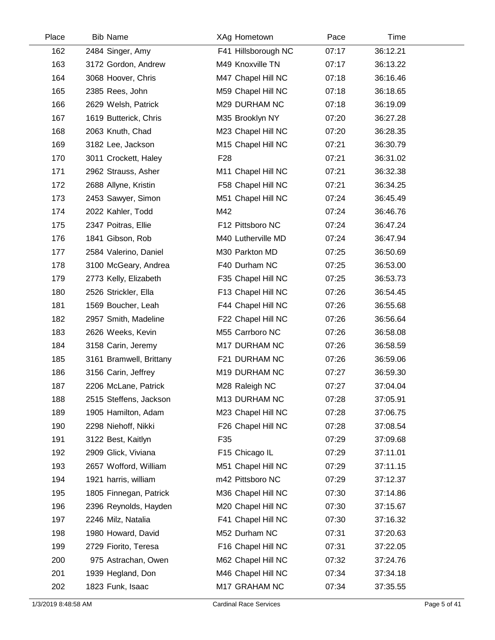|     | 2484 Singer, Amy        |                     |       |          |  |
|-----|-------------------------|---------------------|-------|----------|--|
| 162 |                         | F41 Hillsborough NC | 07:17 | 36:12.21 |  |
| 163 | 3172 Gordon, Andrew     | M49 Knoxville TN    | 07:17 | 36:13.22 |  |
| 164 | 3068 Hoover, Chris      | M47 Chapel Hill NC  | 07:18 | 36:16.46 |  |
| 165 | 2385 Rees, John         | M59 Chapel Hill NC  | 07:18 | 36:18.65 |  |
| 166 | 2629 Welsh, Patrick     | M29 DURHAM NC       | 07:18 | 36:19.09 |  |
| 167 | 1619 Butterick, Chris   | M35 Brooklyn NY     | 07:20 | 36:27.28 |  |
| 168 | 2063 Knuth, Chad        | M23 Chapel Hill NC  | 07:20 | 36:28.35 |  |
| 169 | 3182 Lee, Jackson       | M15 Chapel Hill NC  | 07:21 | 36:30.79 |  |
| 170 | 3011 Crockett, Haley    | F <sub>28</sub>     | 07:21 | 36:31.02 |  |
| 171 | 2962 Strauss, Asher     | M11 Chapel Hill NC  | 07:21 | 36:32.38 |  |
| 172 | 2688 Allyne, Kristin    | F58 Chapel Hill NC  | 07:21 | 36:34.25 |  |
| 173 | 2453 Sawyer, Simon      | M51 Chapel Hill NC  | 07:24 | 36:45.49 |  |
| 174 | 2022 Kahler, Todd       | M42                 | 07:24 | 36:46.76 |  |
| 175 | 2347 Poitras, Ellie     | F12 Pittsboro NC    | 07:24 | 36:47.24 |  |
| 176 | 1841 Gibson, Rob        | M40 Lutherville MD  | 07:24 | 36:47.94 |  |
| 177 | 2584 Valerino, Daniel   | M30 Parkton MD      | 07:25 | 36:50.69 |  |
| 178 | 3100 McGeary, Andrea    | F40 Durham NC       | 07:25 | 36:53.00 |  |
| 179 | 2773 Kelly, Elizabeth   | F35 Chapel Hill NC  | 07:25 | 36:53.73 |  |
| 180 | 2526 Strickler, Ella    | F13 Chapel Hill NC  | 07:26 | 36:54.45 |  |
| 181 | 1569 Boucher, Leah      | F44 Chapel Hill NC  | 07:26 | 36:55.68 |  |
| 182 | 2957 Smith, Madeline    | F22 Chapel Hill NC  | 07:26 | 36:56.64 |  |
| 183 | 2626 Weeks, Kevin       | M55 Carrboro NC     | 07:26 | 36:58.08 |  |
| 184 | 3158 Carin, Jeremy      | M17 DURHAM NC       | 07:26 | 36:58.59 |  |
| 185 | 3161 Bramwell, Brittany | F21 DURHAM NC       | 07:26 | 36:59.06 |  |
| 186 | 3156 Carin, Jeffrey     | M19 DURHAM NC       | 07:27 | 36:59.30 |  |
| 187 | 2206 McLane, Patrick    | M28 Raleigh NC      | 07:27 | 37:04.04 |  |
| 188 | 2515 Steffens, Jackson  | M13 DURHAM NC       | 07:28 | 37:05.91 |  |
| 189 | 1905 Hamilton, Adam     | M23 Chapel Hill NC  | 07:28 | 37:06.75 |  |
| 190 | 2298 Niehoff, Nikki     | F26 Chapel Hill NC  | 07:28 | 37:08.54 |  |
| 191 | 3122 Best, Kaitlyn      | F35                 | 07:29 | 37:09.68 |  |
| 192 | 2909 Glick, Viviana     | F15 Chicago IL      | 07:29 | 37:11.01 |  |
| 193 | 2657 Wofford, William   | M51 Chapel Hill NC  | 07:29 | 37:11.15 |  |
| 194 | 1921 harris, william    | m42 Pittsboro NC    | 07:29 | 37:12.37 |  |
| 195 | 1805 Finnegan, Patrick  | M36 Chapel Hill NC  | 07:30 | 37:14.86 |  |
| 196 | 2396 Reynolds, Hayden   | M20 Chapel Hill NC  | 07:30 | 37:15.67 |  |
| 197 | 2246 Milz, Natalia      | F41 Chapel Hill NC  | 07:30 | 37:16.32 |  |
| 198 | 1980 Howard, David      | M52 Durham NC       | 07:31 | 37:20.63 |  |
| 199 | 2729 Fiorito, Teresa    | F16 Chapel Hill NC  | 07:31 | 37:22.05 |  |
| 200 | 975 Astrachan, Owen     | M62 Chapel Hill NC  | 07:32 | 37:24.76 |  |
| 201 | 1939 Hegland, Don       | M46 Chapel Hill NC  | 07:34 | 37:34.18 |  |
| 202 | 1823 Funk, Isaac        | M17 GRAHAM NC       | 07:34 | 37:35.55 |  |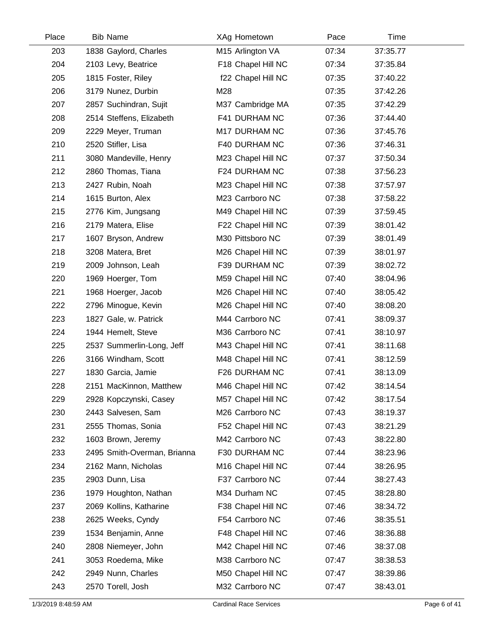| Place | <b>Bib Name</b>             | XAg Hometown       | Pace  | Time     |  |
|-------|-----------------------------|--------------------|-------|----------|--|
| 203   | 1838 Gaylord, Charles       | M15 Arlington VA   | 07:34 | 37:35.77 |  |
| 204   | 2103 Levy, Beatrice         | F18 Chapel Hill NC | 07:34 | 37:35.84 |  |
| 205   | 1815 Foster, Riley          | f22 Chapel Hill NC | 07:35 | 37:40.22 |  |
| 206   | 3179 Nunez, Durbin          | M28                | 07:35 | 37:42.26 |  |
| 207   | 2857 Suchindran, Sujit      | M37 Cambridge MA   | 07:35 | 37:42.29 |  |
| 208   | 2514 Steffens, Elizabeth    | F41 DURHAM NC      | 07:36 | 37:44.40 |  |
| 209   | 2229 Meyer, Truman          | M17 DURHAM NC      | 07:36 | 37:45.76 |  |
| 210   | 2520 Stifler, Lisa          | F40 DURHAM NC      | 07:36 | 37:46.31 |  |
| 211   | 3080 Mandeville, Henry      | M23 Chapel Hill NC | 07:37 | 37:50.34 |  |
| 212   | 2860 Thomas, Tiana          | F24 DURHAM NC      | 07:38 | 37:56.23 |  |
| 213   | 2427 Rubin, Noah            | M23 Chapel Hill NC | 07:38 | 37:57.97 |  |
| 214   | 1615 Burton, Alex           | M23 Carrboro NC    | 07:38 | 37:58.22 |  |
| 215   | 2776 Kim, Jungsang          | M49 Chapel Hill NC | 07:39 | 37:59.45 |  |
| 216   | 2179 Matera, Elise          | F22 Chapel Hill NC | 07:39 | 38:01.42 |  |
| 217   | 1607 Bryson, Andrew         | M30 Pittsboro NC   | 07:39 | 38:01.49 |  |
| 218   | 3208 Matera, Bret           | M26 Chapel Hill NC | 07:39 | 38:01.97 |  |
| 219   | 2009 Johnson, Leah          | F39 DURHAM NC      | 07:39 | 38:02.72 |  |
| 220   | 1969 Hoerger, Tom           | M59 Chapel Hill NC | 07:40 | 38:04.96 |  |
| 221   | 1968 Hoerger, Jacob         | M26 Chapel Hill NC | 07:40 | 38:05.42 |  |
| 222   | 2796 Minogue, Kevin         | M26 Chapel Hill NC | 07:40 | 38:08.20 |  |
| 223   | 1827 Gale, w. Patrick       | M44 Carrboro NC    | 07:41 | 38:09.37 |  |
| 224   | 1944 Hemelt, Steve          | M36 Carrboro NC    | 07:41 | 38:10.97 |  |
| 225   | 2537 Summerlin-Long, Jeff   | M43 Chapel Hill NC | 07:41 | 38:11.68 |  |
| 226   | 3166 Windham, Scott         | M48 Chapel Hill NC | 07:41 | 38:12.59 |  |
| 227   | 1830 Garcia, Jamie          | F26 DURHAM NC      | 07:41 | 38:13.09 |  |
| 228   | 2151 MacKinnon, Matthew     | M46 Chapel Hill NC | 07:42 | 38:14.54 |  |
| 229   | 2928 Kopczynski, Casey      | M57 Chapel Hill NC | 07:42 | 38:17.54 |  |
| 230   | 2443 Salvesen, Sam          | M26 Carrboro NC    | 07:43 | 38:19.37 |  |
| 231   | 2555 Thomas, Sonia          | F52 Chapel Hill NC | 07:43 | 38:21.29 |  |
| 232   | 1603 Brown, Jeremy          | M42 Carrboro NC    | 07:43 | 38:22.80 |  |
| 233   | 2495 Smith-Overman, Brianna | F30 DURHAM NC      | 07:44 | 38:23.96 |  |
| 234   | 2162 Mann, Nicholas         | M16 Chapel Hill NC | 07:44 | 38:26.95 |  |
| 235   | 2903 Dunn, Lisa             | F37 Carrboro NC    | 07:44 | 38:27.43 |  |
| 236   | 1979 Houghton, Nathan       | M34 Durham NC      | 07:45 | 38:28.80 |  |
| 237   | 2069 Kollins, Katharine     | F38 Chapel Hill NC | 07:46 | 38:34.72 |  |
| 238   | 2625 Weeks, Cyndy           | F54 Carrboro NC    | 07:46 | 38:35.51 |  |
| 239   | 1534 Benjamin, Anne         | F48 Chapel Hill NC | 07:46 | 38:36.88 |  |
| 240   | 2808 Niemeyer, John         | M42 Chapel Hill NC | 07:46 | 38:37.08 |  |
| 241   | 3053 Roedema, Mike          | M38 Carrboro NC    | 07:47 | 38:38.53 |  |
| 242   | 2949 Nunn, Charles          | M50 Chapel Hill NC | 07:47 | 38:39.86 |  |
| 243   | 2570 Torell, Josh           | M32 Carrboro NC    | 07:47 | 38:43.01 |  |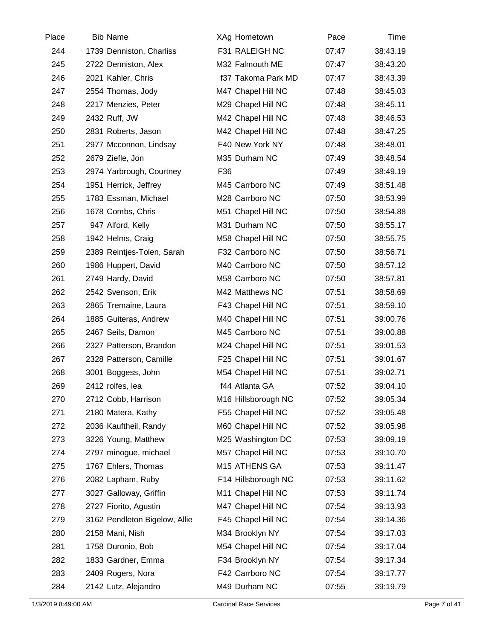| Place | <b>Bib Name</b>               | XAg Hometown        | Pace  | Time     |  |
|-------|-------------------------------|---------------------|-------|----------|--|
| 244   | 1739 Denniston, Charliss      | F31 RALEIGH NC      | 07:47 | 38:43.19 |  |
| 245   | 2722 Denniston, Alex          | M32 Falmouth ME     | 07:47 | 38:43.20 |  |
| 246   | 2021 Kahler, Chris            | f37 Takoma Park MD  | 07:47 | 38:43.39 |  |
| 247   | 2554 Thomas, Jody             | M47 Chapel Hill NC  | 07:48 | 38:45.03 |  |
| 248   | 2217 Menzies, Peter           | M29 Chapel Hill NC  | 07:48 | 38:45.11 |  |
| 249   | 2432 Ruff, JW                 | M42 Chapel Hill NC  | 07:48 | 38:46.53 |  |
| 250   | 2831 Roberts, Jason           | M42 Chapel Hill NC  | 07:48 | 38:47.25 |  |
| 251   | 2977 Mcconnon, Lindsay        | F40 New York NY     | 07:48 | 38:48.01 |  |
| 252   | 2679 Ziefle, Jon              | M35 Durham NC       | 07:49 | 38:48.54 |  |
| 253   | 2974 Yarbrough, Courtney      | F36                 | 07:49 | 38:49.19 |  |
| 254   | 1951 Herrick, Jeffrey         | M45 Carrboro NC     | 07:49 | 38:51.48 |  |
| 255   | 1783 Essman, Michael          | M28 Carrboro NC     | 07:50 | 38:53.99 |  |
| 256   | 1678 Combs, Chris             | M51 Chapel Hill NC  | 07:50 | 38:54.88 |  |
| 257   | 947 Alford, Kelly             | M31 Durham NC       | 07:50 | 38:55.17 |  |
| 258   | 1942 Helms, Craig             | M58 Chapel Hill NC  | 07:50 | 38:55.75 |  |
| 259   | 2389 Reintjes-Tolen, Sarah    | F32 Carrboro NC     | 07:50 | 38:56.71 |  |
| 260   | 1986 Huppert, David           | M40 Carrboro NC     | 07:50 | 38:57.12 |  |
| 261   | 2749 Hardy, David             | M58 Carrboro NC     | 07:50 | 38:57.81 |  |
| 262   | 2542 Svenson, Erik            | M42 Matthews NC     | 07:51 | 38:58.69 |  |
| 263   | 2865 Tremaine, Laura          | F43 Chapel Hill NC  | 07:51 | 38:59.10 |  |
| 264   | 1885 Guiteras, Andrew         | M40 Chapel Hill NC  | 07:51 | 39:00.76 |  |
| 265   | 2467 Seils, Damon             | M45 Carrboro NC     | 07:51 | 39:00.88 |  |
| 266   | 2327 Patterson, Brandon       | M24 Chapel Hill NC  | 07:51 | 39:01.53 |  |
| 267   | 2328 Patterson, Camille       | F25 Chapel Hill NC  | 07:51 | 39:01.67 |  |
| 268   | 3001 Boggess, John            | M54 Chapel Hill NC  | 07:51 | 39:02.71 |  |
| 269   | 2412 rolfes, lea              | f44 Atlanta GA      | 07:52 | 39:04.10 |  |
| 270   | 2712 Cobb, Harrison           | M16 Hillsborough NC | 07:52 | 39:05.34 |  |
| 271   | 2180 Matera, Kathy            | F55 Chapel Hill NC  | 07:52 | 39:05.48 |  |
| 272   | 2036 Kauftheil, Randy         | M60 Chapel Hill NC  | 07:52 | 39:05.98 |  |
| 273   | 3226 Young, Matthew           | M25 Washington DC   | 07:53 | 39:09.19 |  |
| 274   | 2797 minogue, michael         | M57 Chapel Hill NC  | 07:53 | 39:10.70 |  |
| 275   | 1767 Ehlers, Thomas           | M15 ATHENS GA       | 07:53 | 39:11.47 |  |
| 276   | 2082 Lapham, Ruby             | F14 Hillsborough NC | 07:53 | 39:11.62 |  |
| 277   | 3027 Galloway, Griffin        | M11 Chapel Hill NC  | 07:53 | 39:11.74 |  |
| 278   | 2727 Fiorito, Agustin         | M47 Chapel Hill NC  | 07:54 | 39:13.93 |  |
| 279   | 3162 Pendleton Bigelow, Allie | F45 Chapel Hill NC  | 07:54 | 39:14.36 |  |
| 280   | 2158 Mani, Nish               | M34 Brooklyn NY     | 07:54 | 39:17.03 |  |
| 281   | 1758 Duronio, Bob             | M54 Chapel Hill NC  | 07:54 | 39:17.04 |  |
| 282   | 1833 Gardner, Emma            | F34 Brooklyn NY     | 07:54 | 39:17.34 |  |
| 283   | 2409 Rogers, Nora             | F42 Carrboro NC     | 07:54 | 39:17.77 |  |
| 284   | 2142 Lutz, Alejandro          | M49 Durham NC       | 07:55 | 39:19.79 |  |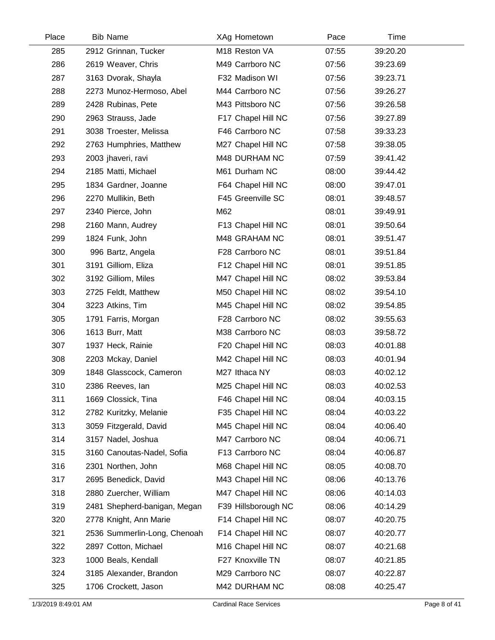| Place | <b>Bib Name</b>              | XAg Hometown        | Pace  | Time     |  |
|-------|------------------------------|---------------------|-------|----------|--|
| 285   | 2912 Grinnan, Tucker         | M18 Reston VA       | 07:55 | 39:20.20 |  |
| 286   | 2619 Weaver, Chris           | M49 Carrboro NC     | 07:56 | 39:23.69 |  |
| 287   | 3163 Dvorak, Shayla          | F32 Madison WI      | 07:56 | 39:23.71 |  |
| 288   | 2273 Munoz-Hermoso, Abel     | M44 Carrboro NC     | 07:56 | 39:26.27 |  |
| 289   | 2428 Rubinas, Pete           | M43 Pittsboro NC    | 07:56 | 39:26.58 |  |
| 290   | 2963 Strauss, Jade           | F17 Chapel Hill NC  | 07:56 | 39:27.89 |  |
| 291   | 3038 Troester, Melissa       | F46 Carrboro NC     | 07:58 | 39:33.23 |  |
| 292   | 2763 Humphries, Matthew      | M27 Chapel Hill NC  | 07:58 | 39:38.05 |  |
| 293   | 2003 jhaveri, ravi           | M48 DURHAM NC       | 07:59 | 39:41.42 |  |
| 294   | 2185 Matti, Michael          | M61 Durham NC       | 08:00 | 39:44.42 |  |
| 295   | 1834 Gardner, Joanne         | F64 Chapel Hill NC  | 08:00 | 39:47.01 |  |
| 296   | 2270 Mullikin, Beth          | F45 Greenville SC   | 08:01 | 39:48.57 |  |
| 297   | 2340 Pierce, John            | M62                 | 08:01 | 39:49.91 |  |
| 298   | 2160 Mann, Audrey            | F13 Chapel Hill NC  | 08:01 | 39:50.64 |  |
| 299   | 1824 Funk, John              | M48 GRAHAM NC       | 08:01 | 39:51.47 |  |
| 300   | 996 Bartz, Angela            | F28 Carrboro NC     | 08:01 | 39:51.84 |  |
| 301   | 3191 Gilliom, Eliza          | F12 Chapel Hill NC  | 08:01 | 39:51.85 |  |
| 302   | 3192 Gilliom, Miles          | M47 Chapel Hill NC  | 08:02 | 39:53.84 |  |
| 303   | 2725 Feldt, Matthew          | M50 Chapel Hill NC  | 08:02 | 39:54.10 |  |
| 304   | 3223 Atkins, Tim             | M45 Chapel Hill NC  | 08:02 | 39:54.85 |  |
| 305   | 1791 Farris, Morgan          | F28 Carrboro NC     | 08:02 | 39:55.63 |  |
| 306   | 1613 Burr, Matt              | M38 Carrboro NC     | 08:03 | 39:58.72 |  |
| 307   | 1937 Heck, Rainie            | F20 Chapel Hill NC  | 08:03 | 40:01.88 |  |
| 308   | 2203 Mckay, Daniel           | M42 Chapel Hill NC  | 08:03 | 40:01.94 |  |
| 309   | 1848 Glasscock, Cameron      | M27 Ithaca NY       | 08:03 | 40:02.12 |  |
| 310   | 2386 Reeves, lan             | M25 Chapel Hill NC  | 08:03 | 40:02.53 |  |
| 311   | 1669 Clossick, Tina          | F46 Chapel Hill NC  | 08:04 | 40:03.15 |  |
| 312   | 2782 Kuritzky, Melanie       | F35 Chapel Hill NC  | 08:04 | 40:03.22 |  |
| 313   | 3059 Fitzgerald, David       | M45 Chapel Hill NC  | 08:04 | 40:06.40 |  |
| 314   | 3157 Nadel, Joshua           | M47 Carrboro NC     | 08:04 | 40:06.71 |  |
| 315   | 3160 Canoutas-Nadel, Sofia   | F13 Carrboro NC     | 08:04 | 40:06.87 |  |
| 316   | 2301 Northen, John           | M68 Chapel Hill NC  | 08:05 | 40:08.70 |  |
| 317   | 2695 Benedick, David         | M43 Chapel Hill NC  | 08:06 | 40:13.76 |  |
| 318   | 2880 Zuercher, William       | M47 Chapel Hill NC  | 08:06 | 40:14.03 |  |
| 319   | 2481 Shepherd-banigan, Megan | F39 Hillsborough NC | 08:06 | 40:14.29 |  |
| 320   | 2778 Knight, Ann Marie       | F14 Chapel Hill NC  | 08:07 | 40:20.75 |  |
| 321   | 2536 Summerlin-Long, Chenoah | F14 Chapel Hill NC  | 08:07 | 40:20.77 |  |
| 322   | 2897 Cotton, Michael         | M16 Chapel Hill NC  | 08:07 | 40:21.68 |  |
| 323   | 1000 Beals, Kendall          | F27 Knoxville TN    | 08:07 | 40:21.85 |  |
| 324   | 3185 Alexander, Brandon      | M29 Carrboro NC     | 08:07 | 40:22.87 |  |
| 325   | 1706 Crockett, Jason         | M42 DURHAM NC       | 08:08 | 40:25.47 |  |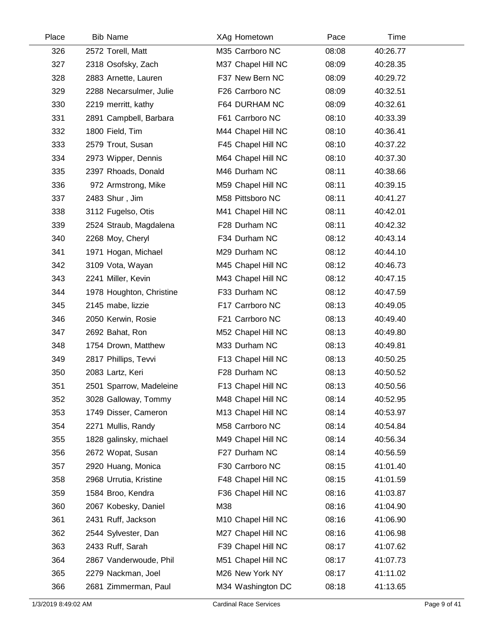| Place | <b>Bib Name</b>          | XAg Hometown       | Pace  | Time     |  |
|-------|--------------------------|--------------------|-------|----------|--|
| 326   | 2572 Torell, Matt        | M35 Carrboro NC    | 08:08 | 40:26.77 |  |
| 327   | 2318 Osofsky, Zach       | M37 Chapel Hill NC | 08:09 | 40:28.35 |  |
| 328   | 2883 Arnette, Lauren     | F37 New Bern NC    | 08:09 | 40:29.72 |  |
| 329   | 2288 Necarsulmer, Julie  | F26 Carrboro NC    | 08:09 | 40:32.51 |  |
| 330   | 2219 merritt, kathy      | F64 DURHAM NC      | 08:09 | 40:32.61 |  |
| 331   | 2891 Campbell, Barbara   | F61 Carrboro NC    | 08:10 | 40:33.39 |  |
| 332   | 1800 Field, Tim          | M44 Chapel Hill NC | 08:10 | 40:36.41 |  |
| 333   | 2579 Trout, Susan        | F45 Chapel Hill NC | 08:10 | 40:37.22 |  |
| 334   | 2973 Wipper, Dennis      | M64 Chapel Hill NC | 08:10 | 40:37.30 |  |
| 335   | 2397 Rhoads, Donald      | M46 Durham NC      | 08:11 | 40:38.66 |  |
| 336   | 972 Armstrong, Mike      | M59 Chapel Hill NC | 08:11 | 40:39.15 |  |
| 337   | 2483 Shur, Jim           | M58 Pittsboro NC   | 08:11 | 40:41.27 |  |
| 338   | 3112 Fugelso, Otis       | M41 Chapel Hill NC | 08:11 | 40:42.01 |  |
| 339   | 2524 Straub, Magdalena   | F28 Durham NC      | 08:11 | 40:42.32 |  |
| 340   | 2268 Moy, Cheryl         | F34 Durham NC      | 08:12 | 40:43.14 |  |
| 341   | 1971 Hogan, Michael      | M29 Durham NC      | 08:12 | 40:44.10 |  |
| 342   | 3109 Vota, Wayan         | M45 Chapel Hill NC | 08:12 | 40:46.73 |  |
| 343   | 2241 Miller, Kevin       | M43 Chapel Hill NC | 08:12 | 40:47.15 |  |
| 344   | 1978 Houghton, Christine | F33 Durham NC      | 08:12 | 40:47.59 |  |
| 345   | 2145 mabe, lizzie        | F17 Carrboro NC    | 08:13 | 40:49.05 |  |
| 346   | 2050 Kerwin, Rosie       | F21 Carrboro NC    | 08:13 | 40:49.40 |  |
| 347   | 2692 Bahat, Ron          | M52 Chapel Hill NC | 08:13 | 40:49.80 |  |
| 348   | 1754 Drown, Matthew      | M33 Durham NC      | 08:13 | 40:49.81 |  |
| 349   | 2817 Phillips, Tevvi     | F13 Chapel Hill NC | 08:13 | 40:50.25 |  |
| 350   | 2083 Lartz, Keri         | F28 Durham NC      | 08:13 | 40:50.52 |  |
| 351   | 2501 Sparrow, Madeleine  | F13 Chapel Hill NC | 08:13 | 40:50.56 |  |
| 352   | 3028 Galloway, Tommy     | M48 Chapel Hill NC | 08:14 | 40:52.95 |  |
| 353   | 1749 Disser, Cameron     | M13 Chapel Hill NC | 08:14 | 40:53.97 |  |
| 354   | 2271 Mullis, Randy       | M58 Carrboro NC    | 08:14 | 40:54.84 |  |
| 355   | 1828 galinsky, michael   | M49 Chapel Hill NC | 08:14 | 40:56.34 |  |
| 356   | 2672 Wopat, Susan        | F27 Durham NC      | 08:14 | 40:56.59 |  |
| 357   | 2920 Huang, Monica       | F30 Carrboro NC    | 08:15 | 41:01.40 |  |
| 358   | 2968 Urrutia, Kristine   | F48 Chapel Hill NC | 08:15 | 41:01.59 |  |
| 359   | 1584 Broo, Kendra        | F36 Chapel Hill NC | 08:16 | 41:03.87 |  |
| 360   | 2067 Kobesky, Daniel     | M38                | 08:16 | 41:04.90 |  |
| 361   | 2431 Ruff, Jackson       | M10 Chapel Hill NC | 08:16 | 41:06.90 |  |
| 362   | 2544 Sylvester, Dan      | M27 Chapel Hill NC | 08:16 | 41:06.98 |  |
| 363   | 2433 Ruff, Sarah         | F39 Chapel Hill NC | 08:17 | 41:07.62 |  |
| 364   | 2867 Vanderwoude, Phil   | M51 Chapel Hill NC | 08:17 | 41:07.73 |  |
| 365   | 2279 Nackman, Joel       | M26 New York NY    | 08:17 | 41:11.02 |  |
| 366   | 2681 Zimmerman, Paul     | M34 Washington DC  | 08:18 | 41:13.65 |  |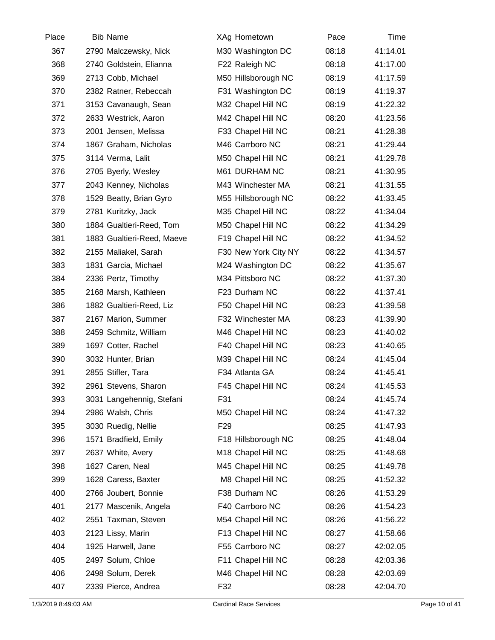| Place | <b>Bib Name</b>            | XAg Hometown         | Pace  | Time     |
|-------|----------------------------|----------------------|-------|----------|
| 367   | 2790 Malczewsky, Nick      | M30 Washington DC    | 08:18 | 41:14.01 |
| 368   | 2740 Goldstein, Elianna    | F22 Raleigh NC       | 08:18 | 41:17.00 |
| 369   | 2713 Cobb, Michael         | M50 Hillsborough NC  | 08:19 | 41:17.59 |
| 370   | 2382 Ratner, Rebeccah      | F31 Washington DC    | 08:19 | 41:19.37 |
| 371   | 3153 Cavanaugh, Sean       | M32 Chapel Hill NC   | 08:19 | 41:22.32 |
| 372   | 2633 Westrick, Aaron       | M42 Chapel Hill NC   | 08:20 | 41:23.56 |
| 373   | 2001 Jensen, Melissa       | F33 Chapel Hill NC   | 08:21 | 41:28.38 |
| 374   | 1867 Graham, Nicholas      | M46 Carrboro NC      | 08:21 | 41:29.44 |
| 375   | 3114 Verma, Lalit          | M50 Chapel Hill NC   | 08:21 | 41:29.78 |
| 376   | 2705 Byerly, Wesley        | M61 DURHAM NC        | 08:21 | 41:30.95 |
| 377   | 2043 Kenney, Nicholas      | M43 Winchester MA    | 08:21 | 41:31.55 |
| 378   | 1529 Beatty, Brian Gyro    | M55 Hillsborough NC  | 08:22 | 41:33.45 |
| 379   | 2781 Kuritzky, Jack        | M35 Chapel Hill NC   | 08:22 | 41:34.04 |
| 380   | 1884 Gualtieri-Reed, Tom   | M50 Chapel Hill NC   | 08:22 | 41:34.29 |
| 381   | 1883 Gualtieri-Reed, Maeve | F19 Chapel Hill NC   | 08:22 | 41:34.52 |
| 382   | 2155 Maliakel, Sarah       | F30 New York City NY | 08:22 | 41:34.57 |
| 383   | 1831 Garcia, Michael       | M24 Washington DC    | 08:22 | 41:35.67 |
| 384   | 2336 Pertz, Timothy        | M34 Pittsboro NC     | 08:22 | 41:37.30 |
| 385   | 2168 Marsh, Kathleen       | F23 Durham NC        | 08:22 | 41:37.41 |
| 386   | 1882 Gualtieri-Reed, Liz   | F50 Chapel Hill NC   | 08:23 | 41:39.58 |
| 387   | 2167 Marion, Summer        | F32 Winchester MA    | 08:23 | 41:39.90 |
| 388   | 2459 Schmitz, William      | M46 Chapel Hill NC   | 08:23 | 41:40.02 |
| 389   | 1697 Cotter, Rachel        | F40 Chapel Hill NC   | 08:23 | 41:40.65 |
| 390   | 3032 Hunter, Brian         | M39 Chapel Hill NC   | 08:24 | 41:45.04 |
| 391   | 2855 Stifler, Tara         | F34 Atlanta GA       | 08:24 | 41:45.41 |
| 392   | 2961 Stevens, Sharon       | F45 Chapel Hill NC   | 08:24 | 41:45.53 |
| 393   | 3031 Langehennig, Stefani  | F31                  | 08:24 | 41:45.74 |
| 394   | 2986 Walsh, Chris          | M50 Chapel Hill NC   | 08:24 | 41:47.32 |
| 395   | 3030 Ruedig, Nellie        | F <sub>29</sub>      | 08:25 | 41:47.93 |
| 396   | 1571 Bradfield, Emily      | F18 Hillsborough NC  | 08:25 | 41:48.04 |
| 397   | 2637 White, Avery          | M18 Chapel Hill NC   | 08:25 | 41:48.68 |
| 398   | 1627 Caren, Neal           | M45 Chapel Hill NC   | 08:25 | 41:49.78 |
| 399   | 1628 Caress, Baxter        | M8 Chapel Hill NC    | 08:25 | 41:52.32 |
| 400   | 2766 Joubert, Bonnie       | F38 Durham NC        | 08:26 | 41:53.29 |
| 401   | 2177 Mascenik, Angela      | F40 Carrboro NC      | 08:26 | 41:54.23 |
| 402   | 2551 Taxman, Steven        | M54 Chapel Hill NC   | 08:26 | 41:56.22 |
| 403   | 2123 Lissy, Marin          | F13 Chapel Hill NC   | 08:27 | 41:58.66 |
| 404   | 1925 Harwell, Jane         | F55 Carrboro NC      | 08:27 | 42:02.05 |
| 405   | 2497 Solum, Chloe          | F11 Chapel Hill NC   | 08:28 | 42:03.36 |
| 406   | 2498 Solum, Derek          | M46 Chapel Hill NC   | 08:28 | 42:03.69 |
| 407   | 2339 Pierce, Andrea        | F32                  | 08:28 | 42:04.70 |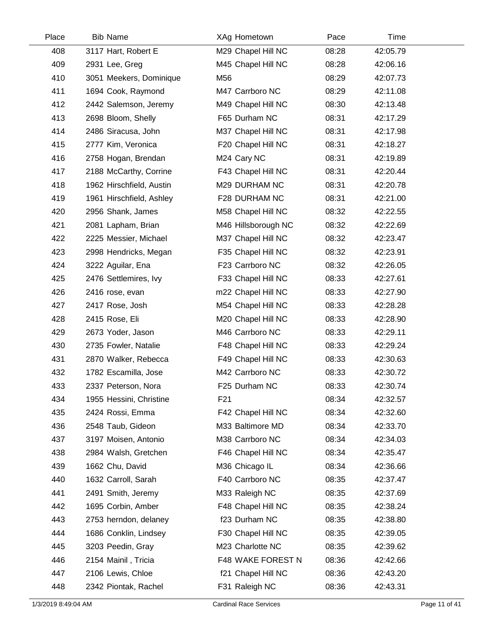| Place | <b>Bib Name</b>          | XAg Hometown        | Pace  | Time     |  |
|-------|--------------------------|---------------------|-------|----------|--|
| 408   | 3117 Hart, Robert E      | M29 Chapel Hill NC  | 08:28 | 42:05.79 |  |
| 409   | 2931 Lee, Greg           | M45 Chapel Hill NC  | 08:28 | 42:06.16 |  |
| 410   | 3051 Meekers, Dominique  | M56                 | 08:29 | 42:07.73 |  |
| 411   | 1694 Cook, Raymond       | M47 Carrboro NC     | 08:29 | 42:11.08 |  |
| 412   | 2442 Salemson, Jeremy    | M49 Chapel Hill NC  | 08:30 | 42:13.48 |  |
| 413   | 2698 Bloom, Shelly       | F65 Durham NC       | 08:31 | 42:17.29 |  |
| 414   | 2486 Siracusa, John      | M37 Chapel Hill NC  | 08:31 | 42:17.98 |  |
| 415   | 2777 Kim, Veronica       | F20 Chapel Hill NC  | 08:31 | 42:18.27 |  |
| 416   | 2758 Hogan, Brendan      | M24 Cary NC         | 08:31 | 42:19.89 |  |
| 417   | 2188 McCarthy, Corrine   | F43 Chapel Hill NC  | 08:31 | 42:20.44 |  |
| 418   | 1962 Hirschfield, Austin | M29 DURHAM NC       | 08:31 | 42:20.78 |  |
| 419   | 1961 Hirschfield, Ashley | F28 DURHAM NC       | 08:31 | 42:21.00 |  |
| 420   | 2956 Shank, James        | M58 Chapel Hill NC  | 08:32 | 42:22.55 |  |
| 421   | 2081 Lapham, Brian       | M46 Hillsborough NC | 08:32 | 42:22.69 |  |
| 422   | 2225 Messier, Michael    | M37 Chapel Hill NC  | 08:32 | 42:23.47 |  |
| 423   | 2998 Hendricks, Megan    | F35 Chapel Hill NC  | 08:32 | 42:23.91 |  |
| 424   | 3222 Aguilar, Ena        | F23 Carrboro NC     | 08:32 | 42:26.05 |  |
| 425   | 2476 Settlemires, Ivy    | F33 Chapel Hill NC  | 08:33 | 42:27.61 |  |
| 426   | 2416 rose, evan          | m22 Chapel Hill NC  | 08:33 | 42:27.90 |  |
| 427   | 2417 Rose, Josh          | M54 Chapel Hill NC  | 08:33 | 42:28.28 |  |
| 428   | 2415 Rose, Eli           | M20 Chapel Hill NC  | 08:33 | 42:28.90 |  |
| 429   | 2673 Yoder, Jason        | M46 Carrboro NC     | 08:33 | 42:29.11 |  |
| 430   | 2735 Fowler, Natalie     | F48 Chapel Hill NC  | 08:33 | 42:29.24 |  |
| 431   | 2870 Walker, Rebecca     | F49 Chapel Hill NC  | 08:33 | 42:30.63 |  |
| 432   | 1782 Escamilla, Jose     | M42 Carrboro NC     | 08:33 | 42:30.72 |  |
| 433   | 2337 Peterson, Nora      | F25 Durham NC       | 08:33 | 42:30.74 |  |
| 434   | 1955 Hessini, Christine  | F21                 | 08:34 | 42:32.57 |  |
| 435   | 2424 Rossi, Emma         | F42 Chapel Hill NC  | 08:34 | 42:32.60 |  |
| 436   | 2548 Taub, Gideon        | M33 Baltimore MD    | 08:34 | 42:33.70 |  |
| 437   | 3197 Moisen, Antonio     | M38 Carrboro NC     | 08:34 | 42:34.03 |  |
| 438   | 2984 Walsh, Gretchen     | F46 Chapel Hill NC  | 08:34 | 42:35.47 |  |
| 439   | 1662 Chu, David          | M36 Chicago IL      | 08:34 | 42:36.66 |  |
| 440   | 1632 Carroll, Sarah      | F40 Carrboro NC     | 08:35 | 42:37.47 |  |
| 441   | 2491 Smith, Jeremy       | M33 Raleigh NC      | 08:35 | 42:37.69 |  |
| 442   | 1695 Corbin, Amber       | F48 Chapel Hill NC  | 08:35 | 42:38.24 |  |
| 443   | 2753 herndon, delaney    | f23 Durham NC       | 08:35 | 42:38.80 |  |
| 444   | 1686 Conklin, Lindsey    | F30 Chapel Hill NC  | 08:35 | 42:39.05 |  |
| 445   | 3203 Peedin, Gray        | M23 Charlotte NC    | 08:35 | 42:39.62 |  |
| 446   | 2154 Mainil, Tricia      | F48 WAKE FOREST N   | 08:36 | 42:42.66 |  |
| 447   | 2106 Lewis, Chloe        | f21 Chapel Hill NC  | 08:36 | 42:43.20 |  |
| 448   | 2342 Piontak, Rachel     | F31 Raleigh NC      | 08:36 | 42:43.31 |  |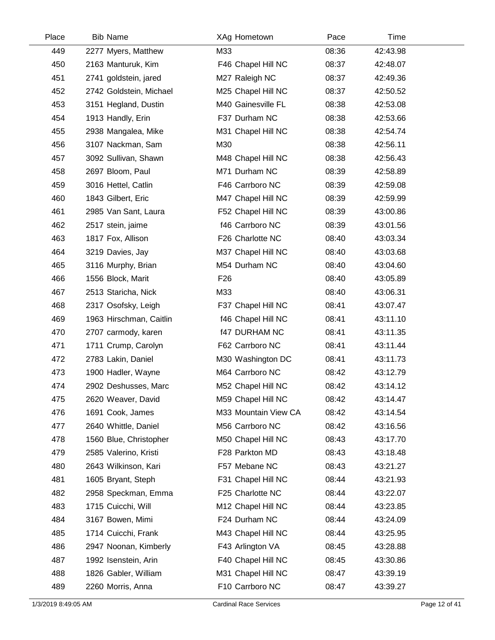| Place | <b>Bib Name</b>         | XAg Hometown         | Pace  | Time     |  |
|-------|-------------------------|----------------------|-------|----------|--|
| 449   | 2277 Myers, Matthew     | M33                  | 08:36 | 42:43.98 |  |
| 450   | 2163 Manturuk, Kim      | F46 Chapel Hill NC   | 08:37 | 42:48.07 |  |
| 451   | 2741 goldstein, jared   | M27 Raleigh NC       | 08:37 | 42:49.36 |  |
| 452   | 2742 Goldstein, Michael | M25 Chapel Hill NC   | 08:37 | 42:50.52 |  |
| 453   | 3151 Hegland, Dustin    | M40 Gainesville FL   | 08:38 | 42:53.08 |  |
| 454   | 1913 Handly, Erin       | F37 Durham NC        | 08:38 | 42:53.66 |  |
| 455   | 2938 Mangalea, Mike     | M31 Chapel Hill NC   | 08:38 | 42:54.74 |  |
| 456   | 3107 Nackman, Sam       | M30                  | 08:38 | 42:56.11 |  |
| 457   | 3092 Sullivan, Shawn    | M48 Chapel Hill NC   | 08:38 | 42:56.43 |  |
| 458   | 2697 Bloom, Paul        | M71 Durham NC        | 08:39 | 42:58.89 |  |
| 459   | 3016 Hettel, Catlin     | F46 Carrboro NC      | 08:39 | 42:59.08 |  |
| 460   | 1843 Gilbert, Eric      | M47 Chapel Hill NC   | 08:39 | 42:59.99 |  |
| 461   | 2985 Van Sant, Laura    | F52 Chapel Hill NC   | 08:39 | 43:00.86 |  |
| 462   | 2517 stein, jaime       | f46 Carrboro NC      | 08:39 | 43:01.56 |  |
| 463   | 1817 Fox, Allison       | F26 Charlotte NC     | 08:40 | 43:03.34 |  |
| 464   | 3219 Davies, Jay        | M37 Chapel Hill NC   | 08:40 | 43:03.68 |  |
| 465   | 3116 Murphy, Brian      | M54 Durham NC        | 08:40 | 43:04.60 |  |
| 466   | 1556 Block, Marit       | F <sub>26</sub>      | 08:40 | 43:05.89 |  |
| 467   | 2513 Staricha, Nick     | M33                  | 08:40 | 43:06.31 |  |
| 468   | 2317 Osofsky, Leigh     | F37 Chapel Hill NC   | 08:41 | 43:07.47 |  |
| 469   | 1963 Hirschman, Caitlin | f46 Chapel Hill NC   | 08:41 | 43:11.10 |  |
| 470   | 2707 carmody, karen     | <b>f47 DURHAM NC</b> | 08:41 | 43:11.35 |  |
| 471   | 1711 Crump, Carolyn     | F62 Carrboro NC      | 08:41 | 43:11.44 |  |
| 472   | 2783 Lakin, Daniel      | M30 Washington DC    | 08:41 | 43:11.73 |  |
| 473   | 1900 Hadler, Wayne      | M64 Carrboro NC      | 08:42 | 43:12.79 |  |
| 474   | 2902 Deshusses, Marc    | M52 Chapel Hill NC   | 08:42 | 43:14.12 |  |
| 475   | 2620 Weaver, David      | M59 Chapel Hill NC   | 08:42 | 43:14.47 |  |
| 476   | 1691 Cook, James        | M33 Mountain View CA | 08:42 | 43:14.54 |  |
| 477   | 2640 Whittle, Daniel    | M56 Carrboro NC      | 08:42 | 43:16.56 |  |
| 478   | 1560 Blue, Christopher  | M50 Chapel Hill NC   | 08:43 | 43:17.70 |  |
| 479   | 2585 Valerino, Kristi   | F28 Parkton MD       | 08:43 | 43:18.48 |  |
| 480   | 2643 Wilkinson, Kari    | F57 Mebane NC        | 08:43 | 43:21.27 |  |
| 481   | 1605 Bryant, Steph      | F31 Chapel Hill NC   | 08:44 | 43:21.93 |  |
| 482   | 2958 Speckman, Emma     | F25 Charlotte NC     | 08:44 | 43:22.07 |  |
| 483   | 1715 Cuicchi, Will      | M12 Chapel Hill NC   | 08:44 | 43:23.85 |  |
| 484   | 3167 Bowen, Mimi        | F24 Durham NC        | 08:44 | 43:24.09 |  |
| 485   | 1714 Cuicchi, Frank     | M43 Chapel Hill NC   | 08:44 | 43:25.95 |  |
| 486   | 2947 Noonan, Kimberly   | F43 Arlington VA     | 08:45 | 43:28.88 |  |
| 487   | 1992 Isenstein, Arin    | F40 Chapel Hill NC   | 08:45 | 43:30.86 |  |
| 488   | 1826 Gabler, William    | M31 Chapel Hill NC   | 08:47 | 43:39.19 |  |
| 489   | 2260 Morris, Anna       | F10 Carrboro NC      | 08:47 | 43:39.27 |  |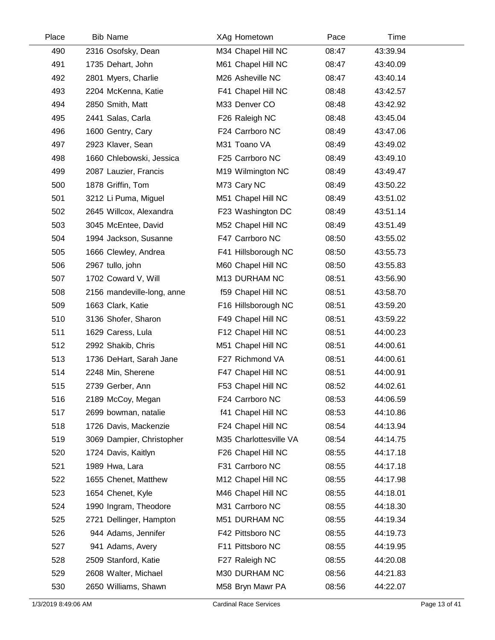| Place | <b>Bib Name</b>            | XAg Hometown           | Pace  | Time     |  |
|-------|----------------------------|------------------------|-------|----------|--|
| 490   | 2316 Osofsky, Dean         | M34 Chapel Hill NC     | 08:47 | 43:39.94 |  |
| 491   | 1735 Dehart, John          | M61 Chapel Hill NC     | 08:47 | 43:40.09 |  |
| 492   | 2801 Myers, Charlie        | M26 Asheville NC       | 08:47 | 43:40.14 |  |
| 493   | 2204 McKenna, Katie        | F41 Chapel Hill NC     | 08:48 | 43:42.57 |  |
| 494   | 2850 Smith, Matt           | M33 Denver CO          | 08:48 | 43:42.92 |  |
| 495   | 2441 Salas, Carla          | F26 Raleigh NC         | 08:48 | 43:45.04 |  |
| 496   | 1600 Gentry, Cary          | F24 Carrboro NC        | 08:49 | 43:47.06 |  |
| 497   | 2923 Klaver, Sean          | M31 Toano VA           | 08:49 | 43:49.02 |  |
| 498   | 1660 Chlebowski, Jessica   | F25 Carrboro NC        | 08:49 | 43:49.10 |  |
| 499   | 2087 Lauzier, Francis      | M19 Wilmington NC      | 08:49 | 43:49.47 |  |
| 500   | 1878 Griffin, Tom          | M73 Cary NC            | 08:49 | 43:50.22 |  |
| 501   | 3212 Li Puma, Miguel       | M51 Chapel Hill NC     | 08:49 | 43:51.02 |  |
| 502   | 2645 Willcox, Alexandra    | F23 Washington DC      | 08:49 | 43:51.14 |  |
| 503   | 3045 McEntee, David        | M52 Chapel Hill NC     | 08:49 | 43:51.49 |  |
| 504   | 1994 Jackson, Susanne      | F47 Carrboro NC        | 08:50 | 43:55.02 |  |
| 505   | 1666 Clewley, Andrea       | F41 Hillsborough NC    | 08:50 | 43:55.73 |  |
| 506   | 2967 tullo, john           | M60 Chapel Hill NC     | 08:50 | 43:55.83 |  |
| 507   | 1702 Coward V, Will        | M13 DURHAM NC          | 08:51 | 43:56.90 |  |
| 508   | 2156 mandeville-long, anne | f59 Chapel Hill NC     | 08:51 | 43:58.70 |  |
| 509   | 1663 Clark, Katie          | F16 Hillsborough NC    | 08:51 | 43:59.20 |  |
| 510   | 3136 Shofer, Sharon        | F49 Chapel Hill NC     | 08:51 | 43:59.22 |  |
| 511   | 1629 Caress, Lula          | F12 Chapel Hill NC     | 08:51 | 44:00.23 |  |
| 512   | 2992 Shakib, Chris         | M51 Chapel Hill NC     | 08:51 | 44:00.61 |  |
| 513   | 1736 DeHart, Sarah Jane    | F27 Richmond VA        | 08:51 | 44:00.61 |  |
| 514   | 2248 Min, Sherene          | F47 Chapel Hill NC     | 08:51 | 44:00.91 |  |
| 515   | 2739 Gerber, Ann           | F53 Chapel Hill NC     | 08:52 | 44:02.61 |  |
| 516   | 2189 McCoy, Megan          | F24 Carrboro NC        | 08:53 | 44:06.59 |  |
| 517   | 2699 bowman, natalie       | f41 Chapel Hill NC     | 08:53 | 44:10.86 |  |
| 518   | 1726 Davis, Mackenzie      | F24 Chapel Hill NC     | 08:54 | 44:13.94 |  |
| 519   | 3069 Dampier, Christopher  | M35 Charlottesville VA | 08:54 | 44:14.75 |  |
| 520   | 1724 Davis, Kaitlyn        | F26 Chapel Hill NC     | 08:55 | 44:17.18 |  |
| 521   | 1989 Hwa, Lara             | F31 Carrboro NC        | 08:55 | 44:17.18 |  |
| 522   | 1655 Chenet, Matthew       | M12 Chapel Hill NC     | 08:55 | 44:17.98 |  |
| 523   | 1654 Chenet, Kyle          | M46 Chapel Hill NC     | 08:55 | 44:18.01 |  |
| 524   | 1990 Ingram, Theodore      | M31 Carrboro NC        | 08:55 | 44:18.30 |  |
| 525   | 2721 Dellinger, Hampton    | M51 DURHAM NC          | 08:55 | 44:19.34 |  |
| 526   | 944 Adams, Jennifer        | F42 Pittsboro NC       | 08:55 | 44:19.73 |  |
| 527   | 941 Adams, Avery           | F11 Pittsboro NC       | 08:55 | 44:19.95 |  |
| 528   | 2509 Stanford, Katie       | F27 Raleigh NC         | 08:55 | 44:20.08 |  |
| 529   | 2608 Walter, Michael       | M30 DURHAM NC          | 08:56 | 44:21.83 |  |
| 530   | 2650 Williams, Shawn       | M58 Bryn Mawr PA       | 08:56 | 44:22.07 |  |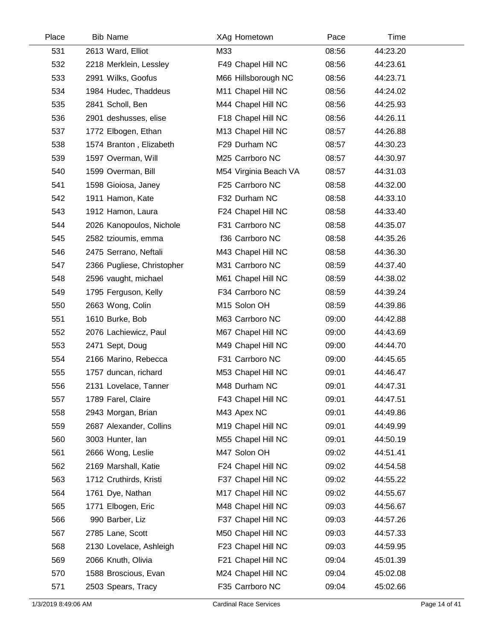| Place | <b>Bib Name</b>            | XAg Hometown          | Pace  | Time     |  |
|-------|----------------------------|-----------------------|-------|----------|--|
| 531   | 2613 Ward, Elliot          | M33                   | 08:56 | 44:23.20 |  |
| 532   | 2218 Merklein, Lessley     | F49 Chapel Hill NC    | 08:56 | 44:23.61 |  |
| 533   | 2991 Wilks, Goofus         | M66 Hillsborough NC   | 08:56 | 44:23.71 |  |
| 534   | 1984 Hudec, Thaddeus       | M11 Chapel Hill NC    | 08:56 | 44:24.02 |  |
| 535   | 2841 Scholl, Ben           | M44 Chapel Hill NC    | 08:56 | 44:25.93 |  |
| 536   | 2901 deshusses, elise      | F18 Chapel Hill NC    | 08:56 | 44:26.11 |  |
| 537   | 1772 Elbogen, Ethan        | M13 Chapel Hill NC    | 08:57 | 44:26.88 |  |
| 538   | 1574 Branton, Elizabeth    | F29 Durham NC         | 08:57 | 44:30.23 |  |
| 539   | 1597 Overman, Will         | M25 Carrboro NC       | 08:57 | 44:30.97 |  |
| 540   | 1599 Overman, Bill         | M54 Virginia Beach VA | 08:57 | 44:31.03 |  |
| 541   | 1598 Gioiosa, Janey        | F25 Carrboro NC       | 08:58 | 44:32.00 |  |
| 542   | 1911 Hamon, Kate           | F32 Durham NC         | 08:58 | 44:33.10 |  |
| 543   | 1912 Hamon, Laura          | F24 Chapel Hill NC    | 08:58 | 44:33.40 |  |
| 544   | 2026 Kanopoulos, Nichole   | F31 Carrboro NC       | 08:58 | 44:35.07 |  |
| 545   | 2582 tzioumis, emma        | f36 Carrboro NC       | 08:58 | 44:35.26 |  |
| 546   | 2475 Serrano, Neftali      | M43 Chapel Hill NC    | 08:58 | 44:36.30 |  |
| 547   | 2366 Pugliese, Christopher | M31 Carrboro NC       | 08:59 | 44:37.40 |  |
| 548   | 2596 vaught, michael       | M61 Chapel Hill NC    | 08:59 | 44:38.02 |  |
| 549   | 1795 Ferguson, Kelly       | F34 Carrboro NC       | 08:59 | 44:39.24 |  |
| 550   | 2663 Wong, Colin           | M15 Solon OH          | 08:59 | 44:39.86 |  |
| 551   | 1610 Burke, Bob            | M63 Carrboro NC       | 09:00 | 44:42.88 |  |
| 552   | 2076 Lachiewicz, Paul      | M67 Chapel Hill NC    | 09:00 | 44:43.69 |  |
| 553   | 2471 Sept, Doug            | M49 Chapel Hill NC    | 09:00 | 44:44.70 |  |
| 554   | 2166 Marino, Rebecca       | F31 Carrboro NC       | 09:00 | 44:45.65 |  |
| 555   | 1757 duncan, richard       | M53 Chapel Hill NC    | 09:01 | 44:46.47 |  |
| 556   | 2131 Lovelace, Tanner      | M48 Durham NC         | 09:01 | 44:47.31 |  |
| 557   | 1789 Farel, Claire         | F43 Chapel Hill NC    | 09:01 | 44:47.51 |  |
| 558   | 2943 Morgan, Brian         | M43 Apex NC           | 09:01 | 44:49.86 |  |
| 559   | 2687 Alexander, Collins    | M19 Chapel Hill NC    | 09:01 | 44:49.99 |  |
| 560   | 3003 Hunter, lan           | M55 Chapel Hill NC    | 09:01 | 44:50.19 |  |
| 561   | 2666 Wong, Leslie          | M47 Solon OH          | 09:02 | 44:51.41 |  |
| 562   | 2169 Marshall, Katie       | F24 Chapel Hill NC    | 09:02 | 44:54.58 |  |
| 563   | 1712 Cruthirds, Kristi     | F37 Chapel Hill NC    | 09:02 | 44:55.22 |  |
| 564   | 1761 Dye, Nathan           | M17 Chapel Hill NC    | 09:02 | 44:55.67 |  |
| 565   | 1771 Elbogen, Eric         | M48 Chapel Hill NC    | 09:03 | 44:56.67 |  |
| 566   | 990 Barber, Liz            | F37 Chapel Hill NC    | 09:03 | 44:57.26 |  |
| 567   | 2785 Lane, Scott           | M50 Chapel Hill NC    | 09:03 | 44:57.33 |  |
| 568   | 2130 Lovelace, Ashleigh    | F23 Chapel Hill NC    | 09:03 | 44:59.95 |  |
| 569   | 2066 Knuth, Olivia         | F21 Chapel Hill NC    | 09:04 | 45:01.39 |  |
| 570   | 1588 Broscious, Evan       | M24 Chapel Hill NC    | 09:04 | 45:02.08 |  |
| 571   | 2503 Spears, Tracy         | F35 Carrboro NC       | 09:04 | 45:02.66 |  |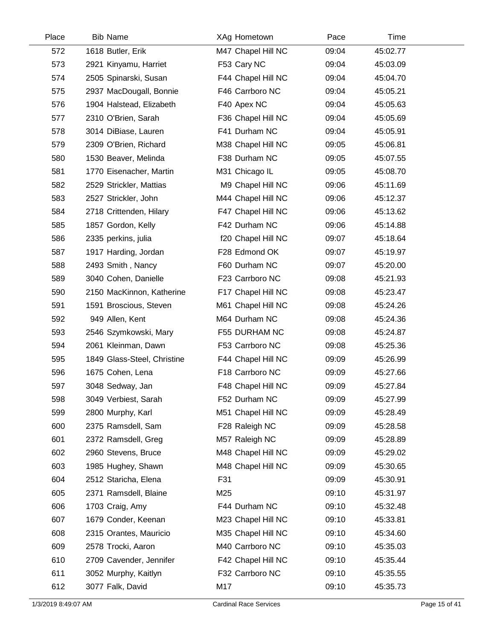| Place | <b>Bib Name</b>             | XAg Hometown       | Pace  | Time     |  |
|-------|-----------------------------|--------------------|-------|----------|--|
| 572   | 1618 Butler, Erik           | M47 Chapel Hill NC | 09:04 | 45:02.77 |  |
| 573   | 2921 Kinyamu, Harriet       | F53 Cary NC        | 09:04 | 45:03.09 |  |
| 574   | 2505 Spinarski, Susan       | F44 Chapel Hill NC | 09:04 | 45:04.70 |  |
| 575   | 2937 MacDougall, Bonnie     | F46 Carrboro NC    | 09:04 | 45:05.21 |  |
| 576   | 1904 Halstead, Elizabeth    | F40 Apex NC        | 09:04 | 45:05.63 |  |
| 577   | 2310 O'Brien, Sarah         | F36 Chapel Hill NC | 09:04 | 45:05.69 |  |
| 578   | 3014 DiBiase, Lauren        | F41 Durham NC      | 09:04 | 45:05.91 |  |
| 579   | 2309 O'Brien, Richard       | M38 Chapel Hill NC | 09:05 | 45:06.81 |  |
| 580   | 1530 Beaver, Melinda        | F38 Durham NC      | 09:05 | 45:07.55 |  |
| 581   | 1770 Eisenacher, Martin     | M31 Chicago IL     | 09:05 | 45:08.70 |  |
| 582   | 2529 Strickler, Mattias     | M9 Chapel Hill NC  | 09:06 | 45:11.69 |  |
| 583   | 2527 Strickler, John        | M44 Chapel Hill NC | 09:06 | 45:12.37 |  |
| 584   | 2718 Crittenden, Hilary     | F47 Chapel Hill NC | 09:06 | 45:13.62 |  |
| 585   | 1857 Gordon, Kelly          | F42 Durham NC      | 09:06 | 45:14.88 |  |
| 586   | 2335 perkins, julia         | f20 Chapel Hill NC | 09:07 | 45:18.64 |  |
| 587   | 1917 Harding, Jordan        | F28 Edmond OK      | 09:07 | 45:19.97 |  |
| 588   | 2493 Smith, Nancy           | F60 Durham NC      | 09:07 | 45:20.00 |  |
| 589   | 3040 Cohen, Danielle        | F23 Carrboro NC    | 09:08 | 45:21.93 |  |
| 590   | 2150 MacKinnon, Katherine   | F17 Chapel Hill NC | 09:08 | 45:23.47 |  |
| 591   | 1591 Broscious, Steven      | M61 Chapel Hill NC | 09:08 | 45:24.26 |  |
| 592   | 949 Allen, Kent             | M64 Durham NC      | 09:08 | 45:24.36 |  |
| 593   | 2546 Szymkowski, Mary       | F55 DURHAM NC      | 09:08 | 45:24.87 |  |
| 594   | 2061 Kleinman, Dawn         | F53 Carrboro NC    | 09:08 | 45:25.36 |  |
| 595   | 1849 Glass-Steel, Christine | F44 Chapel Hill NC | 09:09 | 45:26.99 |  |
| 596   | 1675 Cohen, Lena            | F18 Carrboro NC    | 09:09 | 45:27.66 |  |
| 597   | 3048 Sedway, Jan            | F48 Chapel Hill NC | 09:09 | 45:27.84 |  |
| 598   | 3049 Verbiest, Sarah        | F52 Durham NC      | 09:09 | 45:27.99 |  |
| 599   | 2800 Murphy, Karl           | M51 Chapel Hill NC | 09:09 | 45:28.49 |  |
| 600   | 2375 Ramsdell, Sam          | F28 Raleigh NC     | 09:09 | 45:28.58 |  |
| 601   | 2372 Ramsdell, Greg         | M57 Raleigh NC     | 09:09 | 45:28.89 |  |
| 602   | 2960 Stevens, Bruce         | M48 Chapel Hill NC | 09:09 | 45:29.02 |  |
| 603   | 1985 Hughey, Shawn          | M48 Chapel Hill NC | 09:09 | 45:30.65 |  |
| 604   | 2512 Staricha, Elena        | F31                | 09:09 | 45:30.91 |  |
| 605   | 2371 Ramsdell, Blaine       | M25                | 09:10 | 45:31.97 |  |
| 606   | 1703 Craig, Amy             | F44 Durham NC      | 09:10 | 45:32.48 |  |
| 607   | 1679 Conder, Keenan         | M23 Chapel Hill NC | 09:10 | 45:33.81 |  |
| 608   | 2315 Orantes, Mauricio      | M35 Chapel Hill NC | 09:10 | 45:34.60 |  |
| 609   | 2578 Trocki, Aaron          | M40 Carrboro NC    | 09:10 | 45:35.03 |  |
| 610   | 2709 Cavender, Jennifer     | F42 Chapel Hill NC | 09:10 | 45:35.44 |  |
| 611   | 3052 Murphy, Kaitlyn        | F32 Carrboro NC    | 09:10 | 45:35.55 |  |
| 612   | 3077 Falk, David            | M17                | 09:10 | 45:35.73 |  |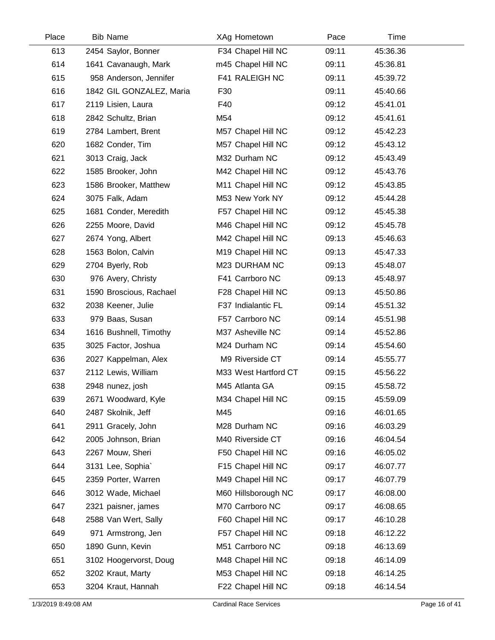| Place | <b>Bib Name</b>          | XAg Hometown         | Pace  | Time     |  |
|-------|--------------------------|----------------------|-------|----------|--|
| 613   | 2454 Saylor, Bonner      | F34 Chapel Hill NC   | 09:11 | 45:36.36 |  |
| 614   | 1641 Cavanaugh, Mark     | m45 Chapel Hill NC   | 09:11 | 45:36.81 |  |
| 615   | 958 Anderson, Jennifer   | F41 RALEIGH NC       | 09:11 | 45:39.72 |  |
| 616   | 1842 GIL GONZALEZ, Maria | F30                  | 09:11 | 45:40.66 |  |
| 617   | 2119 Lisien, Laura       | F40                  | 09:12 | 45:41.01 |  |
| 618   | 2842 Schultz, Brian      | M54                  | 09:12 | 45:41.61 |  |
| 619   | 2784 Lambert, Brent      | M57 Chapel Hill NC   | 09:12 | 45:42.23 |  |
| 620   | 1682 Conder, Tim         | M57 Chapel Hill NC   | 09:12 | 45:43.12 |  |
| 621   | 3013 Craig, Jack         | M32 Durham NC        | 09:12 | 45:43.49 |  |
| 622   | 1585 Brooker, John       | M42 Chapel Hill NC   | 09:12 | 45:43.76 |  |
| 623   | 1586 Brooker, Matthew    | M11 Chapel Hill NC   | 09:12 | 45:43.85 |  |
| 624   | 3075 Falk, Adam          | M53 New York NY      | 09:12 | 45:44.28 |  |
| 625   | 1681 Conder, Meredith    | F57 Chapel Hill NC   | 09:12 | 45:45.38 |  |
| 626   | 2255 Moore, David        | M46 Chapel Hill NC   | 09:12 | 45:45.78 |  |
| 627   | 2674 Yong, Albert        | M42 Chapel Hill NC   | 09:13 | 45:46.63 |  |
| 628   | 1563 Bolon, Calvin       | M19 Chapel Hill NC   | 09:13 | 45:47.33 |  |
| 629   | 2704 Byerly, Rob         | M23 DURHAM NC        | 09:13 | 45:48.07 |  |
| 630   | 976 Avery, Christy       | F41 Carrboro NC      | 09:13 | 45:48.97 |  |
| 631   | 1590 Broscious, Rachael  | F28 Chapel Hill NC   | 09:13 | 45:50.86 |  |
| 632   | 2038 Keener, Julie       | F37 Indialantic FL   | 09:14 | 45:51.32 |  |
| 633   | 979 Baas, Susan          | F57 Carrboro NC      | 09:14 | 45:51.98 |  |
| 634   | 1616 Bushnell, Timothy   | M37 Asheville NC     | 09:14 | 45:52.86 |  |
| 635   | 3025 Factor, Joshua      | M24 Durham NC        | 09:14 | 45:54.60 |  |
| 636   | 2027 Kappelman, Alex     | M9 Riverside CT      | 09:14 | 45:55.77 |  |
| 637   | 2112 Lewis, William      | M33 West Hartford CT | 09:15 | 45:56.22 |  |
| 638   | 2948 nunez, josh         | M45 Atlanta GA       | 09:15 | 45:58.72 |  |
| 639   | 2671 Woodward, Kyle      | M34 Chapel Hill NC   | 09:15 | 45:59.09 |  |
| 640   | 2487 Skolnik, Jeff       | M45                  | 09:16 | 46:01.65 |  |
| 641   | 2911 Gracely, John       | M28 Durham NC        | 09:16 | 46:03.29 |  |
| 642   | 2005 Johnson, Brian      | M40 Riverside CT     | 09:16 | 46:04.54 |  |
| 643   | 2267 Mouw, Sheri         | F50 Chapel Hill NC   | 09:16 | 46:05.02 |  |
| 644   | 3131 Lee, Sophia`        | F15 Chapel Hill NC   | 09:17 | 46:07.77 |  |
| 645   | 2359 Porter, Warren      | M49 Chapel Hill NC   | 09:17 | 46:07.79 |  |
| 646   | 3012 Wade, Michael       | M60 Hillsborough NC  | 09:17 | 46:08.00 |  |
| 647   | 2321 paisner, james      | M70 Carrboro NC      | 09:17 | 46:08.65 |  |
| 648   | 2588 Van Wert, Sally     | F60 Chapel Hill NC   | 09:17 | 46:10.28 |  |
| 649   | 971 Armstrong, Jen       | F57 Chapel Hill NC   | 09:18 | 46:12.22 |  |
| 650   | 1890 Gunn, Kevin         | M51 Carrboro NC      | 09:18 | 46:13.69 |  |
| 651   | 3102 Hoogervorst, Doug   | M48 Chapel Hill NC   | 09:18 | 46:14.09 |  |
| 652   | 3202 Kraut, Marty        | M53 Chapel Hill NC   | 09:18 | 46:14.25 |  |
| 653   | 3204 Kraut, Hannah       | F22 Chapel Hill NC   | 09:18 | 46:14.54 |  |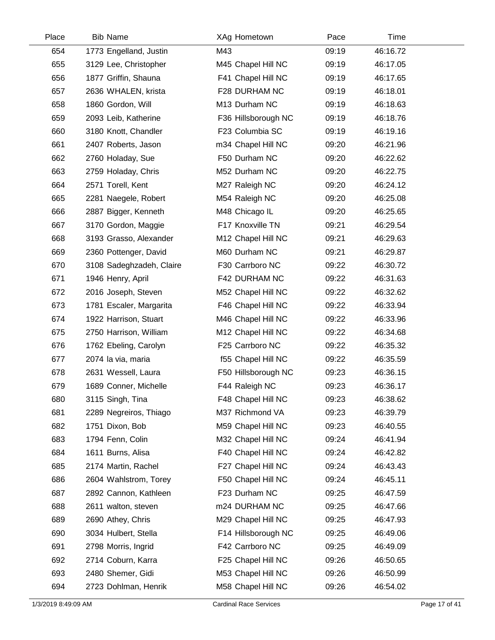| Place | <b>Bib Name</b>          | XAg Hometown        | Pace  | Time     |  |
|-------|--------------------------|---------------------|-------|----------|--|
| 654   | 1773 Engelland, Justin   | M43                 | 09:19 | 46:16.72 |  |
| 655   | 3129 Lee, Christopher    | M45 Chapel Hill NC  | 09:19 | 46:17.05 |  |
| 656   | 1877 Griffin, Shauna     | F41 Chapel Hill NC  | 09:19 | 46:17.65 |  |
| 657   | 2636 WHALEN, krista      | F28 DURHAM NC       | 09:19 | 46:18.01 |  |
| 658   | 1860 Gordon, Will        | M13 Durham NC       | 09:19 | 46:18.63 |  |
| 659   | 2093 Leib, Katherine     | F36 Hillsborough NC | 09:19 | 46:18.76 |  |
| 660   | 3180 Knott, Chandler     | F23 Columbia SC     | 09:19 | 46:19.16 |  |
| 661   | 2407 Roberts, Jason      | m34 Chapel Hill NC  | 09:20 | 46:21.96 |  |
| 662   | 2760 Holaday, Sue        | F50 Durham NC       | 09:20 | 46:22.62 |  |
| 663   | 2759 Holaday, Chris      | M52 Durham NC       | 09:20 | 46:22.75 |  |
| 664   | 2571 Torell, Kent        | M27 Raleigh NC      | 09:20 | 46:24.12 |  |
| 665   | 2281 Naegele, Robert     | M54 Raleigh NC      | 09:20 | 46:25.08 |  |
| 666   | 2887 Bigger, Kenneth     | M48 Chicago IL      | 09:20 | 46:25.65 |  |
| 667   | 3170 Gordon, Maggie      | F17 Knoxville TN    | 09:21 | 46:29.54 |  |
| 668   | 3193 Grasso, Alexander   | M12 Chapel Hill NC  | 09:21 | 46:29.63 |  |
| 669   | 2360 Pottenger, David    | M60 Durham NC       | 09:21 | 46:29.87 |  |
| 670   | 3108 Sadeghzadeh, Claire | F30 Carrboro NC     | 09:22 | 46:30.72 |  |
| 671   | 1946 Henry, April        | F42 DURHAM NC       | 09:22 | 46:31.63 |  |
| 672   | 2016 Joseph, Steven      | M52 Chapel Hill NC  | 09:22 | 46:32.62 |  |
| 673   | 1781 Escaler, Margarita  | F46 Chapel Hill NC  | 09:22 | 46:33.94 |  |
| 674   | 1922 Harrison, Stuart    | M46 Chapel Hill NC  | 09:22 | 46:33.96 |  |
| 675   | 2750 Harrison, William   | M12 Chapel Hill NC  | 09:22 | 46:34.68 |  |
| 676   | 1762 Ebeling, Carolyn    | F25 Carrboro NC     | 09:22 | 46:35.32 |  |
| 677   | 2074 la via, maria       | f55 Chapel Hill NC  | 09:22 | 46:35.59 |  |
| 678   | 2631 Wessell, Laura      | F50 Hillsborough NC | 09:23 | 46:36.15 |  |
| 679   | 1689 Conner, Michelle    | F44 Raleigh NC      | 09:23 | 46:36.17 |  |
| 680   | 3115 Singh, Tina         | F48 Chapel Hill NC  | 09:23 | 46:38.62 |  |
| 681   | 2289 Negreiros, Thiago   | M37 Richmond VA     | 09:23 | 46:39.79 |  |
| 682   | 1751 Dixon, Bob          | M59 Chapel Hill NC  | 09:23 | 46:40.55 |  |
| 683   | 1794 Fenn, Colin         | M32 Chapel Hill NC  | 09:24 | 46:41.94 |  |
| 684   | 1611 Burns, Alisa        | F40 Chapel Hill NC  | 09:24 | 46:42.82 |  |
| 685   | 2174 Martin, Rachel      | F27 Chapel Hill NC  | 09:24 | 46:43.43 |  |
| 686   | 2604 Wahlstrom, Torey    | F50 Chapel Hill NC  | 09:24 | 46:45.11 |  |
| 687   | 2892 Cannon, Kathleen    | F23 Durham NC       | 09:25 | 46:47.59 |  |
| 688   | 2611 walton, steven      | m24 DURHAM NC       | 09:25 | 46:47.66 |  |
| 689   | 2690 Athey, Chris        | M29 Chapel Hill NC  | 09:25 | 46:47.93 |  |
| 690   | 3034 Hulbert, Stella     | F14 Hillsborough NC | 09:25 | 46:49.06 |  |
| 691   | 2798 Morris, Ingrid      | F42 Carrboro NC     | 09:25 | 46:49.09 |  |
| 692   | 2714 Coburn, Karra       | F25 Chapel Hill NC  | 09:26 | 46:50.65 |  |
| 693   | 2480 Shemer, Gidi        | M53 Chapel Hill NC  | 09:26 | 46:50.99 |  |
| 694   | 2723 Dohlman, Henrik     | M58 Chapel Hill NC  | 09:26 | 46:54.02 |  |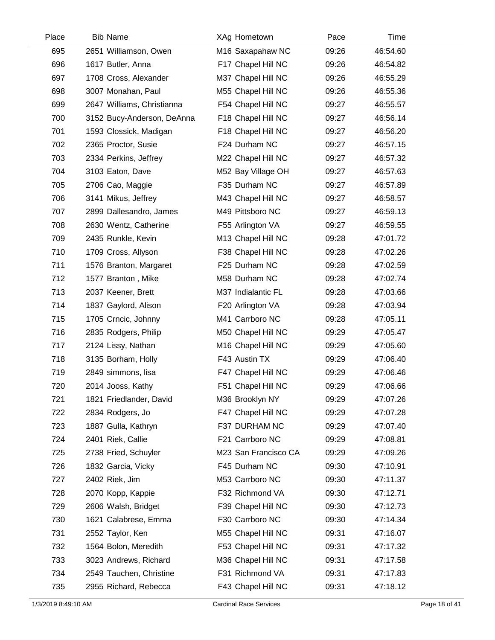| Place | <b>Bib Name</b>            | XAg Hometown         | Pace  | Time     |  |
|-------|----------------------------|----------------------|-------|----------|--|
| 695   | 2651 Williamson, Owen      | M16 Saxapahaw NC     | 09:26 | 46:54.60 |  |
| 696   | 1617 Butler, Anna          | F17 Chapel Hill NC   | 09:26 | 46:54.82 |  |
| 697   | 1708 Cross, Alexander      | M37 Chapel Hill NC   | 09:26 | 46:55.29 |  |
| 698   | 3007 Monahan, Paul         | M55 Chapel Hill NC   | 09:26 | 46:55.36 |  |
| 699   | 2647 Williams, Christianna | F54 Chapel Hill NC   | 09:27 | 46:55.57 |  |
| 700   | 3152 Bucy-Anderson, DeAnna | F18 Chapel Hill NC   | 09:27 | 46:56.14 |  |
| 701   | 1593 Clossick, Madigan     | F18 Chapel Hill NC   | 09:27 | 46:56.20 |  |
| 702   | 2365 Proctor, Susie        | F24 Durham NC        | 09:27 | 46:57.15 |  |
| 703   | 2334 Perkins, Jeffrey      | M22 Chapel Hill NC   | 09:27 | 46:57.32 |  |
| 704   | 3103 Eaton, Dave           | M52 Bay Village OH   | 09:27 | 46:57.63 |  |
| 705   | 2706 Cao, Maggie           | F35 Durham NC        | 09:27 | 46:57.89 |  |
| 706   | 3141 Mikus, Jeffrey        | M43 Chapel Hill NC   | 09:27 | 46:58.57 |  |
| 707   | 2899 Dallesandro, James    | M49 Pittsboro NC     | 09:27 | 46:59.13 |  |
| 708   | 2630 Wentz, Catherine      | F55 Arlington VA     | 09:27 | 46:59.55 |  |
| 709   | 2435 Runkle, Kevin         | M13 Chapel Hill NC   | 09:28 | 47:01.72 |  |
| 710   | 1709 Cross, Allyson        | F38 Chapel Hill NC   | 09:28 | 47:02.26 |  |
| 711   | 1576 Branton, Margaret     | F25 Durham NC        | 09:28 | 47:02.59 |  |
| 712   | 1577 Branton, Mike         | M58 Durham NC        | 09:28 | 47:02.74 |  |
| 713   | 2037 Keener, Brett         | M37 Indialantic FL   | 09:28 | 47:03.66 |  |
| 714   | 1837 Gaylord, Alison       | F20 Arlington VA     | 09:28 | 47:03.94 |  |
| 715   | 1705 Crncic, Johnny        | M41 Carrboro NC      | 09:28 | 47:05.11 |  |
| 716   | 2835 Rodgers, Philip       | M50 Chapel Hill NC   | 09:29 | 47:05.47 |  |
| 717   | 2124 Lissy, Nathan         | M16 Chapel Hill NC   | 09:29 | 47:05.60 |  |
| 718   | 3135 Borham, Holly         | F43 Austin TX        | 09:29 | 47:06.40 |  |
| 719   | 2849 simmons, lisa         | F47 Chapel Hill NC   | 09:29 | 47:06.46 |  |
| 720   | 2014 Jooss, Kathy          | F51 Chapel Hill NC   | 09:29 | 47:06.66 |  |
| 721   | 1821 Friedlander, David    | M36 Brooklyn NY      | 09:29 | 47:07.26 |  |
| 722   | 2834 Rodgers, Jo           | F47 Chapel Hill NC   | 09:29 | 47:07.28 |  |
| 723   | 1887 Gulla, Kathryn        | F37 DURHAM NC        | 09:29 | 47:07.40 |  |
| 724   | 2401 Riek, Callie          | F21 Carrboro NC      | 09:29 | 47:08.81 |  |
| 725   | 2738 Fried, Schuyler       | M23 San Francisco CA | 09:29 | 47:09.26 |  |
| 726   | 1832 Garcia, Vicky         | F45 Durham NC        | 09:30 | 47:10.91 |  |
| 727   | 2402 Riek, Jim             | M53 Carrboro NC      | 09:30 | 47:11.37 |  |
| 728   | 2070 Kopp, Kappie          | F32 Richmond VA      | 09:30 | 47:12.71 |  |
| 729   | 2606 Walsh, Bridget        | F39 Chapel Hill NC   | 09:30 | 47:12.73 |  |
| 730   | 1621 Calabrese, Emma       | F30 Carrboro NC      | 09:30 | 47:14.34 |  |
| 731   | 2552 Taylor, Ken           | M55 Chapel Hill NC   | 09:31 | 47:16.07 |  |
| 732   | 1564 Bolon, Meredith       | F53 Chapel Hill NC   | 09:31 | 47:17.32 |  |
| 733   | 3023 Andrews, Richard      | M36 Chapel Hill NC   | 09:31 | 47:17.58 |  |
| 734   | 2549 Tauchen, Christine    | F31 Richmond VA      | 09:31 | 47:17.83 |  |
| 735   | 2955 Richard, Rebecca      | F43 Chapel Hill NC   | 09:31 | 47:18.12 |  |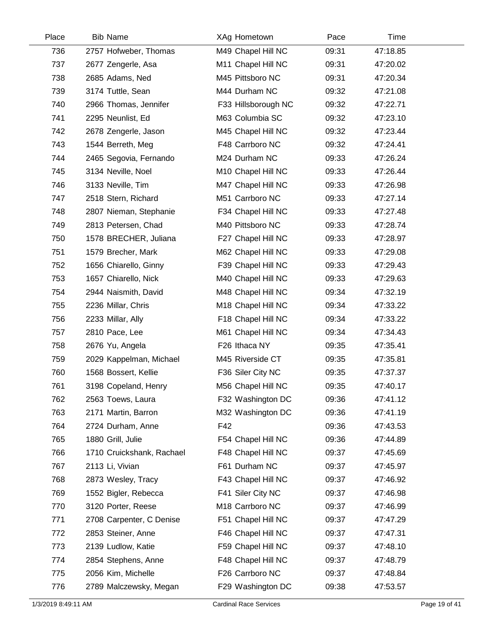| Place | <b>Bib Name</b>           | XAg Hometown        | Pace  | Time     |  |
|-------|---------------------------|---------------------|-------|----------|--|
| 736   | 2757 Hofweber, Thomas     | M49 Chapel Hill NC  | 09:31 | 47:18.85 |  |
| 737   | 2677 Zengerle, Asa        | M11 Chapel Hill NC  | 09:31 | 47:20.02 |  |
| 738   | 2685 Adams, Ned           | M45 Pittsboro NC    | 09:31 | 47:20.34 |  |
| 739   | 3174 Tuttle, Sean         | M44 Durham NC       | 09:32 | 47:21.08 |  |
| 740   | 2966 Thomas, Jennifer     | F33 Hillsborough NC | 09:32 | 47:22.71 |  |
| 741   | 2295 Neunlist, Ed         | M63 Columbia SC     | 09:32 | 47:23.10 |  |
| 742   | 2678 Zengerle, Jason      | M45 Chapel Hill NC  | 09:32 | 47:23.44 |  |
| 743   | 1544 Berreth, Meg         | F48 Carrboro NC     | 09:32 | 47:24.41 |  |
| 744   | 2465 Segovia, Fernando    | M24 Durham NC       | 09:33 | 47:26.24 |  |
| 745   | 3134 Neville, Noel        | M10 Chapel Hill NC  | 09:33 | 47:26.44 |  |
| 746   | 3133 Neville, Tim         | M47 Chapel Hill NC  | 09:33 | 47:26.98 |  |
| 747   | 2518 Stern, Richard       | M51 Carrboro NC     | 09:33 | 47:27.14 |  |
| 748   | 2807 Nieman, Stephanie    | F34 Chapel Hill NC  | 09:33 | 47:27.48 |  |
| 749   | 2813 Petersen, Chad       | M40 Pittsboro NC    | 09:33 | 47:28.74 |  |
| 750   | 1578 BRECHER, Juliana     | F27 Chapel Hill NC  | 09:33 | 47:28.97 |  |
| 751   | 1579 Brecher, Mark        | M62 Chapel Hill NC  | 09:33 | 47:29.08 |  |
| 752   | 1656 Chiarello, Ginny     | F39 Chapel Hill NC  | 09:33 | 47:29.43 |  |
| 753   | 1657 Chiarello, Nick      | M40 Chapel Hill NC  | 09:33 | 47:29.63 |  |
| 754   | 2944 Naismith, David      | M48 Chapel Hill NC  | 09:34 | 47:32.19 |  |
| 755   | 2236 Millar, Chris        | M18 Chapel Hill NC  | 09:34 | 47:33.22 |  |
| 756   | 2233 Millar, Ally         | F18 Chapel Hill NC  | 09:34 | 47:33.22 |  |
| 757   | 2810 Pace, Lee            | M61 Chapel Hill NC  | 09:34 | 47:34.43 |  |
| 758   | 2676 Yu, Angela           | F26 Ithaca NY       | 09:35 | 47:35.41 |  |
| 759   | 2029 Kappelman, Michael   | M45 Riverside CT    | 09:35 | 47:35.81 |  |
| 760   | 1568 Bossert, Kellie      | F36 Siler City NC   | 09:35 | 47:37.37 |  |
| 761   | 3198 Copeland, Henry      | M56 Chapel Hill NC  | 09:35 | 47:40.17 |  |
| 762   | 2563 Toews, Laura         | F32 Washington DC   | 09:36 | 47:41.12 |  |
| 763   | 2171 Martin, Barron       | M32 Washington DC   | 09:36 | 47:41.19 |  |
| 764   | 2724 Durham, Anne         | F42                 | 09:36 | 47:43.53 |  |
| 765   | 1880 Grill, Julie         | F54 Chapel Hill NC  | 09:36 | 47:44.89 |  |
| 766   | 1710 Cruickshank, Rachael | F48 Chapel Hill NC  | 09:37 | 47:45.69 |  |
| 767   | 2113 Li, Vivian           | F61 Durham NC       | 09:37 | 47:45.97 |  |
| 768   | 2873 Wesley, Tracy        | F43 Chapel Hill NC  | 09:37 | 47:46.92 |  |
| 769   | 1552 Bigler, Rebecca      | F41 Siler City NC   | 09:37 | 47:46.98 |  |
| 770   | 3120 Porter, Reese        | M18 Carrboro NC     | 09:37 | 47:46.99 |  |
| 771   | 2708 Carpenter, C Denise  | F51 Chapel Hill NC  | 09:37 | 47:47.29 |  |
| 772   | 2853 Steiner, Anne        | F46 Chapel Hill NC  | 09:37 | 47:47.31 |  |
| 773   | 2139 Ludlow, Katie        | F59 Chapel Hill NC  | 09:37 | 47:48.10 |  |
| 774   | 2854 Stephens, Anne       | F48 Chapel Hill NC  | 09:37 | 47:48.79 |  |
| 775   | 2056 Kim, Michelle        | F26 Carrboro NC     | 09:37 | 47:48.84 |  |
| 776   | 2789 Malczewsky, Megan    | F29 Washington DC   | 09:38 | 47:53.57 |  |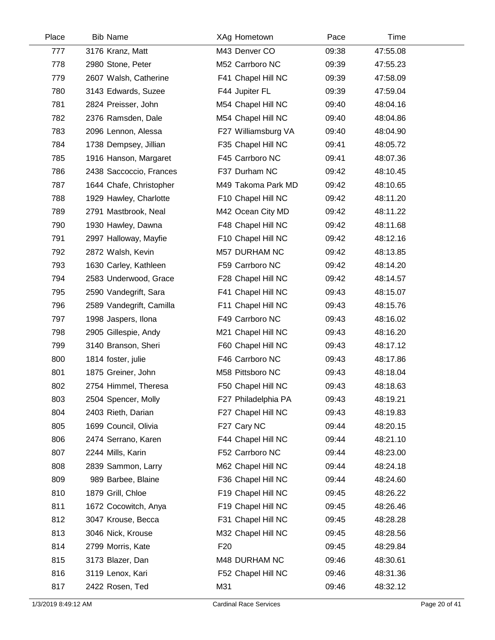| Place | <b>Bib Name</b>          | XAg Hometown         | Pace  | Time     |  |
|-------|--------------------------|----------------------|-------|----------|--|
| 777   | 3176 Kranz, Matt         | M43 Denver CO        | 09:38 | 47:55.08 |  |
| 778   | 2980 Stone, Peter        | M52 Carrboro NC      | 09:39 | 47:55.23 |  |
| 779   | 2607 Walsh, Catherine    | F41 Chapel Hill NC   | 09:39 | 47:58.09 |  |
| 780   | 3143 Edwards, Suzee      | F44 Jupiter FL       | 09:39 | 47:59.04 |  |
| 781   | 2824 Preisser, John      | M54 Chapel Hill NC   | 09:40 | 48:04.16 |  |
| 782   | 2376 Ramsden, Dale       | M54 Chapel Hill NC   | 09:40 | 48:04.86 |  |
| 783   | 2096 Lennon, Alessa      | F27 Williamsburg VA  | 09:40 | 48:04.90 |  |
| 784   | 1738 Dempsey, Jillian    | F35 Chapel Hill NC   | 09:41 | 48:05.72 |  |
| 785   | 1916 Hanson, Margaret    | F45 Carrboro NC      | 09:41 | 48:07.36 |  |
| 786   | 2438 Saccoccio, Frances  | F37 Durham NC        | 09:42 | 48:10.45 |  |
| 787   | 1644 Chafe, Christopher  | M49 Takoma Park MD   | 09:42 | 48:10.65 |  |
| 788   | 1929 Hawley, Charlotte   | F10 Chapel Hill NC   | 09:42 | 48:11.20 |  |
| 789   | 2791 Mastbrook, Neal     | M42 Ocean City MD    | 09:42 | 48:11.22 |  |
| 790   | 1930 Hawley, Dawna       | F48 Chapel Hill NC   | 09:42 | 48:11.68 |  |
| 791   | 2997 Halloway, Mayfie    | F10 Chapel Hill NC   | 09:42 | 48:12.16 |  |
| 792   | 2872 Walsh, Kevin        | <b>M57 DURHAM NC</b> | 09:42 | 48:13.85 |  |
| 793   | 1630 Carley, Kathleen    | F59 Carrboro NC      | 09:42 | 48:14.20 |  |
| 794   | 2583 Underwood, Grace    | F28 Chapel Hill NC   | 09:42 | 48:14.57 |  |
| 795   | 2590 Vandegrift, Sara    | F41 Chapel Hill NC   | 09:43 | 48:15.07 |  |
| 796   | 2589 Vandegrift, Camilla | F11 Chapel Hill NC   | 09:43 | 48:15.76 |  |
| 797   | 1998 Jaspers, Ilona      | F49 Carrboro NC      | 09:43 | 48:16.02 |  |
| 798   | 2905 Gillespie, Andy     | M21 Chapel Hill NC   | 09:43 | 48:16.20 |  |
| 799   | 3140 Branson, Sheri      | F60 Chapel Hill NC   | 09:43 | 48:17.12 |  |
| 800   | 1814 foster, julie       | F46 Carrboro NC      | 09:43 | 48:17.86 |  |
| 801   | 1875 Greiner, John       | M58 Pittsboro NC     | 09:43 | 48:18.04 |  |
| 802   | 2754 Himmel, Theresa     | F50 Chapel Hill NC   | 09:43 | 48:18.63 |  |
| 803   | 2504 Spencer, Molly      | F27 Philadelphia PA  | 09:43 | 48:19.21 |  |
| 804   | 2403 Rieth, Darian       | F27 Chapel Hill NC   | 09:43 | 48:19.83 |  |
| 805   | 1699 Council, Olivia     | F27 Cary NC          | 09:44 | 48:20.15 |  |
| 806   | 2474 Serrano, Karen      | F44 Chapel Hill NC   | 09:44 | 48:21.10 |  |
| 807   | 2244 Mills, Karin        | F52 Carrboro NC      | 09:44 | 48:23.00 |  |
| 808   | 2839 Sammon, Larry       | M62 Chapel Hill NC   | 09:44 | 48:24.18 |  |
| 809   | 989 Barbee, Blaine       | F36 Chapel Hill NC   | 09:44 | 48:24.60 |  |
| 810   | 1879 Grill, Chloe        | F19 Chapel Hill NC   | 09:45 | 48:26.22 |  |
| 811   | 1672 Cocowitch, Anya     | F19 Chapel Hill NC   | 09:45 | 48:26.46 |  |
| 812   | 3047 Krouse, Becca       | F31 Chapel Hill NC   | 09:45 | 48:28.28 |  |
| 813   | 3046 Nick, Krouse        | M32 Chapel Hill NC   | 09:45 | 48:28.56 |  |
| 814   | 2799 Morris, Kate        | F <sub>20</sub>      | 09:45 | 48:29.84 |  |
| 815   | 3173 Blazer, Dan         | M48 DURHAM NC        | 09:46 | 48:30.61 |  |
| 816   | 3119 Lenox, Kari         | F52 Chapel Hill NC   | 09:46 | 48:31.36 |  |
| 817   | 2422 Rosen, Ted          | M31                  | 09:46 | 48:32.12 |  |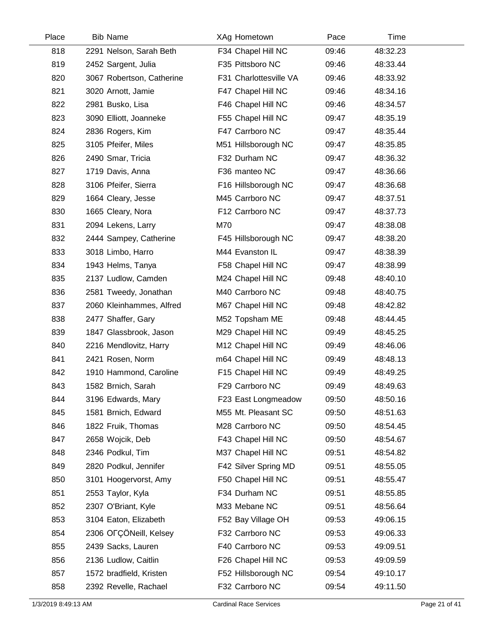| Place | <b>Bib Name</b>           | XAg Hometown           | Pace  | Time     |  |
|-------|---------------------------|------------------------|-------|----------|--|
| 818   | 2291 Nelson, Sarah Beth   | F34 Chapel Hill NC     | 09:46 | 48:32.23 |  |
| 819   | 2452 Sargent, Julia       | F35 Pittsboro NC       | 09:46 | 48:33.44 |  |
| 820   | 3067 Robertson, Catherine | F31 Charlottesville VA | 09:46 | 48:33.92 |  |
| 821   | 3020 Arnott, Jamie        | F47 Chapel Hill NC     | 09:46 | 48:34.16 |  |
| 822   | 2981 Busko, Lisa          | F46 Chapel Hill NC     | 09:46 | 48:34.57 |  |
| 823   | 3090 Elliott, Joanneke    | F55 Chapel Hill NC     | 09:47 | 48:35.19 |  |
| 824   | 2836 Rogers, Kim          | F47 Carrboro NC        | 09:47 | 48:35.44 |  |
| 825   | 3105 Pfeifer, Miles       | M51 Hillsborough NC    | 09:47 | 48:35.85 |  |
| 826   | 2490 Smar, Tricia         | F32 Durham NC          | 09:47 | 48:36.32 |  |
| 827   | 1719 Davis, Anna          | F36 manteo NC          | 09:47 | 48:36.66 |  |
| 828   | 3106 Pfeifer, Sierra      | F16 Hillsborough NC    | 09:47 | 48:36.68 |  |
| 829   | 1664 Cleary, Jesse        | M45 Carrboro NC        | 09:47 | 48:37.51 |  |
| 830   | 1665 Cleary, Nora         | F12 Carrboro NC        | 09:47 | 48:37.73 |  |
| 831   | 2094 Lekens, Larry        | M70                    | 09:47 | 48:38.08 |  |
| 832   | 2444 Sampey, Catherine    | F45 Hillsborough NC    | 09:47 | 48:38.20 |  |
| 833   | 3018 Limbo, Harro         | M44 Evanston IL        | 09:47 | 48:38.39 |  |
| 834   | 1943 Helms, Tanya         | F58 Chapel Hill NC     | 09:47 | 48:38.99 |  |
| 835   | 2137 Ludlow, Camden       | M24 Chapel Hill NC     | 09:48 | 48:40.10 |  |
| 836   | 2581 Tweedy, Jonathan     | M40 Carrboro NC        | 09:48 | 48:40.75 |  |
| 837   | 2060 Kleinhammes, Alfred  | M67 Chapel Hill NC     | 09:48 | 48:42.82 |  |
| 838   | 2477 Shaffer, Gary        | M52 Topsham ME         | 09:48 | 48:44.45 |  |
| 839   | 1847 Glassbrook, Jason    | M29 Chapel Hill NC     | 09:49 | 48:45.25 |  |
| 840   | 2216 Mendlovitz, Harry    | M12 Chapel Hill NC     | 09:49 | 48:46.06 |  |
| 841   | 2421 Rosen, Norm          | m64 Chapel Hill NC     | 09:49 | 48:48.13 |  |
| 842   | 1910 Hammond, Caroline    | F15 Chapel Hill NC     | 09:49 | 48:49.25 |  |
| 843   | 1582 Brnich, Sarah        | F29 Carrboro NC        | 09:49 | 48:49.63 |  |
| 844   | 3196 Edwards, Mary        | F23 East Longmeadow    | 09:50 | 48:50.16 |  |
| 845   | 1581 Brnich, Edward       | M55 Mt. Pleasant SC    | 09:50 | 48:51.63 |  |
| 846   | 1822 Fruik, Thomas        | M28 Carrboro NC        | 09:50 | 48:54.45 |  |
| 847   | 2658 Wojcik, Deb          | F43 Chapel Hill NC     | 09:50 | 48:54.67 |  |
| 848   | 2346 Podkul, Tim          | M37 Chapel Hill NC     | 09:51 | 48:54.82 |  |
| 849   | 2820 Podkul, Jennifer     | F42 Silver Spring MD   | 09:51 | 48:55.05 |  |
| 850   | 3101 Hoogervorst, Amy     | F50 Chapel Hill NC     | 09:51 | 48:55.47 |  |
| 851   | 2553 Taylor, Kyla         | F34 Durham NC          | 09:51 | 48:55.85 |  |
| 852   | 2307 O'Briant, Kyle       | M33 Mebane NC          | 09:51 | 48:56.64 |  |
| 853   | 3104 Eaton, Elizabeth     | F52 Bay Village OH     | 09:53 | 49:06.15 |  |
| 854   | 2306 OFÇÖNeill, Kelsey    | F32 Carrboro NC        | 09:53 | 49:06.33 |  |
| 855   | 2439 Sacks, Lauren        | F40 Carrboro NC        | 09:53 | 49:09.51 |  |
| 856   | 2136 Ludlow, Caitlin      | F26 Chapel Hill NC     | 09:53 | 49:09.59 |  |
| 857   | 1572 bradfield, Kristen   | F52 Hillsborough NC    | 09:54 | 49:10.17 |  |
| 858   | 2392 Revelle, Rachael     | F32 Carrboro NC        | 09:54 | 49:11.50 |  |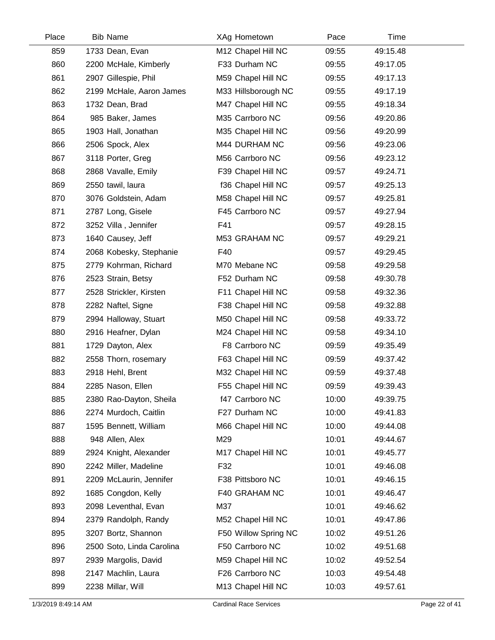| Place | <b>Bib Name</b>           | XAg Hometown         | Pace  | Time     |  |
|-------|---------------------------|----------------------|-------|----------|--|
| 859   | 1733 Dean, Evan           | M12 Chapel Hill NC   | 09:55 | 49:15.48 |  |
| 860   | 2200 McHale, Kimberly     | F33 Durham NC        | 09:55 | 49:17.05 |  |
| 861   | 2907 Gillespie, Phil      | M59 Chapel Hill NC   | 09:55 | 49:17.13 |  |
| 862   | 2199 McHale, Aaron James  | M33 Hillsborough NC  | 09:55 | 49:17.19 |  |
| 863   | 1732 Dean, Brad           | M47 Chapel Hill NC   | 09:55 | 49:18.34 |  |
| 864   | 985 Baker, James          | M35 Carrboro NC      | 09:56 | 49:20.86 |  |
| 865   | 1903 Hall, Jonathan       | M35 Chapel Hill NC   | 09:56 | 49:20.99 |  |
| 866   | 2506 Spock, Alex          | M44 DURHAM NC        | 09:56 | 49:23.06 |  |
| 867   | 3118 Porter, Greg         | M56 Carrboro NC      | 09:56 | 49:23.12 |  |
| 868   | 2868 Vavalle, Emily       | F39 Chapel Hill NC   | 09:57 | 49:24.71 |  |
| 869   | 2550 tawil, laura         | f36 Chapel Hill NC   | 09:57 | 49:25.13 |  |
| 870   | 3076 Goldstein, Adam      | M58 Chapel Hill NC   | 09:57 | 49:25.81 |  |
| 871   | 2787 Long, Gisele         | F45 Carrboro NC      | 09:57 | 49:27.94 |  |
| 872   | 3252 Villa, Jennifer      | F41                  | 09:57 | 49:28.15 |  |
| 873   | 1640 Causey, Jeff         | M53 GRAHAM NC        | 09:57 | 49:29.21 |  |
| 874   | 2068 Kobesky, Stephanie   | F40                  | 09:57 | 49:29.45 |  |
| 875   | 2779 Kohrman, Richard     | M70 Mebane NC        | 09:58 | 49:29.58 |  |
| 876   | 2523 Strain, Betsy        | F52 Durham NC        | 09:58 | 49:30.78 |  |
| 877   | 2528 Strickler, Kirsten   | F11 Chapel Hill NC   | 09:58 | 49:32.36 |  |
| 878   | 2282 Naftel, Signe        | F38 Chapel Hill NC   | 09:58 | 49:32.88 |  |
| 879   | 2994 Halloway, Stuart     | M50 Chapel Hill NC   | 09:58 | 49:33.72 |  |
| 880   | 2916 Heafner, Dylan       | M24 Chapel Hill NC   | 09:58 | 49:34.10 |  |
| 881   | 1729 Dayton, Alex         | F8 Carrboro NC       | 09:59 | 49:35.49 |  |
| 882   | 2558 Thorn, rosemary      | F63 Chapel Hill NC   | 09:59 | 49:37.42 |  |
| 883   | 2918 Hehl, Brent          | M32 Chapel Hill NC   | 09:59 | 49:37.48 |  |
| 884   | 2285 Nason, Ellen         | F55 Chapel Hill NC   | 09:59 | 49:39.43 |  |
| 885   | 2380 Rao-Dayton, Sheila   | f47 Carrboro NC      | 10:00 | 49:39.75 |  |
| 886   | 2274 Murdoch, Caitlin     | F27 Durham NC        | 10:00 | 49:41.83 |  |
| 887   | 1595 Bennett, William     | M66 Chapel Hill NC   | 10:00 | 49:44.08 |  |
| 888   | 948 Allen, Alex           | M29                  | 10:01 | 49:44.67 |  |
| 889   | 2924 Knight, Alexander    | M17 Chapel Hill NC   | 10:01 | 49:45.77 |  |
| 890   | 2242 Miller, Madeline     | F32                  | 10:01 | 49:46.08 |  |
| 891   | 2209 McLaurin, Jennifer   | F38 Pittsboro NC     | 10:01 | 49:46.15 |  |
| 892   | 1685 Congdon, Kelly       | F40 GRAHAM NC        | 10:01 | 49:46.47 |  |
| 893   | 2098 Leventhal, Evan      | M37                  | 10:01 | 49:46.62 |  |
| 894   | 2379 Randolph, Randy      | M52 Chapel Hill NC   | 10:01 | 49:47.86 |  |
| 895   | 3207 Bortz, Shannon       | F50 Willow Spring NC | 10:02 | 49:51.26 |  |
| 896   | 2500 Soto, Linda Carolina | F50 Carrboro NC      | 10:02 | 49:51.68 |  |
| 897   | 2939 Margolis, David      | M59 Chapel Hill NC   | 10:02 | 49:52.54 |  |
| 898   | 2147 Machlin, Laura       | F26 Carrboro NC      | 10:03 | 49:54.48 |  |
| 899   | 2238 Millar, Will         | M13 Chapel Hill NC   | 10:03 | 49:57.61 |  |
|       |                           |                      |       |          |  |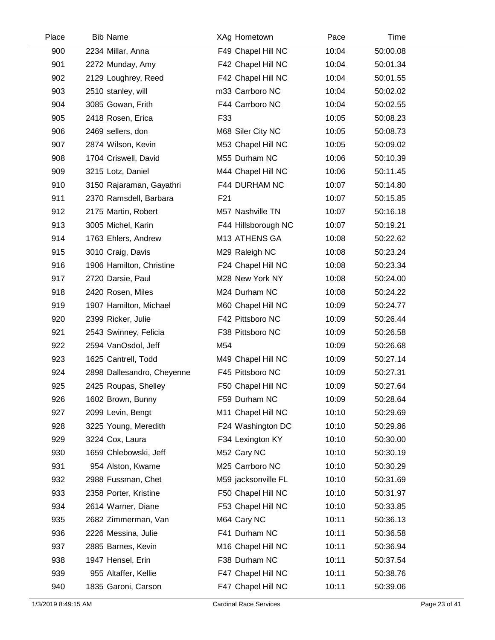| Place | <b>Bib Name</b>            | XAg Hometown        | Pace  | Time     |  |
|-------|----------------------------|---------------------|-------|----------|--|
| 900   | 2234 Millar, Anna          | F49 Chapel Hill NC  | 10:04 | 50:00.08 |  |
| 901   | 2272 Munday, Amy           | F42 Chapel Hill NC  | 10:04 | 50:01.34 |  |
| 902   | 2129 Loughrey, Reed        | F42 Chapel Hill NC  | 10:04 | 50:01.55 |  |
| 903   | 2510 stanley, will         | m33 Carrboro NC     | 10:04 | 50:02.02 |  |
| 904   | 3085 Gowan, Frith          | F44 Carrboro NC     | 10:04 | 50:02.55 |  |
| 905   | 2418 Rosen, Erica          | F33                 | 10:05 | 50:08.23 |  |
| 906   | 2469 sellers, don          | M68 Siler City NC   | 10:05 | 50:08.73 |  |
| 907   | 2874 Wilson, Kevin         | M53 Chapel Hill NC  | 10:05 | 50:09.02 |  |
| 908   | 1704 Criswell, David       | M55 Durham NC       | 10:06 | 50:10.39 |  |
| 909   | 3215 Lotz, Daniel          | M44 Chapel Hill NC  | 10:06 | 50:11.45 |  |
| 910   | 3150 Rajaraman, Gayathri   | F44 DURHAM NC       | 10:07 | 50:14.80 |  |
| 911   | 2370 Ramsdell, Barbara     | F <sub>21</sub>     | 10:07 | 50:15.85 |  |
| 912   | 2175 Martin, Robert        | M57 Nashville TN    | 10:07 | 50:16.18 |  |
| 913   | 3005 Michel, Karin         | F44 Hillsborough NC | 10:07 | 50:19.21 |  |
| 914   | 1763 Ehlers, Andrew        | M13 ATHENS GA       | 10:08 | 50:22.62 |  |
| 915   | 3010 Craig, Davis          | M29 Raleigh NC      | 10:08 | 50:23.24 |  |
| 916   | 1906 Hamilton, Christine   | F24 Chapel Hill NC  | 10:08 | 50:23.34 |  |
| 917   | 2720 Darsie, Paul          | M28 New York NY     | 10:08 | 50:24.00 |  |
| 918   | 2420 Rosen, Miles          | M24 Durham NC       | 10:08 | 50:24.22 |  |
| 919   | 1907 Hamilton, Michael     | M60 Chapel Hill NC  | 10:09 | 50:24.77 |  |
| 920   | 2399 Ricker, Julie         | F42 Pittsboro NC    | 10:09 | 50:26.44 |  |
| 921   | 2543 Swinney, Felicia      | F38 Pittsboro NC    | 10:09 | 50:26.58 |  |
| 922   | 2594 VanOsdol, Jeff        | M54                 | 10:09 | 50:26.68 |  |
| 923   | 1625 Cantrell, Todd        | M49 Chapel Hill NC  | 10:09 | 50:27.14 |  |
| 924   | 2898 Dallesandro, Cheyenne | F45 Pittsboro NC    | 10:09 | 50:27.31 |  |
| 925   | 2425 Roupas, Shelley       | F50 Chapel Hill NC  | 10:09 | 50:27.64 |  |
| 926   | 1602 Brown, Bunny          | F59 Durham NC       | 10:09 | 50:28.64 |  |
| 927   | 2099 Levin, Bengt          | M11 Chapel Hill NC  | 10:10 | 50:29.69 |  |
| 928   | 3225 Young, Meredith       | F24 Washington DC   | 10:10 | 50:29.86 |  |
| 929   | 3224 Cox, Laura            | F34 Lexington KY    | 10:10 | 50:30.00 |  |
| 930   | 1659 Chlebowski, Jeff      | M52 Cary NC         | 10:10 | 50:30.19 |  |
| 931   | 954 Alston, Kwame          | M25 Carrboro NC     | 10:10 | 50:30.29 |  |
| 932   | 2988 Fussman, Chet         | M59 jacksonville FL | 10:10 | 50:31.69 |  |
| 933   | 2358 Porter, Kristine      | F50 Chapel Hill NC  | 10:10 | 50:31.97 |  |
| 934   | 2614 Warner, Diane         | F53 Chapel Hill NC  | 10:10 | 50:33.85 |  |
| 935   | 2682 Zimmerman, Van        | M64 Cary NC         | 10:11 | 50:36.13 |  |
| 936   | 2226 Messina, Julie        | F41 Durham NC       | 10:11 | 50:36.58 |  |
| 937   | 2885 Barnes, Kevin         | M16 Chapel Hill NC  | 10:11 | 50:36.94 |  |
| 938   | 1947 Hensel, Erin          | F38 Durham NC       | 10:11 | 50:37.54 |  |
| 939   | 955 Altaffer, Kellie       | F47 Chapel Hill NC  | 10:11 | 50:38.76 |  |
| 940   | 1835 Garoni, Carson        | F47 Chapel Hill NC  | 10:11 | 50:39.06 |  |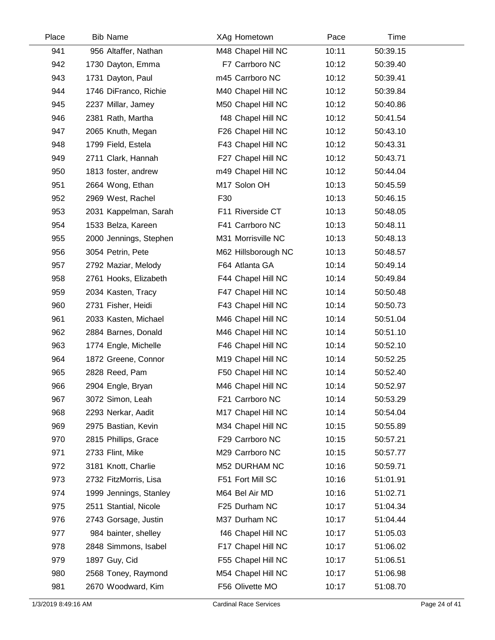| Place | <b>Bib Name</b>        | XAg Hometown        | Pace  | Time     |  |
|-------|------------------------|---------------------|-------|----------|--|
| 941   | 956 Altaffer, Nathan   | M48 Chapel Hill NC  | 10:11 | 50:39.15 |  |
| 942   | 1730 Dayton, Emma      | F7 Carrboro NC      | 10:12 | 50:39.40 |  |
| 943   | 1731 Dayton, Paul      | m45 Carrboro NC     | 10:12 | 50:39.41 |  |
| 944   | 1746 DiFranco, Richie  | M40 Chapel Hill NC  | 10:12 | 50:39.84 |  |
| 945   | 2237 Millar, Jamey     | M50 Chapel Hill NC  | 10:12 | 50:40.86 |  |
| 946   | 2381 Rath, Martha      | f48 Chapel Hill NC  | 10:12 | 50:41.54 |  |
| 947   | 2065 Knuth, Megan      | F26 Chapel Hill NC  | 10:12 | 50:43.10 |  |
| 948   | 1799 Field, Estela     | F43 Chapel Hill NC  | 10:12 | 50:43.31 |  |
| 949   | 2711 Clark, Hannah     | F27 Chapel Hill NC  | 10:12 | 50:43.71 |  |
| 950   | 1813 foster, andrew    | m49 Chapel Hill NC  | 10:12 | 50:44.04 |  |
| 951   | 2664 Wong, Ethan       | M17 Solon OH        | 10:13 | 50:45.59 |  |
| 952   | 2969 West, Rachel      | F30                 | 10:13 | 50:46.15 |  |
| 953   | 2031 Kappelman, Sarah  | F11 Riverside CT    | 10:13 | 50:48.05 |  |
| 954   | 1533 Belza, Kareen     | F41 Carrboro NC     | 10:13 | 50:48.11 |  |
| 955   | 2000 Jennings, Stephen | M31 Morrisville NC  | 10:13 | 50:48.13 |  |
| 956   | 3054 Petrin, Pete      | M62 Hillsborough NC | 10:13 | 50:48.57 |  |
| 957   | 2792 Maziar, Melody    | F64 Atlanta GA      | 10:14 | 50:49.14 |  |
| 958   | 2761 Hooks, Elizabeth  | F44 Chapel Hill NC  | 10:14 | 50:49.84 |  |
| 959   | 2034 Kasten, Tracy     | F47 Chapel Hill NC  | 10:14 | 50:50.48 |  |
| 960   | 2731 Fisher, Heidi     | F43 Chapel Hill NC  | 10:14 | 50:50.73 |  |
| 961   | 2033 Kasten, Michael   | M46 Chapel Hill NC  | 10:14 | 50:51.04 |  |
| 962   | 2884 Barnes, Donald    | M46 Chapel Hill NC  | 10:14 | 50:51.10 |  |
| 963   | 1774 Engle, Michelle   | F46 Chapel Hill NC  | 10:14 | 50:52.10 |  |
| 964   | 1872 Greene, Connor    | M19 Chapel Hill NC  | 10:14 | 50:52.25 |  |
| 965   | 2828 Reed, Pam         | F50 Chapel Hill NC  | 10:14 | 50:52.40 |  |
| 966   | 2904 Engle, Bryan      | M46 Chapel Hill NC  | 10:14 | 50:52.97 |  |
| 967   | 3072 Simon, Leah       | F21 Carrboro NC     | 10:14 | 50:53.29 |  |
| 968   | 2293 Nerkar, Aadit     | M17 Chapel Hill NC  | 10:14 | 50:54.04 |  |
| 969   | 2975 Bastian, Kevin    | M34 Chapel Hill NC  | 10:15 | 50:55.89 |  |
| 970   | 2815 Phillips, Grace   | F29 Carrboro NC     | 10:15 | 50:57.21 |  |
| 971   | 2733 Flint, Mike       | M29 Carrboro NC     | 10:15 | 50:57.77 |  |
| 972   | 3181 Knott, Charlie    | M52 DURHAM NC       | 10:16 | 50:59.71 |  |
| 973   | 2732 FitzMorris, Lisa  | F51 Fort Mill SC    | 10:16 | 51:01.91 |  |
| 974   | 1999 Jennings, Stanley | M64 Bel Air MD      | 10:16 | 51:02.71 |  |
| 975   | 2511 Stantial, Nicole  | F25 Durham NC       | 10:17 | 51:04.34 |  |
| 976   | 2743 Gorsage, Justin   | M37 Durham NC       | 10:17 | 51:04.44 |  |
| 977   | 984 bainter, shelley   | f46 Chapel Hill NC  | 10:17 | 51:05.03 |  |
| 978   | 2848 Simmons, Isabel   | F17 Chapel Hill NC  | 10:17 | 51:06.02 |  |
| 979   | 1897 Guy, Cid          | F55 Chapel Hill NC  | 10:17 | 51:06.51 |  |
| 980   | 2568 Toney, Raymond    | M54 Chapel Hill NC  | 10:17 | 51:06.98 |  |
| 981   | 2670 Woodward, Kim     | F56 Olivette MO     | 10:17 | 51:08.70 |  |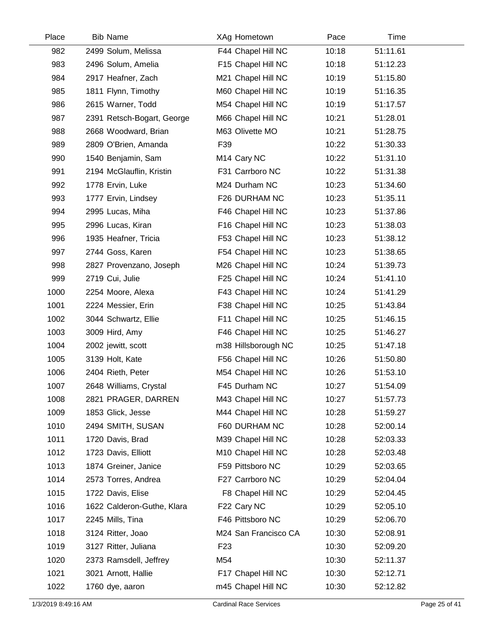| Place | <b>Bib Name</b>            | XAg Hometown            | Pace  | Time     |  |
|-------|----------------------------|-------------------------|-------|----------|--|
| 982   | 2499 Solum, Melissa        | F44 Chapel Hill NC      | 10:18 | 51:11.61 |  |
| 983   | 2496 Solum, Amelia         | F15 Chapel Hill NC      | 10:18 | 51:12.23 |  |
| 984   | 2917 Heafner, Zach         | M21 Chapel Hill NC      | 10:19 | 51:15.80 |  |
| 985   | 1811 Flynn, Timothy        | M60 Chapel Hill NC      | 10:19 | 51:16.35 |  |
| 986   | 2615 Warner, Todd          | M54 Chapel Hill NC      | 10:19 | 51:17.57 |  |
| 987   | 2391 Retsch-Bogart, George | M66 Chapel Hill NC      | 10:21 | 51:28.01 |  |
| 988   | 2668 Woodward, Brian       | M63 Olivette MO         | 10:21 | 51:28.75 |  |
| 989   | 2809 O'Brien, Amanda       | F39                     | 10:22 | 51:30.33 |  |
| 990   | 1540 Benjamin, Sam         | M <sub>14</sub> Cary NC | 10:22 | 51:31.10 |  |
| 991   | 2194 McGlauflin, Kristin   | F31 Carrboro NC         | 10:22 | 51:31.38 |  |
| 992   | 1778 Ervin, Luke           | M24 Durham NC           | 10:23 | 51:34.60 |  |
| 993   | 1777 Ervin, Lindsey        | F26 DURHAM NC           | 10:23 | 51:35.11 |  |
| 994   | 2995 Lucas, Miha           | F46 Chapel Hill NC      | 10:23 | 51:37.86 |  |
| 995   | 2996 Lucas, Kiran          | F16 Chapel Hill NC      | 10:23 | 51:38.03 |  |
| 996   | 1935 Heafner, Tricia       | F53 Chapel Hill NC      | 10:23 | 51:38.12 |  |
| 997   | 2744 Goss, Karen           | F54 Chapel Hill NC      | 10:23 | 51:38.65 |  |
| 998   | 2827 Provenzano, Joseph    | M26 Chapel Hill NC      | 10:24 | 51:39.73 |  |
| 999   | 2719 Cui, Julie            | F25 Chapel Hill NC      | 10:24 | 51:41.10 |  |
| 1000  | 2254 Moore, Alexa          | F43 Chapel Hill NC      | 10:24 | 51:41.29 |  |
| 1001  | 2224 Messier, Erin         | F38 Chapel Hill NC      | 10:25 | 51:43.84 |  |
| 1002  | 3044 Schwartz, Ellie       | F11 Chapel Hill NC      | 10:25 | 51:46.15 |  |
| 1003  | 3009 Hird, Amy             | F46 Chapel Hill NC      | 10:25 | 51:46.27 |  |
| 1004  | 2002 jewitt, scott         | m38 Hillsborough NC     | 10:25 | 51:47.18 |  |
| 1005  | 3139 Holt, Kate            | F56 Chapel Hill NC      | 10:26 | 51:50.80 |  |
| 1006  | 2404 Rieth, Peter          | M54 Chapel Hill NC      | 10:26 | 51:53.10 |  |
| 1007  | 2648 Williams, Crystal     | F45 Durham NC           | 10:27 | 51:54.09 |  |
| 1008  | 2821 PRAGER, DARREN        | M43 Chapel Hill NC      | 10:27 | 51:57.73 |  |
| 1009  | 1853 Glick, Jesse          | M44 Chapel Hill NC      | 10:28 | 51:59.27 |  |
| 1010  | 2494 SMITH, SUSAN          | F60 DURHAM NC           | 10:28 | 52:00.14 |  |
| 1011  | 1720 Davis, Brad           | M39 Chapel Hill NC      | 10:28 | 52:03.33 |  |
| 1012  | 1723 Davis, Elliott        | M10 Chapel Hill NC      | 10:28 | 52:03.48 |  |
| 1013  | 1874 Greiner, Janice       | F59 Pittsboro NC        | 10:29 | 52:03.65 |  |
| 1014  | 2573 Torres, Andrea        | F27 Carrboro NC         | 10:29 | 52:04.04 |  |
| 1015  | 1722 Davis, Elise          | F8 Chapel Hill NC       | 10:29 | 52:04.45 |  |
| 1016  | 1622 Calderon-Guthe, Klara | F22 Cary NC             | 10:29 | 52:05.10 |  |
| 1017  | 2245 Mills, Tina           | F46 Pittsboro NC        | 10:29 | 52:06.70 |  |
| 1018  | 3124 Ritter, Joao          | M24 San Francisco CA    | 10:30 | 52:08.91 |  |
| 1019  | 3127 Ritter, Juliana       | F <sub>23</sub>         | 10:30 | 52:09.20 |  |
| 1020  | 2373 Ramsdell, Jeffrey     | M54                     | 10:30 | 52:11.37 |  |
| 1021  | 3021 Arnott, Hallie        | F17 Chapel Hill NC      | 10:30 | 52:12.71 |  |
| 1022  | 1760 dye, aaron            | m45 Chapel Hill NC      | 10:30 | 52:12.82 |  |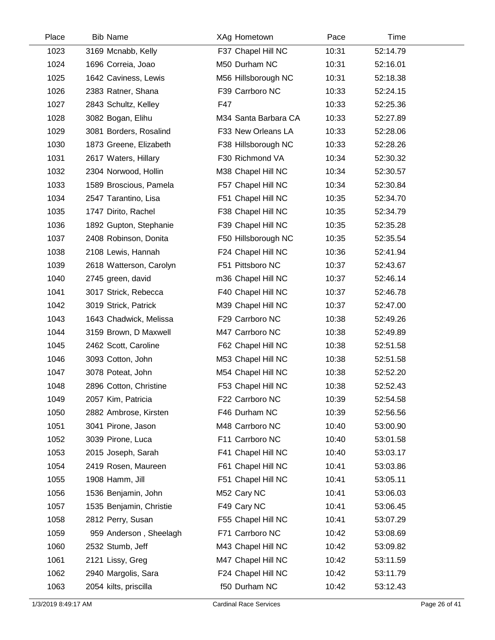| Place | <b>Bib Name</b>         | XAg Hometown         | Pace  | Time     |  |
|-------|-------------------------|----------------------|-------|----------|--|
| 1023  | 3169 Mcnabb, Kelly      | F37 Chapel Hill NC   | 10:31 | 52:14.79 |  |
| 1024  | 1696 Correia, Joao      | M50 Durham NC        | 10:31 | 52:16.01 |  |
| 1025  | 1642 Caviness, Lewis    | M56 Hillsborough NC  | 10:31 | 52:18.38 |  |
| 1026  | 2383 Ratner, Shana      | F39 Carrboro NC      | 10:33 | 52:24.15 |  |
| 1027  | 2843 Schultz, Kelley    | F47                  | 10:33 | 52:25.36 |  |
| 1028  | 3082 Bogan, Elihu       | M34 Santa Barbara CA | 10:33 | 52:27.89 |  |
| 1029  | 3081 Borders, Rosalind  | F33 New Orleans LA   | 10:33 | 52:28.06 |  |
| 1030  | 1873 Greene, Elizabeth  | F38 Hillsborough NC  | 10:33 | 52:28.26 |  |
| 1031  | 2617 Waters, Hillary    | F30 Richmond VA      | 10:34 | 52:30.32 |  |
| 1032  | 2304 Norwood, Hollin    | M38 Chapel Hill NC   | 10:34 | 52:30.57 |  |
| 1033  | 1589 Broscious, Pamela  | F57 Chapel Hill NC   | 10:34 | 52:30.84 |  |
| 1034  | 2547 Tarantino, Lisa    | F51 Chapel Hill NC   | 10:35 | 52:34.70 |  |
| 1035  | 1747 Dirito, Rachel     | F38 Chapel Hill NC   | 10:35 | 52:34.79 |  |
| 1036  | 1892 Gupton, Stephanie  | F39 Chapel Hill NC   | 10:35 | 52:35.28 |  |
| 1037  | 2408 Robinson, Donita   | F50 Hillsborough NC  | 10:35 | 52:35.54 |  |
| 1038  | 2108 Lewis, Hannah      | F24 Chapel Hill NC   | 10:36 | 52:41.94 |  |
| 1039  | 2618 Watterson, Carolyn | F51 Pittsboro NC     | 10:37 | 52:43.67 |  |
| 1040  | 2745 green, david       | m36 Chapel Hill NC   | 10:37 | 52:46.14 |  |
| 1041  | 3017 Strick, Rebecca    | F40 Chapel Hill NC   | 10:37 | 52:46.78 |  |
| 1042  | 3019 Strick, Patrick    | M39 Chapel Hill NC   | 10:37 | 52:47.00 |  |
| 1043  | 1643 Chadwick, Melissa  | F29 Carrboro NC      | 10:38 | 52:49.26 |  |
| 1044  | 3159 Brown, D Maxwell   | M47 Carrboro NC      | 10:38 | 52:49.89 |  |
| 1045  | 2462 Scott, Caroline    | F62 Chapel Hill NC   | 10:38 | 52:51.58 |  |
| 1046  | 3093 Cotton, John       | M53 Chapel Hill NC   | 10:38 | 52:51.58 |  |
| 1047  | 3078 Poteat, John       | M54 Chapel Hill NC   | 10:38 | 52:52.20 |  |
| 1048  | 2896 Cotton, Christine  | F53 Chapel Hill NC   | 10:38 | 52:52.43 |  |
| 1049  | 2057 Kim, Patricia      | F22 Carrboro NC      | 10:39 | 52:54.58 |  |
| 1050  | 2882 Ambrose, Kirsten   | F46 Durham NC        | 10:39 | 52:56.56 |  |
| 1051  | 3041 Pirone, Jason      | M48 Carrboro NC      | 10:40 | 53:00.90 |  |
| 1052  | 3039 Pirone, Luca       | F11 Carrboro NC      | 10:40 | 53:01.58 |  |
| 1053  | 2015 Joseph, Sarah      | F41 Chapel Hill NC   | 10:40 | 53:03.17 |  |
| 1054  | 2419 Rosen, Maureen     | F61 Chapel Hill NC   | 10:41 | 53:03.86 |  |
| 1055  | 1908 Hamm, Jill         | F51 Chapel Hill NC   | 10:41 | 53:05.11 |  |
| 1056  | 1536 Benjamin, John     | M52 Cary NC          | 10:41 | 53:06.03 |  |
| 1057  | 1535 Benjamin, Christie | F49 Cary NC          | 10:41 | 53:06.45 |  |
| 1058  | 2812 Perry, Susan       | F55 Chapel Hill NC   | 10:41 | 53:07.29 |  |
| 1059  | 959 Anderson, Sheelagh  | F71 Carrboro NC      | 10:42 | 53:08.69 |  |
| 1060  | 2532 Stumb, Jeff        | M43 Chapel Hill NC   | 10:42 | 53:09.82 |  |
| 1061  | 2121 Lissy, Greg        | M47 Chapel Hill NC   | 10:42 | 53:11.59 |  |
| 1062  | 2940 Margolis, Sara     | F24 Chapel Hill NC   | 10:42 | 53:11.79 |  |
| 1063  | 2054 kilts, priscilla   | f50 Durham NC        | 10:42 | 53:12.43 |  |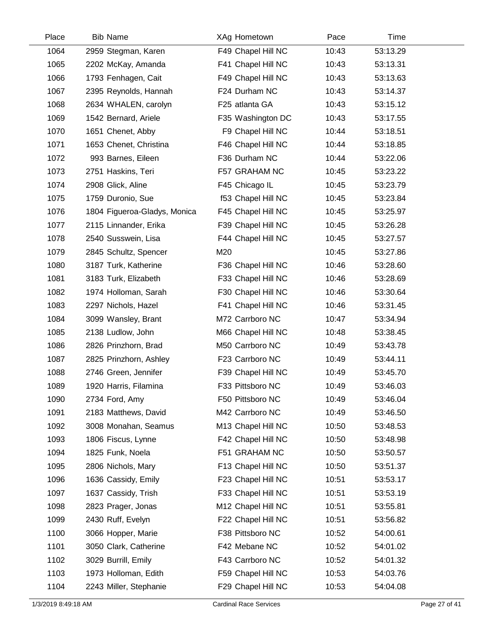| Place | <b>Bib Name</b>              | XAg Hometown       | Pace  | Time     |  |
|-------|------------------------------|--------------------|-------|----------|--|
| 1064  | 2959 Stegman, Karen          | F49 Chapel Hill NC | 10:43 | 53:13.29 |  |
| 1065  | 2202 McKay, Amanda           | F41 Chapel Hill NC | 10:43 | 53:13.31 |  |
| 1066  | 1793 Fenhagen, Cait          | F49 Chapel Hill NC | 10:43 | 53:13.63 |  |
| 1067  | 2395 Reynolds, Hannah        | F24 Durham NC      | 10:43 | 53:14.37 |  |
| 1068  | 2634 WHALEN, carolyn         | F25 atlanta GA     | 10:43 | 53:15.12 |  |
| 1069  | 1542 Bernard, Ariele         | F35 Washington DC  | 10:43 | 53:17.55 |  |
| 1070  | 1651 Chenet, Abby            | F9 Chapel Hill NC  | 10:44 | 53:18.51 |  |
| 1071  | 1653 Chenet, Christina       | F46 Chapel Hill NC | 10:44 | 53:18.85 |  |
| 1072  | 993 Barnes, Eileen           | F36 Durham NC      | 10:44 | 53:22.06 |  |
| 1073  | 2751 Haskins, Teri           | F57 GRAHAM NC      | 10:45 | 53:23.22 |  |
| 1074  | 2908 Glick, Aline            | F45 Chicago IL     | 10:45 | 53:23.79 |  |
| 1075  | 1759 Duronio, Sue            | f53 Chapel Hill NC | 10:45 | 53:23.84 |  |
| 1076  | 1804 Figueroa-Gladys, Monica | F45 Chapel Hill NC | 10:45 | 53:25.97 |  |
| 1077  | 2115 Linnander, Erika        | F39 Chapel Hill NC | 10:45 | 53:26.28 |  |
| 1078  | 2540 Susswein, Lisa          | F44 Chapel Hill NC | 10:45 | 53:27.57 |  |
| 1079  | 2845 Schultz, Spencer        | M20                | 10:45 | 53:27.86 |  |
| 1080  | 3187 Turk, Katherine         | F36 Chapel Hill NC | 10:46 | 53:28.60 |  |
| 1081  | 3183 Turk, Elizabeth         | F33 Chapel Hill NC | 10:46 | 53:28.69 |  |
| 1082  | 1974 Holloman, Sarah         | F30 Chapel Hill NC | 10:46 | 53:30.64 |  |
| 1083  | 2297 Nichols, Hazel          | F41 Chapel Hill NC | 10:46 | 53:31.45 |  |
| 1084  | 3099 Wansley, Brant          | M72 Carrboro NC    | 10:47 | 53:34.94 |  |
| 1085  | 2138 Ludlow, John            | M66 Chapel Hill NC | 10:48 | 53:38.45 |  |
| 1086  | 2826 Prinzhorn, Brad         | M50 Carrboro NC    | 10:49 | 53:43.78 |  |
| 1087  | 2825 Prinzhorn, Ashley       | F23 Carrboro NC    | 10:49 | 53:44.11 |  |
| 1088  | 2746 Green, Jennifer         | F39 Chapel Hill NC | 10:49 | 53:45.70 |  |
| 1089  | 1920 Harris, Filamina        | F33 Pittsboro NC   | 10:49 | 53:46.03 |  |
| 1090  | 2734 Ford, Amy               | F50 Pittsboro NC   | 10:49 | 53:46.04 |  |
| 1091  | 2183 Matthews, David         | M42 Carrboro NC    | 10:49 | 53:46.50 |  |
| 1092  | 3008 Monahan, Seamus         | M13 Chapel Hill NC | 10:50 | 53:48.53 |  |
| 1093  | 1806 Fiscus, Lynne           | F42 Chapel Hill NC | 10:50 | 53:48.98 |  |
| 1094  | 1825 Funk, Noela             | F51 GRAHAM NC      | 10:50 | 53:50.57 |  |
| 1095  | 2806 Nichols, Mary           | F13 Chapel Hill NC | 10:50 | 53:51.37 |  |
| 1096  | 1636 Cassidy, Emily          | F23 Chapel Hill NC | 10:51 | 53:53.17 |  |
| 1097  | 1637 Cassidy, Trish          | F33 Chapel Hill NC | 10:51 | 53:53.19 |  |
| 1098  | 2823 Prager, Jonas           | M12 Chapel Hill NC | 10:51 | 53:55.81 |  |
| 1099  | 2430 Ruff, Evelyn            | F22 Chapel Hill NC | 10:51 | 53:56.82 |  |
| 1100  | 3066 Hopper, Marie           | F38 Pittsboro NC   | 10:52 | 54:00.61 |  |
| 1101  | 3050 Clark, Catherine        | F42 Mebane NC      | 10:52 | 54:01.02 |  |
| 1102  | 3029 Burrill, Emily          | F43 Carrboro NC    | 10:52 | 54:01.32 |  |
| 1103  | 1973 Holloman, Edith         | F59 Chapel Hill NC | 10:53 | 54:03.76 |  |
| 1104  | 2243 Miller, Stephanie       | F29 Chapel Hill NC | 10:53 | 54:04.08 |  |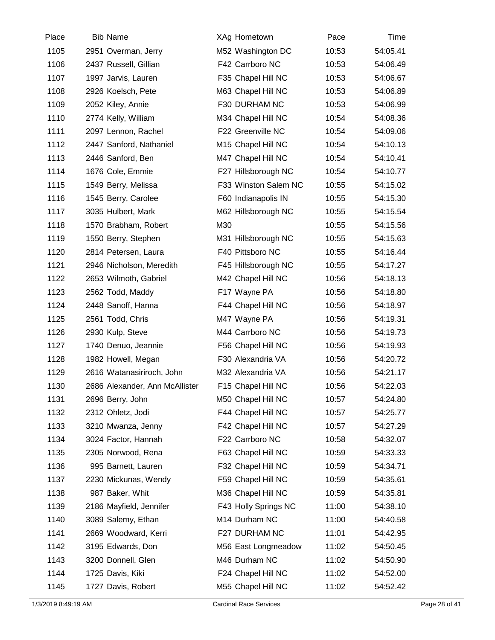| Place | <b>Bib Name</b>                | XAg Hometown         | Pace  | Time     |  |
|-------|--------------------------------|----------------------|-------|----------|--|
| 1105  | 2951 Overman, Jerry            | M52 Washington DC    | 10:53 | 54:05.41 |  |
| 1106  | 2437 Russell, Gillian          | F42 Carrboro NC      | 10:53 | 54:06.49 |  |
| 1107  | 1997 Jarvis, Lauren            | F35 Chapel Hill NC   | 10:53 | 54:06.67 |  |
| 1108  | 2926 Koelsch, Pete             | M63 Chapel Hill NC   | 10:53 | 54:06.89 |  |
| 1109  | 2052 Kiley, Annie              | F30 DURHAM NC        | 10:53 | 54:06.99 |  |
| 1110  | 2774 Kelly, William            | M34 Chapel Hill NC   | 10:54 | 54:08.36 |  |
| 1111  | 2097 Lennon, Rachel            | F22 Greenville NC    | 10:54 | 54:09.06 |  |
| 1112  | 2447 Sanford, Nathaniel        | M15 Chapel Hill NC   | 10:54 | 54:10.13 |  |
| 1113  | 2446 Sanford, Ben              | M47 Chapel Hill NC   | 10:54 | 54:10.41 |  |
| 1114  | 1676 Cole, Emmie               | F27 Hillsborough NC  | 10:54 | 54:10.77 |  |
| 1115  | 1549 Berry, Melissa            | F33 Winston Salem NC | 10:55 | 54:15.02 |  |
| 1116  | 1545 Berry, Carolee            | F60 Indianapolis IN  | 10:55 | 54:15.30 |  |
| 1117  | 3035 Hulbert, Mark             | M62 Hillsborough NC  | 10:55 | 54:15.54 |  |
| 1118  | 1570 Brabham, Robert           | M30                  | 10:55 | 54:15.56 |  |
| 1119  | 1550 Berry, Stephen            | M31 Hillsborough NC  | 10:55 | 54:15.63 |  |
| 1120  | 2814 Petersen, Laura           | F40 Pittsboro NC     | 10:55 | 54:16.44 |  |
| 1121  | 2946 Nicholson, Meredith       | F45 Hillsborough NC  | 10:55 | 54:17.27 |  |
| 1122  | 2653 Wilmoth, Gabriel          | M42 Chapel Hill NC   | 10:56 | 54:18.13 |  |
| 1123  | 2562 Todd, Maddy               | F17 Wayne PA         | 10:56 | 54:18.80 |  |
| 1124  | 2448 Sanoff, Hanna             | F44 Chapel Hill NC   | 10:56 | 54:18.97 |  |
| 1125  | 2561 Todd, Chris               | M47 Wayne PA         | 10:56 | 54:19.31 |  |
| 1126  | 2930 Kulp, Steve               | M44 Carrboro NC      | 10:56 | 54:19.73 |  |
| 1127  | 1740 Denuo, Jeannie            | F56 Chapel Hill NC   | 10:56 | 54:19.93 |  |
| 1128  | 1982 Howell, Megan             | F30 Alexandria VA    | 10:56 | 54:20.72 |  |
| 1129  | 2616 Watanasiriroch, John      | M32 Alexandria VA    | 10:56 | 54:21.17 |  |
| 1130  | 2686 Alexander, Ann McAllister | F15 Chapel Hill NC   | 10:56 | 54:22.03 |  |
| 1131  | 2696 Berry, John               | M50 Chapel Hill NC   | 10:57 | 54:24.80 |  |
| 1132  | 2312 Ohletz, Jodi              | F44 Chapel Hill NC   | 10:57 | 54:25.77 |  |
| 1133  | 3210 Mwanza, Jenny             | F42 Chapel Hill NC   | 10:57 | 54:27.29 |  |
| 1134  | 3024 Factor, Hannah            | F22 Carrboro NC      | 10:58 | 54:32.07 |  |
| 1135  | 2305 Norwood, Rena             | F63 Chapel Hill NC   | 10:59 | 54:33.33 |  |
| 1136  | 995 Barnett, Lauren            | F32 Chapel Hill NC   | 10:59 | 54:34.71 |  |
| 1137  | 2230 Mickunas, Wendy           | F59 Chapel Hill NC   | 10:59 | 54:35.61 |  |
| 1138  | 987 Baker, Whit                | M36 Chapel Hill NC   | 10:59 | 54:35.81 |  |
| 1139  | 2186 Mayfield, Jennifer        | F43 Holly Springs NC | 11:00 | 54:38.10 |  |
| 1140  | 3089 Salemy, Ethan             | M14 Durham NC        | 11:00 | 54:40.58 |  |
| 1141  | 2669 Woodward, Kerri           | F27 DURHAM NC        | 11:01 | 54:42.95 |  |
| 1142  | 3195 Edwards, Don              | M56 East Longmeadow  | 11:02 | 54:50.45 |  |
| 1143  | 3200 Donnell, Glen             | M46 Durham NC        | 11:02 | 54:50.90 |  |
| 1144  | 1725 Davis, Kiki               | F24 Chapel Hill NC   | 11:02 | 54:52.00 |  |
| 1145  | 1727 Davis, Robert             | M55 Chapel Hill NC   | 11:02 | 54:52.42 |  |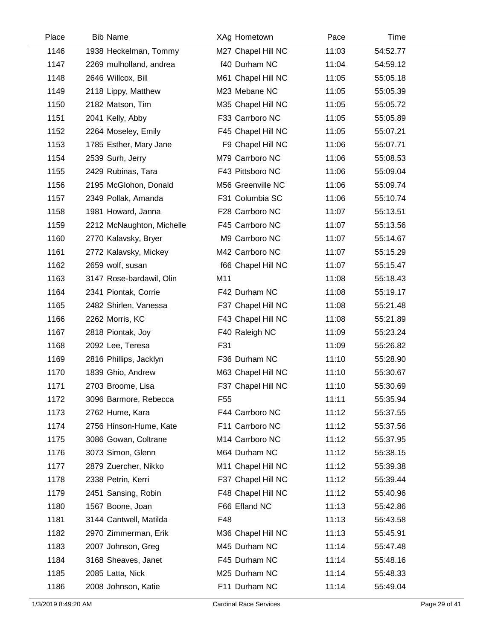| Place | <b>Bib Name</b>           | XAg Hometown       | Pace  | Time     |  |
|-------|---------------------------|--------------------|-------|----------|--|
| 1146  | 1938 Heckelman, Tommy     | M27 Chapel Hill NC | 11:03 | 54:52.77 |  |
| 1147  | 2269 mulholland, andrea   | f40 Durham NC      | 11:04 | 54:59.12 |  |
| 1148  | 2646 Willcox, Bill        | M61 Chapel Hill NC | 11:05 | 55:05.18 |  |
| 1149  | 2118 Lippy, Matthew       | M23 Mebane NC      | 11:05 | 55:05.39 |  |
| 1150  | 2182 Matson, Tim          | M35 Chapel Hill NC | 11:05 | 55:05.72 |  |
| 1151  | 2041 Kelly, Abby          | F33 Carrboro NC    | 11:05 | 55:05.89 |  |
| 1152  | 2264 Moseley, Emily       | F45 Chapel Hill NC | 11:05 | 55:07.21 |  |
| 1153  | 1785 Esther, Mary Jane    | F9 Chapel Hill NC  | 11:06 | 55:07.71 |  |
| 1154  | 2539 Surh, Jerry          | M79 Carrboro NC    | 11:06 | 55:08.53 |  |
| 1155  | 2429 Rubinas, Tara        | F43 Pittsboro NC   | 11:06 | 55:09.04 |  |
| 1156  | 2195 McGlohon, Donald     | M56 Greenville NC  | 11:06 | 55:09.74 |  |
| 1157  | 2349 Pollak, Amanda       | F31 Columbia SC    | 11:06 | 55:10.74 |  |
| 1158  | 1981 Howard, Janna        | F28 Carrboro NC    | 11:07 | 55:13.51 |  |
| 1159  | 2212 McNaughton, Michelle | F45 Carrboro NC    | 11:07 | 55:13.56 |  |
| 1160  | 2770 Kalavsky, Bryer      | M9 Carrboro NC     | 11:07 | 55:14.67 |  |
| 1161  | 2772 Kalavsky, Mickey     | M42 Carrboro NC    | 11:07 | 55:15.29 |  |
| 1162  | 2659 wolf, susan          | f66 Chapel Hill NC | 11:07 | 55:15.47 |  |
| 1163  | 3147 Rose-bardawil, Olin  | M11                | 11:08 | 55:18.43 |  |
| 1164  | 2341 Piontak, Corrie      | F42 Durham NC      | 11:08 | 55:19.17 |  |
| 1165  | 2482 Shirlen, Vanessa     | F37 Chapel Hill NC | 11:08 | 55:21.48 |  |
| 1166  | 2262 Morris, KC           | F43 Chapel Hill NC | 11:08 | 55:21.89 |  |
| 1167  | 2818 Piontak, Joy         | F40 Raleigh NC     | 11:09 | 55:23.24 |  |
| 1168  | 2092 Lee, Teresa          | F31                | 11:09 | 55:26.82 |  |
| 1169  | 2816 Phillips, Jacklyn    | F36 Durham NC      | 11:10 | 55:28.90 |  |
| 1170  | 1839 Ghio, Andrew         | M63 Chapel Hill NC | 11:10 | 55:30.67 |  |
| 1171  | 2703 Broome, Lisa         | F37 Chapel Hill NC | 11:10 | 55:30.69 |  |
| 1172  | 3096 Barmore, Rebecca     | F <sub>55</sub>    | 11:11 | 55:35.94 |  |
| 1173  | 2762 Hume, Kara           | F44 Carrboro NC    | 11:12 | 55:37.55 |  |
| 1174  | 2756 Hinson-Hume, Kate    | F11 Carrboro NC    | 11:12 | 55:37.56 |  |
| 1175  | 3086 Gowan, Coltrane      | M14 Carrboro NC    | 11:12 | 55:37.95 |  |
| 1176  | 3073 Simon, Glenn         | M64 Durham NC      | 11:12 | 55:38.15 |  |
| 1177  | 2879 Zuercher, Nikko      | M11 Chapel Hill NC | 11:12 | 55:39.38 |  |
| 1178  | 2338 Petrin, Kerri        | F37 Chapel Hill NC | 11:12 | 55:39.44 |  |
| 1179  | 2451 Sansing, Robin       | F48 Chapel Hill NC | 11:12 | 55:40.96 |  |
| 1180  | 1567 Boone, Joan          | F66 Efland NC      | 11:13 | 55:42.86 |  |
| 1181  | 3144 Cantwell, Matilda    | F48                | 11:13 | 55:43.58 |  |
| 1182  | 2970 Zimmerman, Erik      | M36 Chapel Hill NC | 11:13 | 55:45.91 |  |
| 1183  | 2007 Johnson, Greg        | M45 Durham NC      | 11:14 | 55:47.48 |  |
| 1184  | 3168 Sheaves, Janet       | F45 Durham NC      | 11:14 | 55:48.16 |  |
| 1185  | 2085 Latta, Nick          | M25 Durham NC      | 11:14 | 55:48.33 |  |
| 1186  | 2008 Johnson, Katie       | F11 Durham NC      | 11:14 | 55:49.04 |  |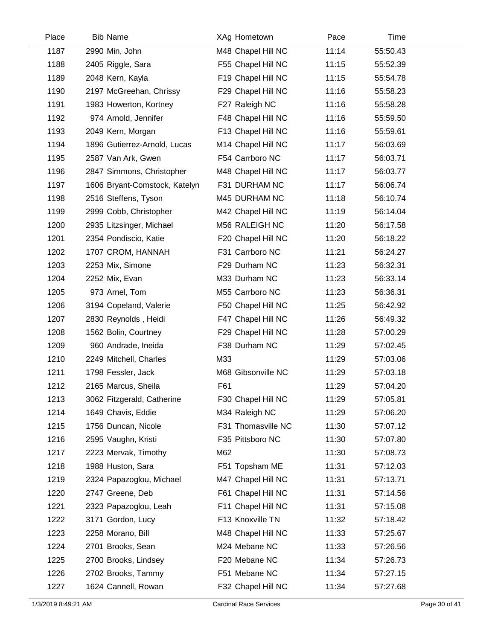| Place | <b>Bib Name</b>               | XAg Hometown       | Pace  | Time     |  |
|-------|-------------------------------|--------------------|-------|----------|--|
| 1187  | 2990 Min, John                | M48 Chapel Hill NC | 11:14 | 55:50.43 |  |
| 1188  | 2405 Riggle, Sara             | F55 Chapel Hill NC | 11:15 | 55:52.39 |  |
| 1189  | 2048 Kern, Kayla              | F19 Chapel Hill NC | 11:15 | 55:54.78 |  |
| 1190  | 2197 McGreehan, Chrissy       | F29 Chapel Hill NC | 11:16 | 55:58.23 |  |
| 1191  | 1983 Howerton, Kortney        | F27 Raleigh NC     | 11:16 | 55:58.28 |  |
| 1192  | 974 Arnold, Jennifer          | F48 Chapel Hill NC | 11:16 | 55:59.50 |  |
| 1193  | 2049 Kern, Morgan             | F13 Chapel Hill NC | 11:16 | 55:59.61 |  |
| 1194  | 1896 Gutierrez-Arnold, Lucas  | M14 Chapel Hill NC | 11:17 | 56:03.69 |  |
| 1195  | 2587 Van Ark, Gwen            | F54 Carrboro NC    | 11:17 | 56:03.71 |  |
| 1196  | 2847 Simmons, Christopher     | M48 Chapel Hill NC | 11:17 | 56:03.77 |  |
| 1197  | 1606 Bryant-Comstock, Katelyn | F31 DURHAM NC      | 11:17 | 56:06.74 |  |
| 1198  | 2516 Steffens, Tyson          | M45 DURHAM NC      | 11:18 | 56:10.74 |  |
| 1199  | 2999 Cobb, Christopher        | M42 Chapel Hill NC | 11:19 | 56:14.04 |  |
| 1200  | 2935 Litzsinger, Michael      | M56 RALEIGH NC     | 11:20 | 56:17.58 |  |
| 1201  | 2354 Pondiscio, Katie         | F20 Chapel Hill NC | 11:20 | 56:18.22 |  |
| 1202  | 1707 CROM, HANNAH             | F31 Carrboro NC    | 11:21 | 56:24.27 |  |
| 1203  | 2253 Mix, Simone              | F29 Durham NC      | 11:23 | 56:32.31 |  |
| 1204  | 2252 Mix, Evan                | M33 Durham NC      | 11:23 | 56:33.14 |  |
| 1205  | 973 Arnel, Tom                | M55 Carrboro NC    | 11:23 | 56:36.31 |  |
| 1206  | 3194 Copeland, Valerie        | F50 Chapel Hill NC | 11:25 | 56:42.92 |  |
| 1207  | 2830 Reynolds, Heidi          | F47 Chapel Hill NC | 11:26 | 56:49.32 |  |
| 1208  | 1562 Bolin, Courtney          | F29 Chapel Hill NC | 11:28 | 57:00.29 |  |
| 1209  | 960 Andrade, Ineida           | F38 Durham NC      | 11:29 | 57:02.45 |  |
| 1210  | 2249 Mitchell, Charles        | M33                | 11:29 | 57:03.06 |  |
| 1211  | 1798 Fessler, Jack            | M68 Gibsonville NC | 11:29 | 57:03.18 |  |
| 1212  | 2165 Marcus, Sheila           | F61                | 11:29 | 57:04.20 |  |
| 1213  | 3062 Fitzgerald, Catherine    | F30 Chapel Hill NC | 11:29 | 57:05.81 |  |
| 1214  | 1649 Chavis, Eddie            | M34 Raleigh NC     | 11:29 | 57:06.20 |  |
| 1215  | 1756 Duncan, Nicole           | F31 Thomasville NC | 11:30 | 57:07.12 |  |
| 1216  | 2595 Vaughn, Kristi           | F35 Pittsboro NC   | 11:30 | 57:07.80 |  |
| 1217  | 2223 Mervak, Timothy          | M62                | 11:30 | 57:08.73 |  |
| 1218  | 1988 Huston, Sara             | F51 Topsham ME     | 11:31 | 57:12.03 |  |
| 1219  | 2324 Papazoglou, Michael      | M47 Chapel Hill NC | 11:31 | 57:13.71 |  |
| 1220  | 2747 Greene, Deb              | F61 Chapel Hill NC | 11:31 | 57:14.56 |  |
| 1221  | 2323 Papazoglou, Leah         | F11 Chapel Hill NC | 11:31 | 57:15.08 |  |
| 1222  | 3171 Gordon, Lucy             | F13 Knoxville TN   | 11:32 | 57:18.42 |  |
| 1223  | 2258 Morano, Bill             | M48 Chapel Hill NC | 11:33 | 57:25.67 |  |
| 1224  | 2701 Brooks, Sean             | M24 Mebane NC      | 11:33 | 57:26.56 |  |
| 1225  | 2700 Brooks, Lindsey          | F20 Mebane NC      | 11:34 | 57:26.73 |  |
| 1226  | 2702 Brooks, Tammy            | F51 Mebane NC      | 11:34 | 57:27.15 |  |
| 1227  | 1624 Cannell, Rowan           | F32 Chapel Hill NC | 11:34 | 57:27.68 |  |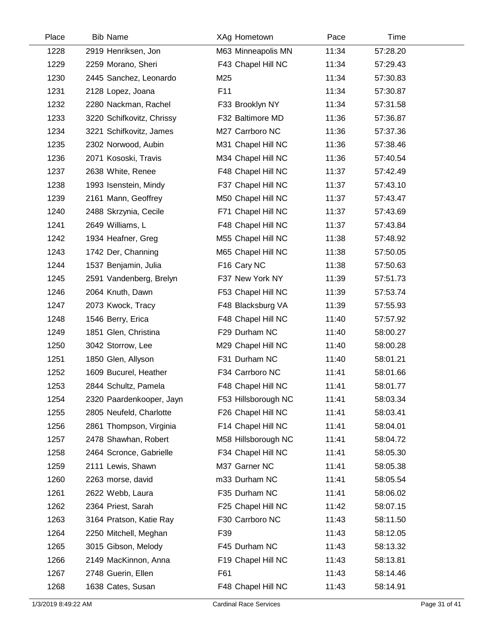| Place | <b>Bib Name</b>           | XAg Hometown        | Pace  | Time     |  |
|-------|---------------------------|---------------------|-------|----------|--|
| 1228  | 2919 Henriksen, Jon       | M63 Minneapolis MN  | 11:34 | 57:28.20 |  |
| 1229  | 2259 Morano, Sheri        | F43 Chapel Hill NC  | 11:34 | 57:29.43 |  |
| 1230  | 2445 Sanchez, Leonardo    | M25                 | 11:34 | 57:30.83 |  |
| 1231  | 2128 Lopez, Joana         | F11                 | 11:34 | 57:30.87 |  |
| 1232  | 2280 Nackman, Rachel      | F33 Brooklyn NY     | 11:34 | 57:31.58 |  |
| 1233  | 3220 Schifkovitz, Chrissy | F32 Baltimore MD    | 11:36 | 57:36.87 |  |
| 1234  | 3221 Schifkovitz, James   | M27 Carrboro NC     | 11:36 | 57:37.36 |  |
| 1235  | 2302 Norwood, Aubin       | M31 Chapel Hill NC  | 11:36 | 57:38.46 |  |
| 1236  | 2071 Kososki, Travis      | M34 Chapel Hill NC  | 11:36 | 57:40.54 |  |
| 1237  | 2638 White, Renee         | F48 Chapel Hill NC  | 11:37 | 57:42.49 |  |
| 1238  | 1993 Isenstein, Mindy     | F37 Chapel Hill NC  | 11:37 | 57:43.10 |  |
| 1239  | 2161 Mann, Geoffrey       | M50 Chapel Hill NC  | 11:37 | 57:43.47 |  |
| 1240  | 2488 Skrzynia, Cecile     | F71 Chapel Hill NC  | 11:37 | 57:43.69 |  |
| 1241  | 2649 Williams, L          | F48 Chapel Hill NC  | 11:37 | 57:43.84 |  |
| 1242  | 1934 Heafner, Greg        | M55 Chapel Hill NC  | 11:38 | 57:48.92 |  |
| 1243  | 1742 Der, Channing        | M65 Chapel Hill NC  | 11:38 | 57:50.05 |  |
| 1244  | 1537 Benjamin, Julia      | F16 Cary NC         | 11:38 | 57:50.63 |  |
| 1245  | 2591 Vandenberg, Brelyn   | F37 New York NY     | 11:39 | 57:51.73 |  |
| 1246  | 2064 Knuth, Dawn          | F53 Chapel Hill NC  | 11:39 | 57:53.74 |  |
| 1247  | 2073 Kwock, Tracy         | F48 Blacksburg VA   | 11:39 | 57:55.93 |  |
| 1248  | 1546 Berry, Erica         | F48 Chapel Hill NC  | 11:40 | 57:57.92 |  |
| 1249  | 1851 Glen, Christina      | F29 Durham NC       | 11:40 | 58:00.27 |  |
| 1250  | 3042 Storrow, Lee         | M29 Chapel Hill NC  | 11:40 | 58:00.28 |  |
| 1251  | 1850 Glen, Allyson        | F31 Durham NC       | 11:40 | 58:01.21 |  |
| 1252  | 1609 Bucurel, Heather     | F34 Carrboro NC     | 11:41 | 58:01.66 |  |
| 1253  | 2844 Schultz, Pamela      | F48 Chapel Hill NC  | 11:41 | 58:01.77 |  |
| 1254  | 2320 Paardenkooper, Jayn  | F53 Hillsborough NC | 11:41 | 58:03.34 |  |
| 1255  | 2805 Neufeld, Charlotte   | F26 Chapel Hill NC  | 11:41 | 58:03.41 |  |
| 1256  | 2861 Thompson, Virginia   | F14 Chapel Hill NC  | 11:41 | 58:04.01 |  |
| 1257  | 2478 Shawhan, Robert      | M58 Hillsborough NC | 11:41 | 58:04.72 |  |
| 1258  | 2464 Scronce, Gabrielle   | F34 Chapel Hill NC  | 11:41 | 58:05.30 |  |
| 1259  | 2111 Lewis, Shawn         | M37 Garner NC       | 11:41 | 58:05.38 |  |
| 1260  | 2263 morse, david         | m33 Durham NC       | 11:41 | 58:05.54 |  |
| 1261  | 2622 Webb, Laura          | F35 Durham NC       | 11:41 | 58:06.02 |  |
| 1262  | 2364 Priest, Sarah        | F25 Chapel Hill NC  | 11:42 | 58:07.15 |  |
| 1263  | 3164 Pratson, Katie Ray   | F30 Carrboro NC     | 11:43 | 58:11.50 |  |
| 1264  | 2250 Mitchell, Meghan     | F39                 | 11:43 | 58:12.05 |  |
| 1265  | 3015 Gibson, Melody       | F45 Durham NC       | 11:43 | 58:13.32 |  |
| 1266  | 2149 MacKinnon, Anna      | F19 Chapel Hill NC  | 11:43 | 58:13.81 |  |
| 1267  | 2748 Guerin, Ellen        | F61                 | 11:43 | 58:14.46 |  |
| 1268  | 1638 Cates, Susan         | F48 Chapel Hill NC  | 11:43 | 58:14.91 |  |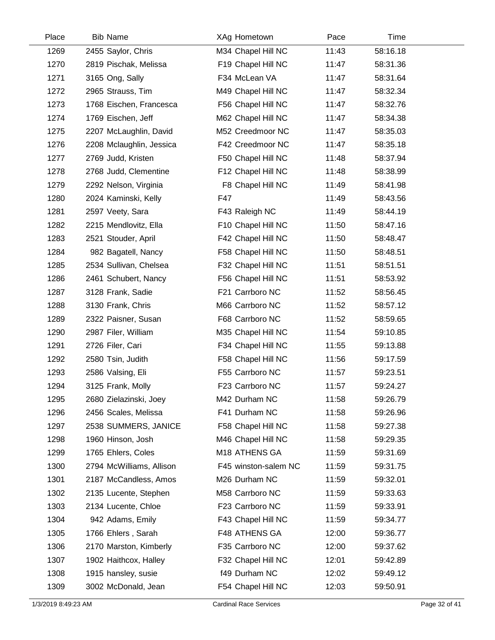| Place | <b>Bib Name</b>          | XAg Hometown         | Pace  | Time     |  |
|-------|--------------------------|----------------------|-------|----------|--|
| 1269  | 2455 Saylor, Chris       | M34 Chapel Hill NC   | 11:43 | 58:16.18 |  |
| 1270  | 2819 Pischak, Melissa    | F19 Chapel Hill NC   | 11:47 | 58:31.36 |  |
| 1271  | 3165 Ong, Sally          | F34 McLean VA        | 11:47 | 58:31.64 |  |
| 1272  | 2965 Strauss, Tim        | M49 Chapel Hill NC   | 11:47 | 58:32.34 |  |
| 1273  | 1768 Eischen, Francesca  | F56 Chapel Hill NC   | 11:47 | 58:32.76 |  |
| 1274  | 1769 Eischen, Jeff       | M62 Chapel Hill NC   | 11:47 | 58:34.38 |  |
| 1275  | 2207 McLaughlin, David   | M52 Creedmoor NC     | 11:47 | 58:35.03 |  |
| 1276  | 2208 Mclaughlin, Jessica | F42 Creedmoor NC     | 11:47 | 58:35.18 |  |
| 1277  | 2769 Judd, Kristen       | F50 Chapel Hill NC   | 11:48 | 58:37.94 |  |
| 1278  | 2768 Judd, Clementine    | F12 Chapel Hill NC   | 11:48 | 58:38.99 |  |
| 1279  | 2292 Nelson, Virginia    | F8 Chapel Hill NC    | 11:49 | 58:41.98 |  |
| 1280  | 2024 Kaminski, Kelly     | F47                  | 11:49 | 58:43.56 |  |
| 1281  | 2597 Veety, Sara         | F43 Raleigh NC       | 11:49 | 58:44.19 |  |
| 1282  | 2215 Mendlovitz, Ella    | F10 Chapel Hill NC   | 11:50 | 58:47.16 |  |
| 1283  | 2521 Stouder, April      | F42 Chapel Hill NC   | 11:50 | 58:48.47 |  |
| 1284  | 982 Bagatell, Nancy      | F58 Chapel Hill NC   | 11:50 | 58:48.51 |  |
| 1285  | 2534 Sullivan, Chelsea   | F32 Chapel Hill NC   | 11:51 | 58:51.51 |  |
| 1286  | 2461 Schubert, Nancy     | F56 Chapel Hill NC   | 11:51 | 58:53.92 |  |
| 1287  | 3128 Frank, Sadie        | F21 Carrboro NC      | 11:52 | 58:56.45 |  |
| 1288  | 3130 Frank, Chris        | M66 Carrboro NC      | 11:52 | 58:57.12 |  |
| 1289  | 2322 Paisner, Susan      | F68 Carrboro NC      | 11:52 | 58:59.65 |  |
| 1290  | 2987 Filer, William      | M35 Chapel Hill NC   | 11:54 | 59:10.85 |  |
| 1291  | 2726 Filer, Cari         | F34 Chapel Hill NC   | 11:55 | 59:13.88 |  |
| 1292  | 2580 Tsin, Judith        | F58 Chapel Hill NC   | 11:56 | 59:17.59 |  |
| 1293  | 2586 Valsing, Eli        | F55 Carrboro NC      | 11:57 | 59:23.51 |  |
| 1294  | 3125 Frank, Molly        | F23 Carrboro NC      | 11:57 | 59:24.27 |  |
| 1295  | 2680 Zielazinski, Joey   | M42 Durham NC        | 11:58 | 59:26.79 |  |
| 1296  | 2456 Scales, Melissa     | F41 Durham NC        | 11:58 | 59:26.96 |  |
| 1297  | 2538 SUMMERS, JANICE     | F58 Chapel Hill NC   | 11:58 | 59:27.38 |  |
| 1298  | 1960 Hinson, Josh        | M46 Chapel Hill NC   | 11:58 | 59:29.35 |  |
| 1299  | 1765 Ehlers, Coles       | M18 ATHENS GA        | 11:59 | 59:31.69 |  |
| 1300  | 2794 McWilliams, Allison | F45 winston-salem NC | 11:59 | 59:31.75 |  |
| 1301  | 2187 McCandless, Amos    | M26 Durham NC        | 11:59 | 59:32.01 |  |
| 1302  | 2135 Lucente, Stephen    | M58 Carrboro NC      | 11:59 | 59:33.63 |  |
| 1303  | 2134 Lucente, Chloe      | F23 Carrboro NC      | 11:59 | 59:33.91 |  |
| 1304  | 942 Adams, Emily         | F43 Chapel Hill NC   | 11:59 | 59:34.77 |  |
| 1305  | 1766 Ehlers, Sarah       | F48 ATHENS GA        | 12:00 | 59:36.77 |  |
| 1306  | 2170 Marston, Kimberly   | F35 Carrboro NC      | 12:00 | 59:37.62 |  |
| 1307  | 1902 Haithcox, Halley    | F32 Chapel Hill NC   | 12:01 | 59:42.89 |  |
| 1308  | 1915 hansley, susie      | f49 Durham NC        | 12:02 | 59:49.12 |  |
| 1309  | 3002 McDonald, Jean      | F54 Chapel Hill NC   | 12:03 | 59:50.91 |  |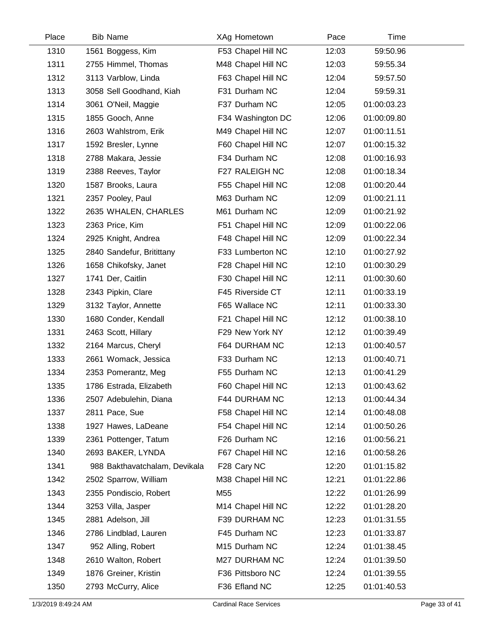| Place | <b>Bib Name</b>               | XAg Hometown       | Pace  | Time        |  |
|-------|-------------------------------|--------------------|-------|-------------|--|
| 1310  | 1561 Boggess, Kim             | F53 Chapel Hill NC | 12:03 | 59:50.96    |  |
| 1311  | 2755 Himmel, Thomas           | M48 Chapel Hill NC | 12:03 | 59:55.34    |  |
| 1312  | 3113 Varblow, Linda           | F63 Chapel Hill NC | 12:04 | 59:57.50    |  |
| 1313  | 3058 Sell Goodhand, Kiah      | F31 Durham NC      | 12:04 | 59:59.31    |  |
| 1314  | 3061 O'Neil, Maggie           | F37 Durham NC      | 12:05 | 01:00:03.23 |  |
| 1315  | 1855 Gooch, Anne              | F34 Washington DC  | 12:06 | 01:00:09.80 |  |
| 1316  | 2603 Wahlstrom, Erik          | M49 Chapel Hill NC | 12:07 | 01:00:11.51 |  |
| 1317  | 1592 Bresler, Lynne           | F60 Chapel Hill NC | 12:07 | 01:00:15.32 |  |
| 1318  | 2788 Makara, Jessie           | F34 Durham NC      | 12:08 | 01:00:16.93 |  |
| 1319  | 2388 Reeves, Taylor           | F27 RALEIGH NC     | 12:08 | 01:00:18.34 |  |
| 1320  | 1587 Brooks, Laura            | F55 Chapel Hill NC | 12:08 | 01:00:20.44 |  |
| 1321  | 2357 Pooley, Paul             | M63 Durham NC      | 12:09 | 01:00:21.11 |  |
| 1322  | 2635 WHALEN, CHARLES          | M61 Durham NC      | 12:09 | 01:00:21.92 |  |
| 1323  | 2363 Price, Kim               | F51 Chapel Hill NC | 12:09 | 01:00:22.06 |  |
| 1324  | 2925 Knight, Andrea           | F48 Chapel Hill NC | 12:09 | 01:00:22.34 |  |
| 1325  | 2840 Sandefur, Britittany     | F33 Lumberton NC   | 12:10 | 01:00:27.92 |  |
| 1326  | 1658 Chikofsky, Janet         | F28 Chapel Hill NC | 12:10 | 01:00:30.29 |  |
| 1327  | 1741 Der, Caitlin             | F30 Chapel Hill NC | 12:11 | 01:00:30.60 |  |
| 1328  | 2343 Pipkin, Clare            | F45 Riverside CT   | 12:11 | 01:00:33.19 |  |
| 1329  | 3132 Taylor, Annette          | F65 Wallace NC     | 12:11 | 01:00:33.30 |  |
| 1330  | 1680 Conder, Kendall          | F21 Chapel Hill NC | 12:12 | 01:00:38.10 |  |
| 1331  | 2463 Scott, Hillary           | F29 New York NY    | 12:12 | 01:00:39.49 |  |
| 1332  | 2164 Marcus, Cheryl           | F64 DURHAM NC      | 12:13 | 01:00:40.57 |  |
| 1333  | 2661 Womack, Jessica          | F33 Durham NC      | 12:13 | 01:00:40.71 |  |
| 1334  | 2353 Pomerantz, Meg           | F55 Durham NC      | 12:13 | 01:00:41.29 |  |
| 1335  | 1786 Estrada, Elizabeth       | F60 Chapel Hill NC | 12:13 | 01:00:43.62 |  |
| 1336  | 2507 Adebulehin, Diana        | F44 DURHAM NC      | 12:13 | 01:00:44.34 |  |
| 1337  | 2811 Pace, Sue                | F58 Chapel Hill NC | 12:14 | 01:00:48.08 |  |
| 1338  | 1927 Hawes, LaDeane           | F54 Chapel Hill NC | 12:14 | 01:00:50.26 |  |
| 1339  | 2361 Pottenger, Tatum         | F26 Durham NC      | 12:16 | 01:00:56.21 |  |
| 1340  | 2693 BAKER, LYNDA             | F67 Chapel Hill NC | 12:16 | 01:00:58.26 |  |
| 1341  | 988 Bakthavatchalam, Devikala | F28 Cary NC        | 12:20 | 01:01:15.82 |  |
| 1342  | 2502 Sparrow, William         | M38 Chapel Hill NC | 12:21 | 01:01:22.86 |  |
| 1343  | 2355 Pondiscio, Robert        | M55                | 12:22 | 01:01:26.99 |  |
| 1344  | 3253 Villa, Jasper            | M14 Chapel Hill NC | 12:22 | 01:01:28.20 |  |
| 1345  | 2881 Adelson, Jill            | F39 DURHAM NC      | 12:23 | 01:01:31.55 |  |
| 1346  | 2786 Lindblad, Lauren         | F45 Durham NC      | 12:23 | 01:01:33.87 |  |
| 1347  | 952 Alling, Robert            | M15 Durham NC      | 12:24 | 01:01:38.45 |  |
| 1348  | 2610 Walton, Robert           | M27 DURHAM NC      | 12:24 | 01:01:39.50 |  |
| 1349  | 1876 Greiner, Kristin         | F36 Pittsboro NC   | 12:24 | 01:01:39.55 |  |
| 1350  | 2793 McCurry, Alice           | F36 Efland NC      | 12:25 | 01:01:40.53 |  |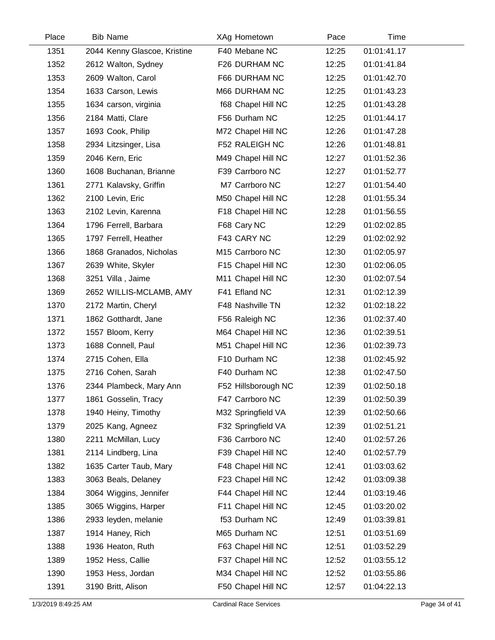| Place | <b>Bib Name</b>              | XAg Hometown        | Pace  | Time        |  |
|-------|------------------------------|---------------------|-------|-------------|--|
| 1351  | 2044 Kenny Glascoe, Kristine | F40 Mebane NC       | 12:25 | 01:01:41.17 |  |
| 1352  | 2612 Walton, Sydney          | F26 DURHAM NC       | 12:25 | 01:01:41.84 |  |
| 1353  | 2609 Walton, Carol           | F66 DURHAM NC       | 12:25 | 01:01:42.70 |  |
| 1354  | 1633 Carson, Lewis           | M66 DURHAM NC       | 12:25 | 01:01:43.23 |  |
| 1355  | 1634 carson, virginia        | f68 Chapel Hill NC  | 12:25 | 01:01:43.28 |  |
| 1356  | 2184 Matti, Clare            | F56 Durham NC       | 12:25 | 01:01:44.17 |  |
| 1357  | 1693 Cook, Philip            | M72 Chapel Hill NC  | 12:26 | 01:01:47.28 |  |
| 1358  | 2934 Litzsinger, Lisa        | F52 RALEIGH NC      | 12:26 | 01:01:48.81 |  |
| 1359  | 2046 Kern, Eric              | M49 Chapel Hill NC  | 12:27 | 01:01:52.36 |  |
| 1360  | 1608 Buchanan, Brianne       | F39 Carrboro NC     | 12:27 | 01:01:52.77 |  |
| 1361  | 2771 Kalavsky, Griffin       | M7 Carrboro NC      | 12:27 | 01:01:54.40 |  |
| 1362  | 2100 Levin, Eric             | M50 Chapel Hill NC  | 12:28 | 01:01:55.34 |  |
| 1363  | 2102 Levin, Karenna          | F18 Chapel Hill NC  | 12:28 | 01:01:56.55 |  |
| 1364  | 1796 Ferrell, Barbara        | F68 Cary NC         | 12:29 | 01:02:02.85 |  |
| 1365  | 1797 Ferrell, Heather        | F43 CARY NC         | 12:29 | 01:02:02.92 |  |
| 1366  | 1868 Granados, Nicholas      | M15 Carrboro NC     | 12:30 | 01:02:05.97 |  |
| 1367  | 2639 White, Skyler           | F15 Chapel Hill NC  | 12:30 | 01:02:06.05 |  |
| 1368  | 3251 Villa, Jaime            | M11 Chapel Hill NC  | 12:30 | 01:02:07.54 |  |
| 1369  | 2652 WILLIS-MCLAMB, AMY      | F41 Efland NC       | 12:31 | 01:02:12.39 |  |
| 1370  | 2172 Martin, Cheryl          | F48 Nashville TN    | 12:32 | 01:02:18.22 |  |
| 1371  | 1862 Gotthardt, Jane         | F56 Raleigh NC      | 12:36 | 01:02:37.40 |  |
| 1372  | 1557 Bloom, Kerry            | M64 Chapel Hill NC  | 12:36 | 01:02:39.51 |  |
| 1373  | 1688 Connell, Paul           | M51 Chapel Hill NC  | 12:36 | 01:02:39.73 |  |
| 1374  | 2715 Cohen, Ella             | F10 Durham NC       | 12:38 | 01:02:45.92 |  |
| 1375  | 2716 Cohen, Sarah            | F40 Durham NC       | 12:38 | 01:02:47.50 |  |
| 1376  | 2344 Plambeck, Mary Ann      | F52 Hillsborough NC | 12:39 | 01:02:50.18 |  |
| 1377  | 1861 Gosselin, Tracy         | F47 Carrboro NC     | 12:39 | 01:02:50.39 |  |
| 1378  | 1940 Heiny, Timothy          | M32 Springfield VA  | 12:39 | 01:02:50.66 |  |
| 1379  | 2025 Kang, Agneez            | F32 Springfield VA  | 12:39 | 01:02:51.21 |  |
| 1380  | 2211 McMillan, Lucy          | F36 Carrboro NC     | 12:40 | 01:02:57.26 |  |
| 1381  | 2114 Lindberg, Lina          | F39 Chapel Hill NC  | 12:40 | 01:02:57.79 |  |
| 1382  | 1635 Carter Taub, Mary       | F48 Chapel Hill NC  | 12:41 | 01:03:03.62 |  |
| 1383  | 3063 Beals, Delaney          | F23 Chapel Hill NC  | 12:42 | 01:03:09.38 |  |
| 1384  | 3064 Wiggins, Jennifer       | F44 Chapel Hill NC  | 12:44 | 01:03:19.46 |  |
| 1385  | 3065 Wiggins, Harper         | F11 Chapel Hill NC  | 12:45 | 01:03:20.02 |  |
| 1386  | 2933 leyden, melanie         | f53 Durham NC       | 12:49 | 01:03:39.81 |  |
| 1387  | 1914 Haney, Rich             | M65 Durham NC       | 12:51 | 01:03:51.69 |  |
| 1388  | 1936 Heaton, Ruth            | F63 Chapel Hill NC  | 12:51 | 01:03:52.29 |  |
| 1389  | 1952 Hess, Callie            | F37 Chapel Hill NC  | 12:52 | 01:03:55.12 |  |
| 1390  | 1953 Hess, Jordan            | M34 Chapel Hill NC  | 12:52 | 01:03:55.86 |  |
| 1391  | 3190 Britt, Alison           | F50 Chapel Hill NC  | 12:57 | 01:04:22.13 |  |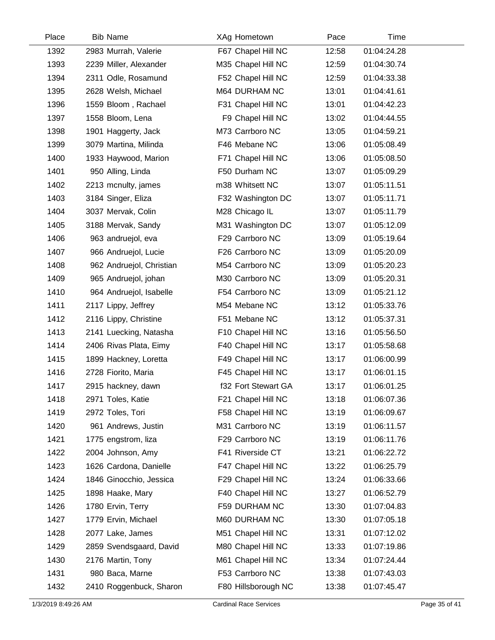| Place | <b>Bib Name</b>          | XAg Hometown        | Pace  | Time        |  |
|-------|--------------------------|---------------------|-------|-------------|--|
| 1392  | 2983 Murrah, Valerie     | F67 Chapel Hill NC  | 12:58 | 01:04:24.28 |  |
| 1393  | 2239 Miller, Alexander   | M35 Chapel Hill NC  | 12:59 | 01:04:30.74 |  |
| 1394  | 2311 Odle, Rosamund      | F52 Chapel Hill NC  | 12:59 | 01:04:33.38 |  |
| 1395  | 2628 Welsh, Michael      | M64 DURHAM NC       | 13:01 | 01:04:41.61 |  |
| 1396  | 1559 Bloom, Rachael      | F31 Chapel Hill NC  | 13:01 | 01:04:42.23 |  |
| 1397  | 1558 Bloom, Lena         | F9 Chapel Hill NC   | 13:02 | 01:04:44.55 |  |
| 1398  | 1901 Haggerty, Jack      | M73 Carrboro NC     | 13:05 | 01:04:59.21 |  |
| 1399  | 3079 Martina, Milinda    | F46 Mebane NC       | 13:06 | 01:05:08.49 |  |
| 1400  | 1933 Haywood, Marion     | F71 Chapel Hill NC  | 13:06 | 01:05:08.50 |  |
| 1401  | 950 Alling, Linda        | F50 Durham NC       | 13:07 | 01:05:09.29 |  |
| 1402  | 2213 mcnulty, james      | m38 Whitsett NC     | 13:07 | 01:05:11.51 |  |
| 1403  | 3184 Singer, Eliza       | F32 Washington DC   | 13:07 | 01:05:11.71 |  |
| 1404  | 3037 Mervak, Colin       | M28 Chicago IL      | 13:07 | 01:05:11.79 |  |
| 1405  | 3188 Mervak, Sandy       | M31 Washington DC   | 13:07 | 01:05:12.09 |  |
| 1406  | 963 andruejol, eva       | F29 Carrboro NC     | 13:09 | 01:05:19.64 |  |
| 1407  | 966 Andruejol, Lucie     | F26 Carrboro NC     | 13:09 | 01:05:20.09 |  |
| 1408  | 962 Andruejol, Christian | M54 Carrboro NC     | 13:09 | 01:05:20.23 |  |
| 1409  | 965 Andruejol, johan     | M30 Carrboro NC     | 13:09 | 01:05:20.31 |  |
| 1410  | 964 Andruejol, Isabelle  | F54 Carrboro NC     | 13:09 | 01:05:21.12 |  |
| 1411  | 2117 Lippy, Jeffrey      | M54 Mebane NC       | 13:12 | 01:05:33.76 |  |
| 1412  | 2116 Lippy, Christine    | F51 Mebane NC       | 13:12 | 01:05:37.31 |  |
| 1413  | 2141 Luecking, Natasha   | F10 Chapel Hill NC  | 13:16 | 01:05:56.50 |  |
| 1414  | 2406 Rivas Plata, Eimy   | F40 Chapel Hill NC  | 13:17 | 01:05:58.68 |  |
| 1415  | 1899 Hackney, Loretta    | F49 Chapel Hill NC  | 13:17 | 01:06:00.99 |  |
| 1416  | 2728 Fiorito, Maria      | F45 Chapel Hill NC  | 13:17 | 01:06:01.15 |  |
| 1417  | 2915 hackney, dawn       | f32 Fort Stewart GA | 13:17 | 01:06:01.25 |  |
| 1418  | 2971 Toles, Katie        | F21 Chapel Hill NC  | 13:18 | 01:06:07.36 |  |
| 1419  | 2972 Toles, Tori         | F58 Chapel Hill NC  | 13:19 | 01:06:09.67 |  |
| 1420  | 961 Andrews, Justin      | M31 Carrboro NC     | 13:19 | 01:06:11.57 |  |
| 1421  | 1775 engstrom, liza      | F29 Carrboro NC     | 13:19 | 01:06:11.76 |  |
| 1422  | 2004 Johnson, Amy        | F41 Riverside CT    | 13:21 | 01:06:22.72 |  |
| 1423  | 1626 Cardona, Danielle   | F47 Chapel Hill NC  | 13:22 | 01:06:25.79 |  |
| 1424  | 1846 Ginocchio, Jessica  | F29 Chapel Hill NC  | 13:24 | 01:06:33.66 |  |
| 1425  | 1898 Haake, Mary         | F40 Chapel Hill NC  | 13:27 | 01:06:52.79 |  |
| 1426  | 1780 Ervin, Terry        | F59 DURHAM NC       | 13:30 | 01:07:04.83 |  |
| 1427  | 1779 Ervin, Michael      | M60 DURHAM NC       | 13:30 | 01:07:05.18 |  |
| 1428  | 2077 Lake, James         | M51 Chapel Hill NC  | 13:31 | 01:07:12.02 |  |
| 1429  | 2859 Svendsgaard, David  | M80 Chapel Hill NC  | 13:33 | 01:07:19.86 |  |
| 1430  | 2176 Martin, Tony        | M61 Chapel Hill NC  | 13:34 | 01:07:24.44 |  |
| 1431  | 980 Baca, Marne          | F53 Carrboro NC     | 13:38 | 01:07:43.03 |  |
| 1432  | 2410 Roggenbuck, Sharon  | F80 Hillsborough NC | 13:38 | 01:07:45.47 |  |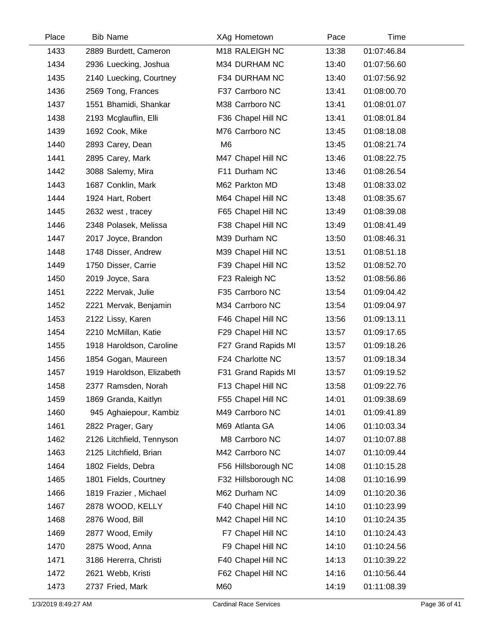| Place | <b>Bib Name</b>           | XAg Hometown        | Pace  | Time        |  |
|-------|---------------------------|---------------------|-------|-------------|--|
| 1433  | 2889 Burdett, Cameron     | M18 RALEIGH NC      | 13:38 | 01:07:46.84 |  |
| 1434  | 2936 Luecking, Joshua     | M34 DURHAM NC       | 13:40 | 01:07:56.60 |  |
| 1435  | 2140 Luecking, Courtney   | F34 DURHAM NC       | 13:40 | 01:07:56.92 |  |
| 1436  | 2569 Tong, Frances        | F37 Carrboro NC     | 13:41 | 01:08:00.70 |  |
| 1437  | 1551 Bhamidi, Shankar     | M38 Carrboro NC     | 13:41 | 01:08:01.07 |  |
| 1438  | 2193 Mcglauflin, Elli     | F36 Chapel Hill NC  | 13:41 | 01:08:01.84 |  |
| 1439  | 1692 Cook, Mike           | M76 Carrboro NC     | 13:45 | 01:08:18.08 |  |
| 1440  | 2893 Carey, Dean          | M <sub>6</sub>      | 13:45 | 01:08:21.74 |  |
| 1441  | 2895 Carey, Mark          | M47 Chapel Hill NC  | 13:46 | 01:08:22.75 |  |
| 1442  | 3088 Salemy, Mira         | F11 Durham NC       | 13:46 | 01:08:26.54 |  |
| 1443  | 1687 Conklin, Mark        | M62 Parkton MD      | 13:48 | 01:08:33.02 |  |
| 1444  | 1924 Hart, Robert         | M64 Chapel Hill NC  | 13:48 | 01:08:35.67 |  |
| 1445  | 2632 west, tracey         | F65 Chapel Hill NC  | 13:49 | 01:08:39.08 |  |
| 1446  | 2348 Polasek, Melissa     | F38 Chapel Hill NC  | 13:49 | 01:08:41.49 |  |
| 1447  | 2017 Joyce, Brandon       | M39 Durham NC       | 13:50 | 01:08:46.31 |  |
| 1448  | 1748 Disser, Andrew       | M39 Chapel Hill NC  | 13:51 | 01:08:51.18 |  |
| 1449  | 1750 Disser, Carrie       | F39 Chapel Hill NC  | 13:52 | 01:08:52.70 |  |
| 1450  | 2019 Joyce, Sara          | F23 Raleigh NC      | 13:52 | 01:08:56.86 |  |
| 1451  | 2222 Mervak, Julie        | F35 Carrboro NC     | 13:54 | 01:09:04.42 |  |
| 1452  | 2221 Mervak, Benjamin     | M34 Carrboro NC     | 13:54 | 01:09:04.97 |  |
| 1453  | 2122 Lissy, Karen         | F46 Chapel Hill NC  | 13:56 | 01:09:13.11 |  |
| 1454  | 2210 McMillan, Katie      | F29 Chapel Hill NC  | 13:57 | 01:09:17.65 |  |
| 1455  | 1918 Haroldson, Caroline  | F27 Grand Rapids MI | 13:57 | 01:09:18.26 |  |
| 1456  | 1854 Gogan, Maureen       | F24 Charlotte NC    | 13:57 | 01:09:18.34 |  |
| 1457  | 1919 Haroldson, Elizabeth | F31 Grand Rapids MI | 13:57 | 01:09:19.52 |  |
| 1458  | 2377 Ramsden, Norah       | F13 Chapel Hill NC  | 13:58 | 01:09:22.76 |  |
| 1459  | 1869 Granda, Kaitlyn      | F55 Chapel Hill NC  | 14:01 | 01:09:38.69 |  |
| 1460  | 945 Aghaiepour, Kambiz    | M49 Carrboro NC     | 14:01 | 01:09:41.89 |  |
| 1461  | 2822 Prager, Gary         | M69 Atlanta GA      | 14:06 | 01:10:03.34 |  |
| 1462  | 2126 Litchfield, Tennyson | M8 Carrboro NC      | 14:07 | 01:10:07.88 |  |
| 1463  | 2125 Litchfield, Brian    | M42 Carrboro NC     | 14:07 | 01:10:09.44 |  |
| 1464  | 1802 Fields, Debra        | F56 Hillsborough NC | 14:08 | 01:10:15.28 |  |
| 1465  | 1801 Fields, Courtney     | F32 Hillsborough NC | 14:08 | 01:10:16.99 |  |
| 1466  | 1819 Frazier, Michael     | M62 Durham NC       | 14:09 | 01:10:20.36 |  |
| 1467  | 2878 WOOD, KELLY          | F40 Chapel Hill NC  | 14:10 | 01:10:23.99 |  |
| 1468  | 2876 Wood, Bill           | M42 Chapel Hill NC  | 14:10 | 01:10:24.35 |  |
| 1469  | 2877 Wood, Emily          | F7 Chapel Hill NC   | 14:10 | 01:10:24.43 |  |
| 1470  | 2875 Wood, Anna           | F9 Chapel Hill NC   | 14:10 | 01:10:24.56 |  |
| 1471  | 3186 Hererra, Christi     | F40 Chapel Hill NC  | 14:13 | 01:10:39.22 |  |
| 1472  | 2621 Webb, Kristi         | F62 Chapel Hill NC  | 14:16 | 01:10:56.44 |  |
| 1473  | 2737 Fried, Mark          | M60                 | 14:19 | 01:11:08.39 |  |

 $\overline{\phantom{0}}$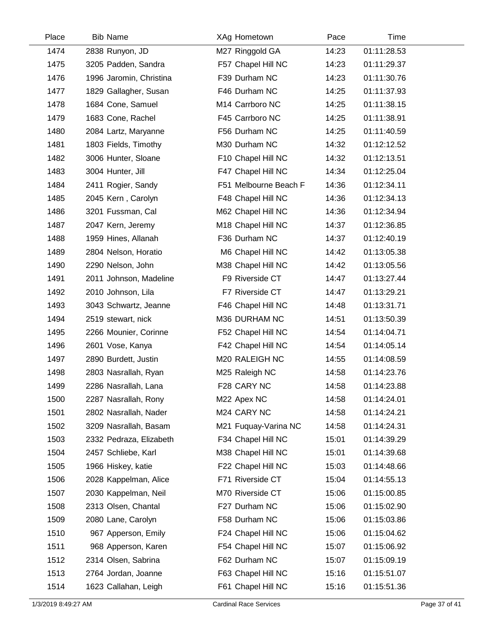| Place | <b>Bib Name</b>         | XAg Hometown          | Pace  | Time        |  |
|-------|-------------------------|-----------------------|-------|-------------|--|
| 1474  | 2838 Runyon, JD         | M27 Ringgold GA       | 14:23 | 01:11:28.53 |  |
| 1475  | 3205 Padden, Sandra     | F57 Chapel Hill NC    | 14:23 | 01:11:29.37 |  |
| 1476  | 1996 Jaromin, Christina | F39 Durham NC         | 14:23 | 01:11:30.76 |  |
| 1477  | 1829 Gallagher, Susan   | F46 Durham NC         | 14:25 | 01:11:37.93 |  |
| 1478  | 1684 Cone, Samuel       | M14 Carrboro NC       | 14:25 | 01:11:38.15 |  |
| 1479  | 1683 Cone, Rachel       | F45 Carrboro NC       | 14:25 | 01:11:38.91 |  |
| 1480  | 2084 Lartz, Maryanne    | F56 Durham NC         | 14:25 | 01:11:40.59 |  |
| 1481  | 1803 Fields, Timothy    | M30 Durham NC         | 14:32 | 01:12:12.52 |  |
| 1482  | 3006 Hunter, Sloane     | F10 Chapel Hill NC    | 14:32 | 01:12:13.51 |  |
| 1483  | 3004 Hunter, Jill       | F47 Chapel Hill NC    | 14:34 | 01:12:25.04 |  |
| 1484  | 2411 Rogier, Sandy      | F51 Melbourne Beach F | 14:36 | 01:12:34.11 |  |
| 1485  | 2045 Kern, Carolyn      | F48 Chapel Hill NC    | 14:36 | 01:12:34.13 |  |
| 1486  | 3201 Fussman, Cal       | M62 Chapel Hill NC    | 14:36 | 01:12:34.94 |  |
| 1487  | 2047 Kern, Jeremy       | M18 Chapel Hill NC    | 14:37 | 01:12:36.85 |  |
| 1488  | 1959 Hines, Allanah     | F36 Durham NC         | 14:37 | 01:12:40.19 |  |
| 1489  | 2804 Nelson, Horatio    | M6 Chapel Hill NC     | 14:42 | 01:13:05.38 |  |
| 1490  | 2290 Nelson, John       | M38 Chapel Hill NC    | 14:42 | 01:13:05.56 |  |
| 1491  | 2011 Johnson, Madeline  | F9 Riverside CT       | 14:47 | 01:13:27.44 |  |
| 1492  | 2010 Johnson, Lila      | F7 Riverside CT       | 14:47 | 01:13:29.21 |  |
| 1493  | 3043 Schwartz, Jeanne   | F46 Chapel Hill NC    | 14:48 | 01:13:31.71 |  |
| 1494  | 2519 stewart, nick      | M36 DURHAM NC         | 14:51 | 01:13:50.39 |  |
| 1495  | 2266 Mounier, Corinne   | F52 Chapel Hill NC    | 14:54 | 01:14:04.71 |  |
| 1496  | 2601 Vose, Kanya        | F42 Chapel Hill NC    | 14:54 | 01:14:05.14 |  |
| 1497  | 2890 Burdett, Justin    | M20 RALEIGH NC        | 14:55 | 01:14:08.59 |  |
| 1498  | 2803 Nasrallah, Ryan    | M25 Raleigh NC        | 14:58 | 01:14:23.76 |  |
| 1499  | 2286 Nasrallah, Lana    | F28 CARY NC           | 14:58 | 01:14:23.88 |  |
| 1500  | 2287 Nasrallah, Rony    | M22 Apex NC           | 14:58 | 01:14:24.01 |  |
| 1501  | 2802 Nasrallah, Nader   | M24 CARY NC           | 14:58 | 01:14:24.21 |  |
| 1502  | 3209 Nasrallah, Basam   | M21 Fuquay-Varina NC  | 14:58 | 01:14:24.31 |  |
| 1503  | 2332 Pedraza, Elizabeth | F34 Chapel Hill NC    | 15:01 | 01:14:39.29 |  |
| 1504  | 2457 Schliebe, Karl     | M38 Chapel Hill NC    | 15:01 | 01:14:39.68 |  |
| 1505  | 1966 Hiskey, katie      | F22 Chapel Hill NC    | 15:03 | 01:14:48.66 |  |
| 1506  | 2028 Kappelman, Alice   | F71 Riverside CT      | 15:04 | 01:14:55.13 |  |
| 1507  | 2030 Kappelman, Neil    | M70 Riverside CT      | 15:06 | 01:15:00.85 |  |
| 1508  | 2313 Olsen, Chantal     | F27 Durham NC         | 15:06 | 01:15:02.90 |  |
| 1509  | 2080 Lane, Carolyn      | F58 Durham NC         | 15:06 | 01:15:03.86 |  |
| 1510  | 967 Apperson, Emily     | F24 Chapel Hill NC    | 15:06 | 01:15:04.62 |  |
| 1511  | 968 Apperson, Karen     | F54 Chapel Hill NC    | 15:07 | 01:15:06.92 |  |
| 1512  | 2314 Olsen, Sabrina     | F62 Durham NC         | 15:07 | 01:15:09.19 |  |
| 1513  | 2764 Jordan, Joanne     | F63 Chapel Hill NC    | 15:16 | 01:15:51.07 |  |
| 1514  | 1623 Callahan, Leigh    | F61 Chapel Hill NC    | 15:16 | 01:15:51.36 |  |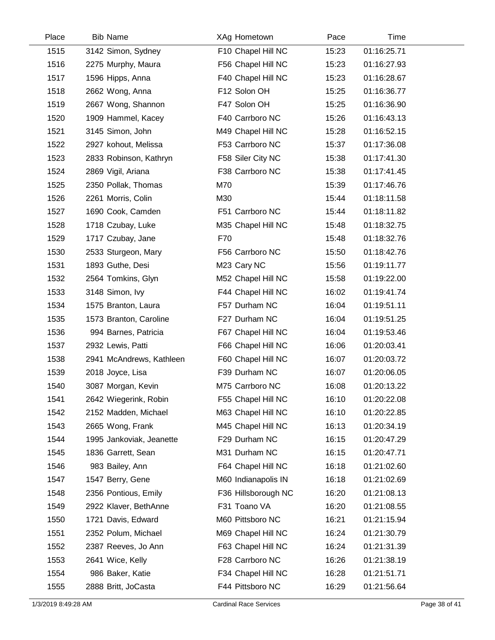| Place | <b>Bib Name</b>          | XAg Hometown        | Pace  | Time        |  |
|-------|--------------------------|---------------------|-------|-------------|--|
| 1515  | 3142 Simon, Sydney       | F10 Chapel Hill NC  | 15:23 | 01:16:25.71 |  |
| 1516  | 2275 Murphy, Maura       | F56 Chapel Hill NC  | 15:23 | 01:16:27.93 |  |
| 1517  | 1596 Hipps, Anna         | F40 Chapel Hill NC  | 15:23 | 01:16:28.67 |  |
| 1518  | 2662 Wong, Anna          | F12 Solon OH        | 15:25 | 01:16:36.77 |  |
| 1519  | 2667 Wong, Shannon       | F47 Solon OH        | 15:25 | 01:16:36.90 |  |
| 1520  | 1909 Hammel, Kacey       | F40 Carrboro NC     | 15:26 | 01:16:43.13 |  |
| 1521  | 3145 Simon, John         | M49 Chapel Hill NC  | 15:28 | 01:16:52.15 |  |
| 1522  | 2927 kohout, Melissa     | F53 Carrboro NC     | 15:37 | 01:17:36.08 |  |
| 1523  | 2833 Robinson, Kathryn   | F58 Siler City NC   | 15:38 | 01:17:41.30 |  |
| 1524  | 2869 Vigil, Ariana       | F38 Carrboro NC     | 15:38 | 01:17:41.45 |  |
| 1525  | 2350 Pollak, Thomas      | M70                 | 15:39 | 01:17:46.76 |  |
| 1526  | 2261 Morris, Colin       | M30                 | 15:44 | 01:18:11.58 |  |
| 1527  | 1690 Cook, Camden        | F51 Carrboro NC     | 15:44 | 01:18:11.82 |  |
| 1528  | 1718 Czubay, Luke        | M35 Chapel Hill NC  | 15:48 | 01:18:32.75 |  |
| 1529  | 1717 Czubay, Jane        | F70                 | 15:48 | 01:18:32.76 |  |
| 1530  | 2533 Sturgeon, Mary      | F56 Carrboro NC     | 15:50 | 01:18:42.76 |  |
| 1531  | 1893 Guthe, Desi         | M23 Cary NC         | 15:56 | 01:19:11.77 |  |
| 1532  | 2564 Tomkins, Glyn       | M52 Chapel Hill NC  | 15:58 | 01:19:22.00 |  |
| 1533  | 3148 Simon, Ivy          | F44 Chapel Hill NC  | 16:02 | 01:19:41.74 |  |
| 1534  | 1575 Branton, Laura      | F57 Durham NC       | 16:04 | 01:19:51.11 |  |
| 1535  | 1573 Branton, Caroline   | F27 Durham NC       | 16:04 | 01:19:51.25 |  |
| 1536  | 994 Barnes, Patricia     | F67 Chapel Hill NC  | 16:04 | 01:19:53.46 |  |
| 1537  | 2932 Lewis, Patti        | F66 Chapel Hill NC  | 16:06 | 01:20:03.41 |  |
| 1538  | 2941 McAndrews, Kathleen | F60 Chapel Hill NC  | 16:07 | 01:20:03.72 |  |
| 1539  | 2018 Joyce, Lisa         | F39 Durham NC       | 16:07 | 01:20:06.05 |  |
| 1540  | 3087 Morgan, Kevin       | M75 Carrboro NC     | 16:08 | 01:20:13.22 |  |
| 1541  | 2642 Wiegerink, Robin    | F55 Chapel Hill NC  | 16:10 | 01:20:22.08 |  |
| 1542  | 2152 Madden, Michael     | M63 Chapel Hill NC  | 16:10 | 01:20:22.85 |  |
| 1543  | 2665 Wong, Frank         | M45 Chapel Hill NC  | 16:13 | 01:20:34.19 |  |
| 1544  | 1995 Jankoviak, Jeanette | F29 Durham NC       | 16:15 | 01:20:47.29 |  |
| 1545  | 1836 Garrett, Sean       | M31 Durham NC       | 16:15 | 01:20:47.71 |  |
| 1546  | 983 Bailey, Ann          | F64 Chapel Hill NC  | 16:18 | 01:21:02.60 |  |
| 1547  | 1547 Berry, Gene         | M60 Indianapolis IN | 16:18 | 01:21:02.69 |  |
| 1548  | 2356 Pontious, Emily     | F36 Hillsborough NC | 16:20 | 01:21:08.13 |  |
| 1549  | 2922 Klaver, BethAnne    | F31 Toano VA        | 16:20 | 01:21:08.55 |  |
| 1550  | 1721 Davis, Edward       | M60 Pittsboro NC    | 16:21 | 01:21:15.94 |  |
| 1551  | 2352 Polum, Michael      | M69 Chapel Hill NC  | 16:24 | 01:21:30.79 |  |
| 1552  | 2387 Reeves, Jo Ann      | F63 Chapel Hill NC  | 16:24 | 01:21:31.39 |  |
| 1553  | 2641 Wice, Kelly         | F28 Carrboro NC     | 16:26 | 01:21:38.19 |  |
| 1554  | 986 Baker, Katie         | F34 Chapel Hill NC  | 16:28 | 01:21:51.71 |  |
| 1555  | 2888 Britt, JoCasta      | F44 Pittsboro NC    | 16:29 | 01:21:56.64 |  |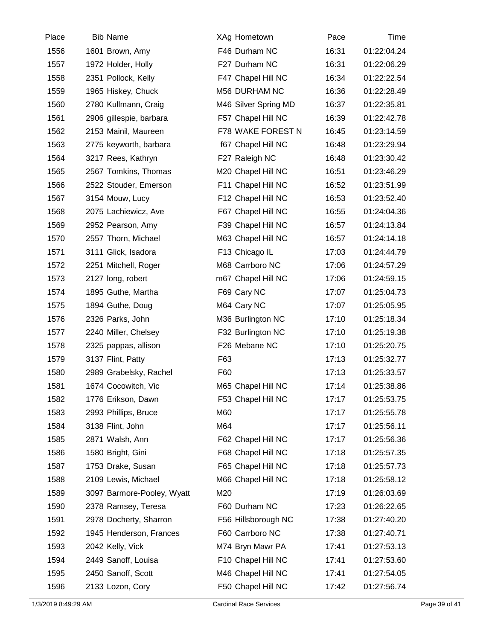| Place | <b>Bib Name</b>            | XAg Hometown         | Pace  | Time        |  |
|-------|----------------------------|----------------------|-------|-------------|--|
| 1556  | 1601 Brown, Amy            | F46 Durham NC        | 16:31 | 01:22:04.24 |  |
| 1557  | 1972 Holder, Holly         | F27 Durham NC        | 16:31 | 01:22:06.29 |  |
| 1558  | 2351 Pollock, Kelly        | F47 Chapel Hill NC   | 16:34 | 01:22:22.54 |  |
| 1559  | 1965 Hiskey, Chuck         | M56 DURHAM NC        | 16:36 | 01:22:28.49 |  |
| 1560  | 2780 Kullmann, Craig       | M46 Silver Spring MD | 16:37 | 01:22:35.81 |  |
| 1561  | 2906 gillespie, barbara    | F57 Chapel Hill NC   | 16:39 | 01:22:42.78 |  |
| 1562  | 2153 Mainil, Maureen       | F78 WAKE FOREST N    | 16:45 | 01:23:14.59 |  |
| 1563  | 2775 keyworth, barbara     | f67 Chapel Hill NC   | 16:48 | 01:23:29.94 |  |
| 1564  | 3217 Rees, Kathryn         | F27 Raleigh NC       | 16:48 | 01:23:30.42 |  |
| 1565  | 2567 Tomkins, Thomas       | M20 Chapel Hill NC   | 16:51 | 01:23:46.29 |  |
| 1566  | 2522 Stouder, Emerson      | F11 Chapel Hill NC   | 16:52 | 01:23:51.99 |  |
| 1567  | 3154 Mouw, Lucy            | F12 Chapel Hill NC   | 16:53 | 01:23:52.40 |  |
| 1568  | 2075 Lachiewicz, Ave       | F67 Chapel Hill NC   | 16:55 | 01:24:04.36 |  |
| 1569  | 2952 Pearson, Amy          | F39 Chapel Hill NC   | 16:57 | 01:24:13.84 |  |
| 1570  | 2557 Thorn, Michael        | M63 Chapel Hill NC   | 16:57 | 01:24:14.18 |  |
| 1571  | 3111 Glick, Isadora        | F13 Chicago IL       | 17:03 | 01:24:44.79 |  |
| 1572  | 2251 Mitchell, Roger       | M68 Carrboro NC      | 17:06 | 01:24:57.29 |  |
| 1573  | 2127 long, robert          | m67 Chapel Hill NC   | 17:06 | 01:24:59.15 |  |
| 1574  | 1895 Guthe, Martha         | F69 Cary NC          | 17:07 | 01:25:04.73 |  |
| 1575  | 1894 Guthe, Doug           | M64 Cary NC          | 17:07 | 01:25:05.95 |  |
| 1576  | 2326 Parks, John           | M36 Burlington NC    | 17:10 | 01:25:18.34 |  |
| 1577  | 2240 Miller, Chelsey       | F32 Burlington NC    | 17:10 | 01:25:19.38 |  |
| 1578  | 2325 pappas, allison       | F26 Mebane NC        | 17:10 | 01:25:20.75 |  |
| 1579  | 3137 Flint, Patty          | F63                  | 17:13 | 01:25:32.77 |  |
| 1580  | 2989 Grabelsky, Rachel     | F60                  | 17:13 | 01:25:33.57 |  |
| 1581  | 1674 Cocowitch, Vic        | M65 Chapel Hill NC   | 17:14 | 01:25:38.86 |  |
| 1582  | 1776 Erikson, Dawn         | F53 Chapel Hill NC   | 17:17 | 01:25:53.75 |  |
| 1583  | 2993 Phillips, Bruce       | M60                  | 17:17 | 01:25:55.78 |  |
| 1584  | 3138 Flint, John           | M64                  | 17:17 | 01:25:56.11 |  |
| 1585  | 2871 Walsh, Ann            | F62 Chapel Hill NC   | 17:17 | 01:25:56.36 |  |
| 1586  | 1580 Bright, Gini          | F68 Chapel Hill NC   | 17:18 | 01:25:57.35 |  |
| 1587  | 1753 Drake, Susan          | F65 Chapel Hill NC   | 17:18 | 01:25:57.73 |  |
| 1588  | 2109 Lewis, Michael        | M66 Chapel Hill NC   | 17:18 | 01:25:58.12 |  |
| 1589  | 3097 Barmore-Pooley, Wyatt | M20                  | 17:19 | 01:26:03.69 |  |
| 1590  | 2378 Ramsey, Teresa        | F60 Durham NC        | 17:23 | 01:26:22.65 |  |
| 1591  | 2978 Docherty, Sharron     | F56 Hillsborough NC  | 17:38 | 01:27:40.20 |  |
| 1592  | 1945 Henderson, Frances    | F60 Carrboro NC      | 17:38 | 01:27:40.71 |  |
| 1593  | 2042 Kelly, Vick           | M74 Bryn Mawr PA     | 17:41 | 01:27:53.13 |  |
| 1594  | 2449 Sanoff, Louisa        | F10 Chapel Hill NC   | 17:41 | 01:27:53.60 |  |
| 1595  | 2450 Sanoff, Scott         | M46 Chapel Hill NC   | 17:41 | 01:27:54.05 |  |
| 1596  | 2133 Lozon, Cory           | F50 Chapel Hill NC   | 17:42 | 01:27:56.74 |  |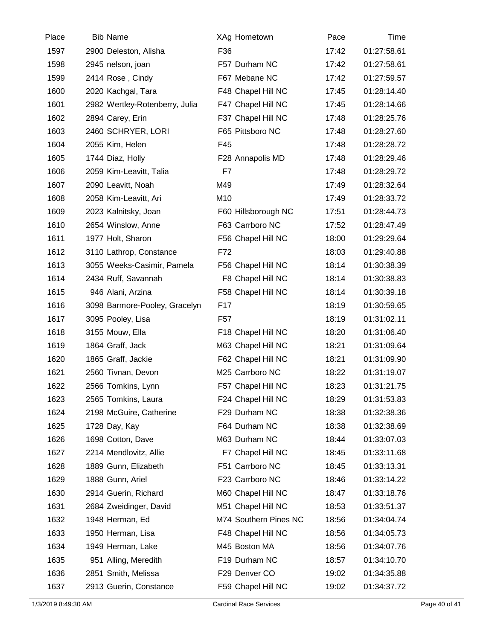| Place | <b>Bib Name</b>                | XAg Hometown          | Pace  | Time        |  |
|-------|--------------------------------|-----------------------|-------|-------------|--|
| 1597  | 2900 Deleston, Alisha          | F36                   | 17:42 | 01:27:58.61 |  |
| 1598  | 2945 nelson, joan              | F57 Durham NC         | 17:42 | 01:27:58.61 |  |
| 1599  | 2414 Rose, Cindy               | F67 Mebane NC         | 17:42 | 01:27:59.57 |  |
| 1600  | 2020 Kachgal, Tara             | F48 Chapel Hill NC    | 17:45 | 01:28:14.40 |  |
| 1601  | 2982 Wertley-Rotenberry, Julia | F47 Chapel Hill NC    | 17:45 | 01:28:14.66 |  |
| 1602  | 2894 Carey, Erin               | F37 Chapel Hill NC    | 17:48 | 01:28:25.76 |  |
| 1603  | 2460 SCHRYER, LORI             | F65 Pittsboro NC      | 17:48 | 01:28:27.60 |  |
| 1604  | 2055 Kim, Helen                | F45                   | 17:48 | 01:28:28.72 |  |
| 1605  | 1744 Diaz, Holly               | F28 Annapolis MD      | 17:48 | 01:28:29.46 |  |
| 1606  | 2059 Kim-Leavitt, Talia        | F7                    | 17:48 | 01:28:29.72 |  |
| 1607  | 2090 Leavitt, Noah             | M49                   | 17:49 | 01:28:32.64 |  |
| 1608  | 2058 Kim-Leavitt, Ari          | M10                   | 17:49 | 01:28:33.72 |  |
| 1609  | 2023 Kalnitsky, Joan           | F60 Hillsborough NC   | 17:51 | 01:28:44.73 |  |
| 1610  | 2654 Winslow, Anne             | F63 Carrboro NC       | 17:52 | 01:28:47.49 |  |
| 1611  | 1977 Holt, Sharon              | F56 Chapel Hill NC    | 18:00 | 01:29:29.64 |  |
| 1612  | 3110 Lathrop, Constance        | F72                   | 18:03 | 01:29:40.88 |  |
| 1613  | 3055 Weeks-Casimir, Pamela     | F56 Chapel Hill NC    | 18:14 | 01:30:38.39 |  |
| 1614  | 2434 Ruff, Savannah            | F8 Chapel Hill NC     | 18:14 | 01:30:38.83 |  |
| 1615  | 946 Alani, Arzina              | F58 Chapel Hill NC    | 18:14 | 01:30:39.18 |  |
| 1616  | 3098 Barmore-Pooley, Gracelyn  | F <sub>17</sub>       | 18:19 | 01:30:59.65 |  |
| 1617  | 3095 Pooley, Lisa              | F <sub>57</sub>       | 18:19 | 01:31:02.11 |  |
| 1618  | 3155 Mouw, Ella                | F18 Chapel Hill NC    | 18:20 | 01:31:06.40 |  |
| 1619  | 1864 Graff, Jack               | M63 Chapel Hill NC    | 18:21 | 01:31:09.64 |  |
| 1620  | 1865 Graff, Jackie             | F62 Chapel Hill NC    | 18:21 | 01:31:09.90 |  |
| 1621  | 2560 Tivnan, Devon             | M25 Carrboro NC       | 18:22 | 01:31:19.07 |  |
| 1622  | 2566 Tomkins, Lynn             | F57 Chapel Hill NC    | 18:23 | 01:31:21.75 |  |
| 1623  | 2565 Tomkins, Laura            | F24 Chapel Hill NC    | 18:29 | 01:31:53.83 |  |
| 1624  | 2198 McGuire, Catherine        | F29 Durham NC         | 18:38 | 01:32:38.36 |  |
| 1625  | 1728 Day, Kay                  | F64 Durham NC         | 18:38 | 01:32:38.69 |  |
| 1626  | 1698 Cotton, Dave              | M63 Durham NC         | 18:44 | 01:33:07.03 |  |
| 1627  | 2214 Mendlovitz, Allie         | F7 Chapel Hill NC     | 18:45 | 01:33:11.68 |  |
| 1628  | 1889 Gunn, Elizabeth           | F51 Carrboro NC       | 18:45 | 01:33:13.31 |  |
| 1629  | 1888 Gunn, Ariel               | F23 Carrboro NC       | 18:46 | 01:33:14.22 |  |
| 1630  | 2914 Guerin, Richard           | M60 Chapel Hill NC    | 18:47 | 01:33:18.76 |  |
| 1631  | 2684 Zweidinger, David         | M51 Chapel Hill NC    | 18:53 | 01:33:51.37 |  |
| 1632  | 1948 Herman, Ed                | M74 Southern Pines NC | 18:56 | 01:34:04.74 |  |
| 1633  | 1950 Herman, Lisa              | F48 Chapel Hill NC    | 18:56 | 01:34:05.73 |  |
| 1634  | 1949 Herman, Lake              | M45 Boston MA         | 18:56 | 01:34:07.76 |  |
| 1635  | 951 Alling, Meredith           | F19 Durham NC         | 18:57 | 01:34:10.70 |  |
| 1636  | 2851 Smith, Melissa            | F29 Denver CO         | 19:02 | 01:34:35.88 |  |
| 1637  | 2913 Guerin, Constance         | F59 Chapel Hill NC    | 19:02 | 01:34:37.72 |  |